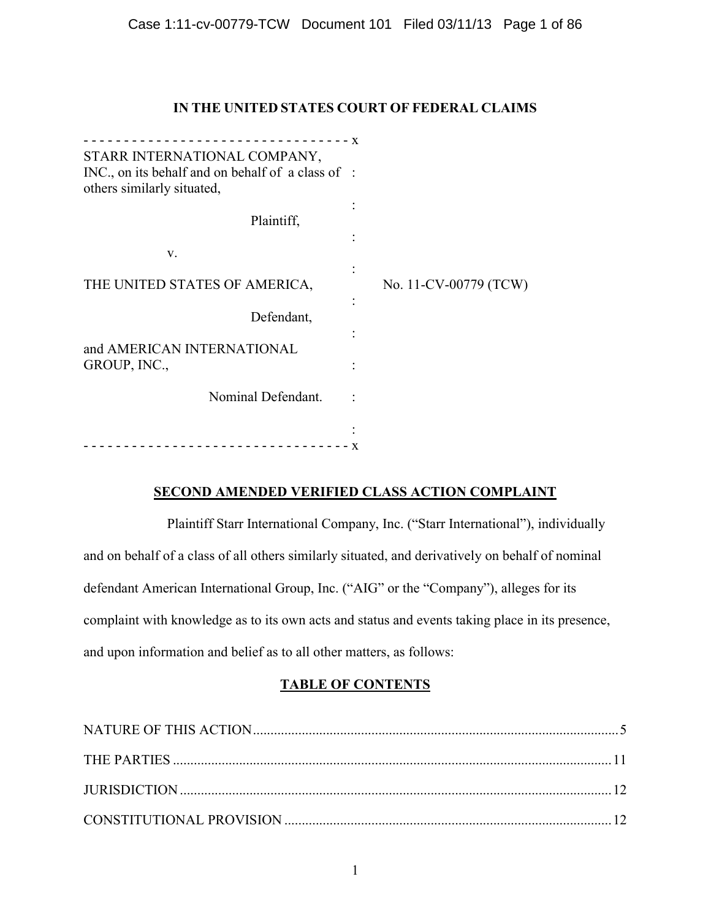# **IN THE UNITED STATES COURT OF FEDERAL CLAIMS**

|                                                                                   | $-$ - $X$ |                       |
|-----------------------------------------------------------------------------------|-----------|-----------------------|
| STARR INTERNATIONAL COMPANY,<br>INC., on its behalf and on behalf of a class of : |           |                       |
| others similarly situated,                                                        |           |                       |
| Plaintiff,                                                                        |           |                       |
|                                                                                   |           |                       |
| V.                                                                                |           |                       |
| THE UNITED STATES OF AMERICA,                                                     |           | No. 11-CV-00779 (TCW) |
| Defendant,                                                                        |           |                       |
| and AMERICAN INTERNATIONAL                                                        |           |                       |
| GROUP, INC.,                                                                      |           |                       |
| Nominal Defendant.                                                                |           |                       |
|                                                                                   |           |                       |
|                                                                                   | X         |                       |

# **SECOND AMENDED VERIFIED CLASS ACTION COMPLAINT**

Plaintiff Starr International Company, Inc. ("Starr International"), individually and on behalf of a class of all others similarly situated, and derivatively on behalf of nominal defendant American International Group, Inc. ("AIG" or the "Company"), alleges for its complaint with knowledge as to its own acts and status and events taking place in its presence, and upon information and belief as to all other matters, as follows:

## **TABLE OF CONTENTS**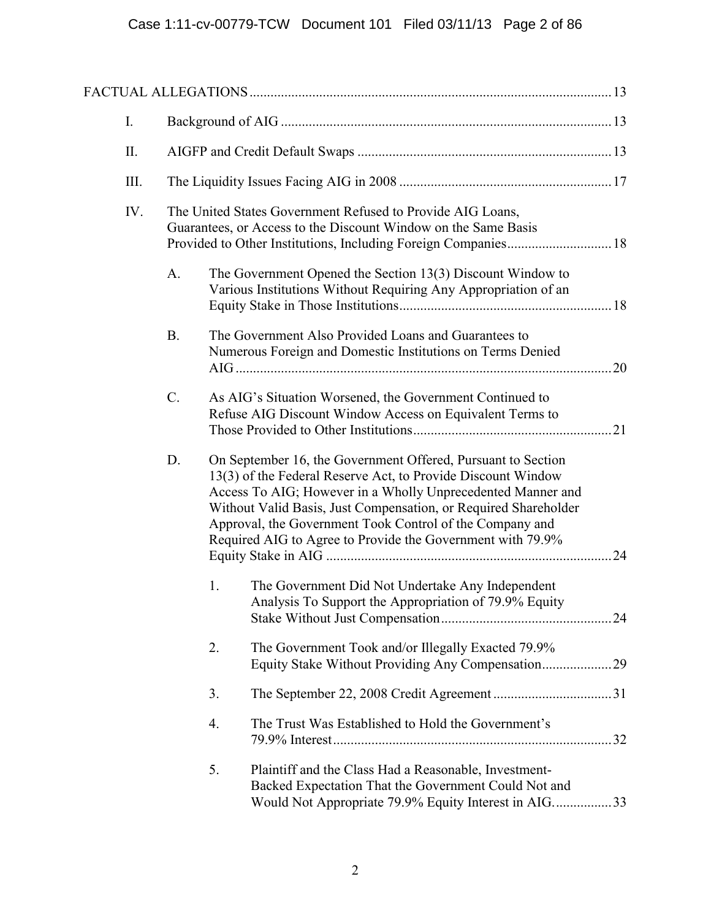| I. |     |           |    |                                                                                                                                                                                                                                                                                                                                                                                          |  |
|----|-----|-----------|----|------------------------------------------------------------------------------------------------------------------------------------------------------------------------------------------------------------------------------------------------------------------------------------------------------------------------------------------------------------------------------------------|--|
|    | II. |           |    |                                                                                                                                                                                                                                                                                                                                                                                          |  |
|    | Ш.  |           |    |                                                                                                                                                                                                                                                                                                                                                                                          |  |
|    | IV. |           |    | The United States Government Refused to Provide AIG Loans,<br>Guarantees, or Access to the Discount Window on the Same Basis                                                                                                                                                                                                                                                             |  |
|    |     | A.        |    | The Government Opened the Section 13(3) Discount Window to<br>Various Institutions Without Requiring Any Appropriation of an                                                                                                                                                                                                                                                             |  |
|    |     | <b>B.</b> |    | The Government Also Provided Loans and Guarantees to<br>Numerous Foreign and Domestic Institutions on Terms Denied                                                                                                                                                                                                                                                                       |  |
|    |     | $C$ .     |    | As AIG's Situation Worsened, the Government Continued to<br>Refuse AIG Discount Window Access on Equivalent Terms to                                                                                                                                                                                                                                                                     |  |
|    |     | D.        |    | On September 16, the Government Offered, Pursuant to Section<br>13(3) of the Federal Reserve Act, to Provide Discount Window<br>Access To AIG; However in a Wholly Unprecedented Manner and<br>Without Valid Basis, Just Compensation, or Required Shareholder<br>Approval, the Government Took Control of the Company and<br>Required AIG to Agree to Provide the Government with 79.9% |  |
|    |     |           | 1. | The Government Did Not Undertake Any Independent<br>Analysis To Support the Appropriation of 79.9% Equity                                                                                                                                                                                                                                                                                |  |
|    |     |           | 2. | The Government Took and/or Illegally Exacted 79.9%                                                                                                                                                                                                                                                                                                                                       |  |
|    |     |           | 3. |                                                                                                                                                                                                                                                                                                                                                                                          |  |
|    |     |           | 4. | The Trust Was Established to Hold the Government's                                                                                                                                                                                                                                                                                                                                       |  |
|    |     |           | 5. | Plaintiff and the Class Had a Reasonable, Investment-<br>Backed Expectation That the Government Could Not and<br>Would Not Appropriate 79.9% Equity Interest in AIG33                                                                                                                                                                                                                    |  |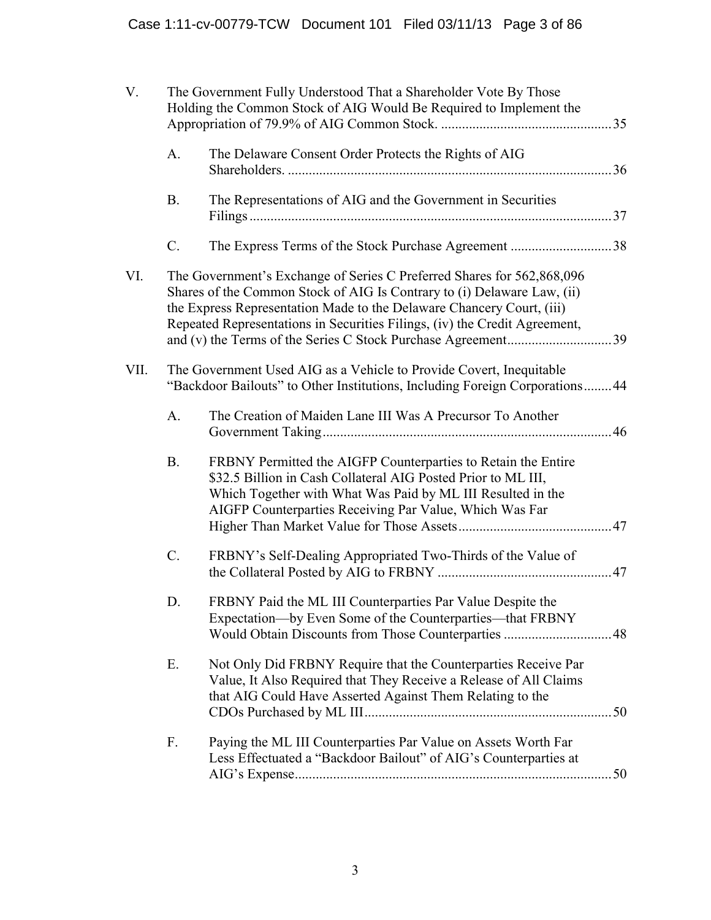| V.   | The Government Fully Understood That a Shareholder Vote By Those<br>Holding the Common Stock of AIG Would Be Required to Implement the |                                                                                                                                                                                                                                                                                                          |  |  |  |
|------|----------------------------------------------------------------------------------------------------------------------------------------|----------------------------------------------------------------------------------------------------------------------------------------------------------------------------------------------------------------------------------------------------------------------------------------------------------|--|--|--|
|      | A.                                                                                                                                     | The Delaware Consent Order Protects the Rights of AIG                                                                                                                                                                                                                                                    |  |  |  |
|      | <b>B.</b>                                                                                                                              | The Representations of AIG and the Government in Securities                                                                                                                                                                                                                                              |  |  |  |
|      | $\mathcal{C}$ .                                                                                                                        |                                                                                                                                                                                                                                                                                                          |  |  |  |
| VI.  |                                                                                                                                        | The Government's Exchange of Series C Preferred Shares for 562,868,096<br>Shares of the Common Stock of AIG Is Contrary to (i) Delaware Law, (ii)<br>the Express Representation Made to the Delaware Chancery Court, (iii)<br>Repeated Representations in Securities Filings, (iv) the Credit Agreement, |  |  |  |
| VII. |                                                                                                                                        | The Government Used AIG as a Vehicle to Provide Covert, Inequitable<br>"Backdoor Bailouts" to Other Institutions, Including Foreign Corporations 44                                                                                                                                                      |  |  |  |
|      | A.                                                                                                                                     | The Creation of Maiden Lane III Was A Precursor To Another                                                                                                                                                                                                                                               |  |  |  |
|      | <b>B.</b>                                                                                                                              | FRBNY Permitted the AIGFP Counterparties to Retain the Entire<br>\$32.5 Billion in Cash Collateral AIG Posted Prior to ML III,<br>Which Together with What Was Paid by ML III Resulted in the<br>AIGFP Counterparties Receiving Par Value, Which Was Far                                                 |  |  |  |
|      | $C$ .                                                                                                                                  | FRBNY's Self-Dealing Appropriated Two-Thirds of the Value of                                                                                                                                                                                                                                             |  |  |  |
|      | D                                                                                                                                      | FRBNY Paid the ML III Counterparties Par Value Despite the<br>Expectation-by Even Some of the Counterparties-that FRBNY<br>Would Obtain Discounts from Those Counterparties  48                                                                                                                          |  |  |  |
|      | Ε.                                                                                                                                     | Not Only Did FRBNY Require that the Counterparties Receive Par<br>Value, It Also Required that They Receive a Release of All Claims<br>that AIG Could Have Asserted Against Them Relating to the                                                                                                         |  |  |  |
|      | F.                                                                                                                                     | Paying the ML III Counterparties Par Value on Assets Worth Far<br>Less Effectuated a "Backdoor Bailout" of AIG's Counterparties at                                                                                                                                                                       |  |  |  |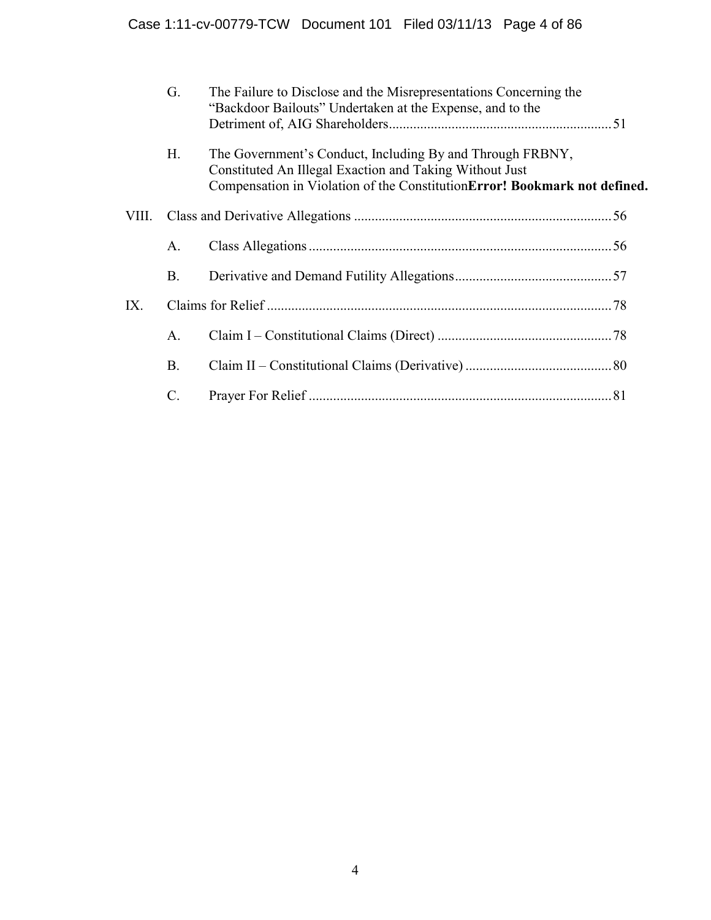|       | G.        | The Failure to Disclose and the Misrepresentations Concerning the<br>"Backdoor Bailouts" Undertaken at the Expense, and to the                                                                    |  |
|-------|-----------|---------------------------------------------------------------------------------------------------------------------------------------------------------------------------------------------------|--|
|       | Н.        | The Government's Conduct, Including By and Through FRBNY,<br>Constituted An Illegal Exaction and Taking Without Just<br>Compensation in Violation of the ConstitutionError! Bookmark not defined. |  |
| VIII. |           |                                                                                                                                                                                                   |  |
|       | A.        |                                                                                                                                                                                                   |  |
|       | <b>B.</b> |                                                                                                                                                                                                   |  |
| IX.   |           |                                                                                                                                                                                                   |  |
|       | A.        |                                                                                                                                                                                                   |  |
|       | <b>B.</b> |                                                                                                                                                                                                   |  |
|       | C         |                                                                                                                                                                                                   |  |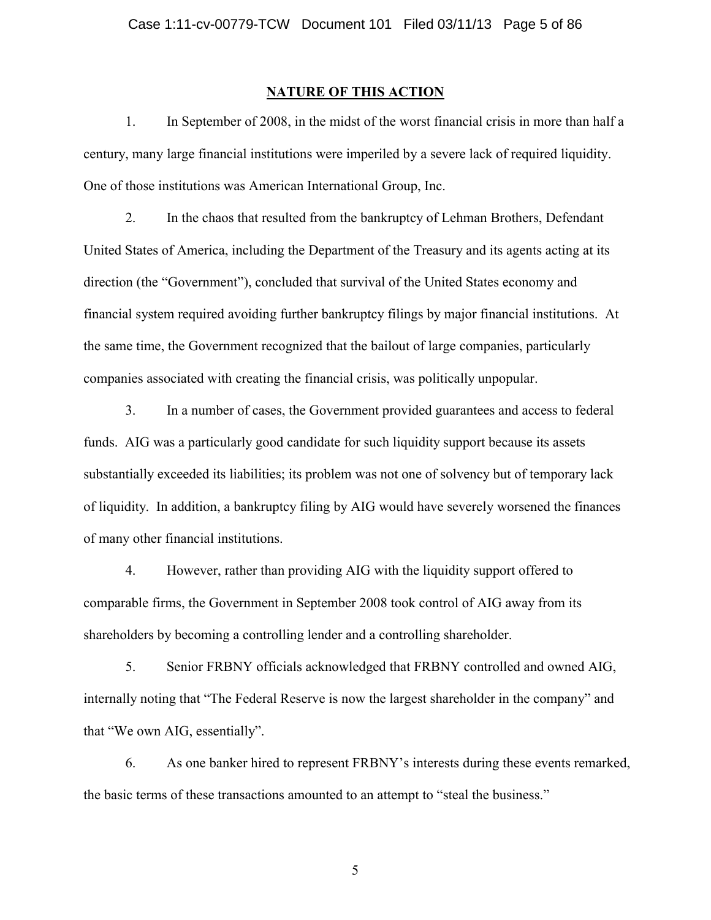## **NATURE OF THIS ACTION**

1. In September of 2008, in the midst of the worst financial crisis in more than half a century, many large financial institutions were imperiled by a severe lack of required liquidity. One of those institutions was American International Group, Inc.

2. In the chaos that resulted from the bankruptcy of Lehman Brothers, Defendant United States of America, including the Department of the Treasury and its agents acting at its direction (the "Government"), concluded that survival of the United States economy and financial system required avoiding further bankruptcy filings by major financial institutions. At the same time, the Government recognized that the bailout of large companies, particularly companies associated with creating the financial crisis, was politically unpopular.

3. In a number of cases, the Government provided guarantees and access to federal funds. AIG was a particularly good candidate for such liquidity support because its assets substantially exceeded its liabilities; its problem was not one of solvency but of temporary lack of liquidity. In addition, a bankruptcy filing by AIG would have severely worsened the finances of many other financial institutions.

4. However, rather than providing AIG with the liquidity support offered to comparable firms, the Government in September 2008 took control of AIG away from its shareholders by becoming a controlling lender and a controlling shareholder.

5. Senior FRBNY officials acknowledged that FRBNY controlled and owned AIG, internally noting that "The Federal Reserve is now the largest shareholder in the company" and that "We own AIG, essentially".

6. As one banker hired to represent FRBNY's interests during these events remarked, the basic terms of these transactions amounted to an attempt to "steal the business."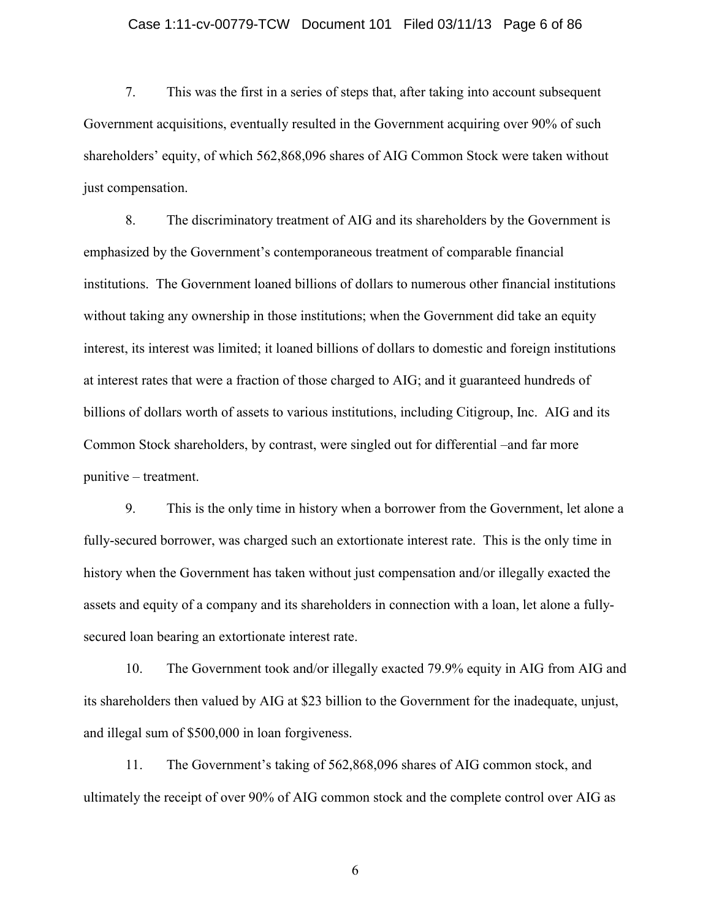### Case 1:11-cv-00779-TCW Document 101 Filed 03/11/13 Page 6 of 86

7. This was the first in a series of steps that, after taking into account subsequent Government acquisitions, eventually resulted in the Government acquiring over 90% of such shareholders' equity, of which 562,868,096 shares of AIG Common Stock were taken without just compensation.

8. The discriminatory treatment of AIG and its shareholders by the Government is emphasized by the Government's contemporaneous treatment of comparable financial institutions. The Government loaned billions of dollars to numerous other financial institutions without taking any ownership in those institutions; when the Government did take an equity interest, its interest was limited; it loaned billions of dollars to domestic and foreign institutions at interest rates that were a fraction of those charged to AIG; and it guaranteed hundreds of billions of dollars worth of assets to various institutions, including Citigroup, Inc. AIG and its Common Stock shareholders, by contrast, were singled out for differential –and far more punitive – treatment.

9. This is the only time in history when a borrower from the Government, let alone a fully-secured borrower, was charged such an extortionate interest rate. This is the only time in history when the Government has taken without just compensation and/or illegally exacted the assets and equity of a company and its shareholders in connection with a loan, let alone a fullysecured loan bearing an extortionate interest rate.

10. The Government took and/or illegally exacted 79.9% equity in AIG from AIG and its shareholders then valued by AIG at \$23 billion to the Government for the inadequate, unjust, and illegal sum of \$500,000 in loan forgiveness.

11. The Government's taking of 562,868,096 shares of AIG common stock, and ultimately the receipt of over 90% of AIG common stock and the complete control over AIG as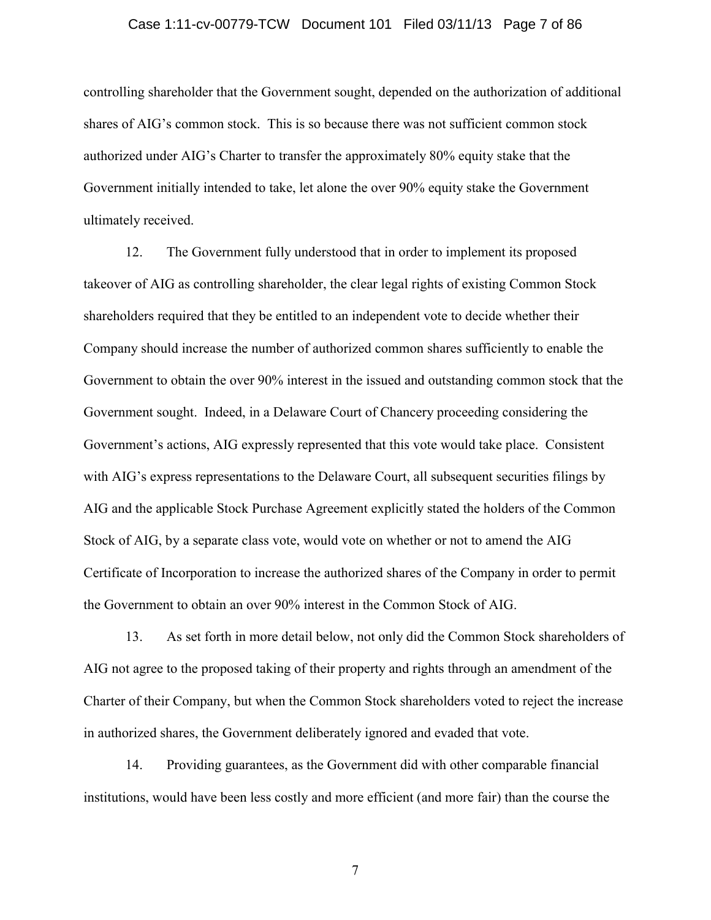### Case 1:11-cv-00779-TCW Document 101 Filed 03/11/13 Page 7 of 86

controlling shareholder that the Government sought, depended on the authorization of additional shares of AIG's common stock. This is so because there was not sufficient common stock authorized under AIG's Charter to transfer the approximately 80% equity stake that the Government initially intended to take, let alone the over 90% equity stake the Government ultimately received.

12. The Government fully understood that in order to implement its proposed takeover of AIG as controlling shareholder, the clear legal rights of existing Common Stock shareholders required that they be entitled to an independent vote to decide whether their Company should increase the number of authorized common shares sufficiently to enable the Government to obtain the over 90% interest in the issued and outstanding common stock that the Government sought. Indeed, in a Delaware Court of Chancery proceeding considering the Government's actions, AIG expressly represented that this vote would take place. Consistent with AIG's express representations to the Delaware Court, all subsequent securities filings by AIG and the applicable Stock Purchase Agreement explicitly stated the holders of the Common Stock of AIG, by a separate class vote, would vote on whether or not to amend the AIG Certificate of Incorporation to increase the authorized shares of the Company in order to permit the Government to obtain an over 90% interest in the Common Stock of AIG.

13. As set forth in more detail below, not only did the Common Stock shareholders of AIG not agree to the proposed taking of their property and rights through an amendment of the Charter of their Company, but when the Common Stock shareholders voted to reject the increase in authorized shares, the Government deliberately ignored and evaded that vote.

14. Providing guarantees, as the Government did with other comparable financial institutions, would have been less costly and more efficient (and more fair) than the course the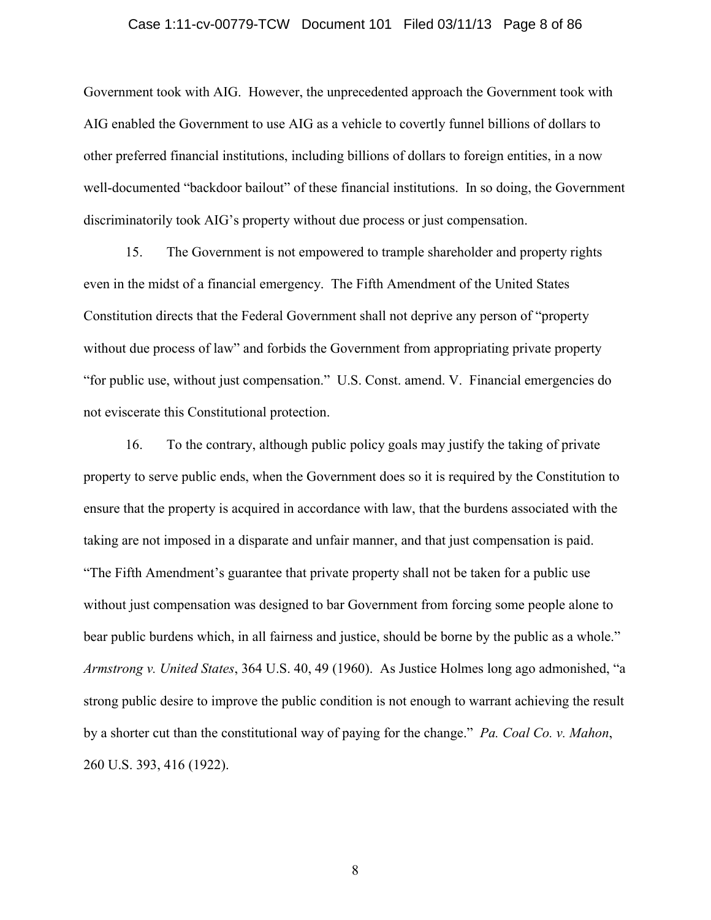#### Case 1:11-cv-00779-TCW Document 101 Filed 03/11/13 Page 8 of 86

Government took with AIG. However, the unprecedented approach the Government took with AIG enabled the Government to use AIG as a vehicle to covertly funnel billions of dollars to other preferred financial institutions, including billions of dollars to foreign entities, in a now well-documented "backdoor bailout" of these financial institutions. In so doing, the Government discriminatorily took AIG's property without due process or just compensation.

15. The Government is not empowered to trample shareholder and property rights even in the midst of a financial emergency. The Fifth Amendment of the United States Constitution directs that the Federal Government shall not deprive any person of "property without due process of law" and forbids the Government from appropriating private property "for public use, without just compensation." U.S. Const. amend. V. Financial emergencies do not eviscerate this Constitutional protection.

16. To the contrary, although public policy goals may justify the taking of private property to serve public ends, when the Government does so it is required by the Constitution to ensure that the property is acquired in accordance with law, that the burdens associated with the taking are not imposed in a disparate and unfair manner, and that just compensation is paid. "The Fifth Amendment's guarantee that private property shall not be taken for a public use without just compensation was designed to bar Government from forcing some people alone to bear public burdens which, in all fairness and justice, should be borne by the public as a whole." *Armstrong v. United States*, 364 U.S. 40, 49 (1960). As Justice Holmes long ago admonished, "a strong public desire to improve the public condition is not enough to warrant achieving the result by a shorter cut than the constitutional way of paying for the change." *Pa. Coal Co. v. Mahon*, 260 U.S. 393, 416 (1922).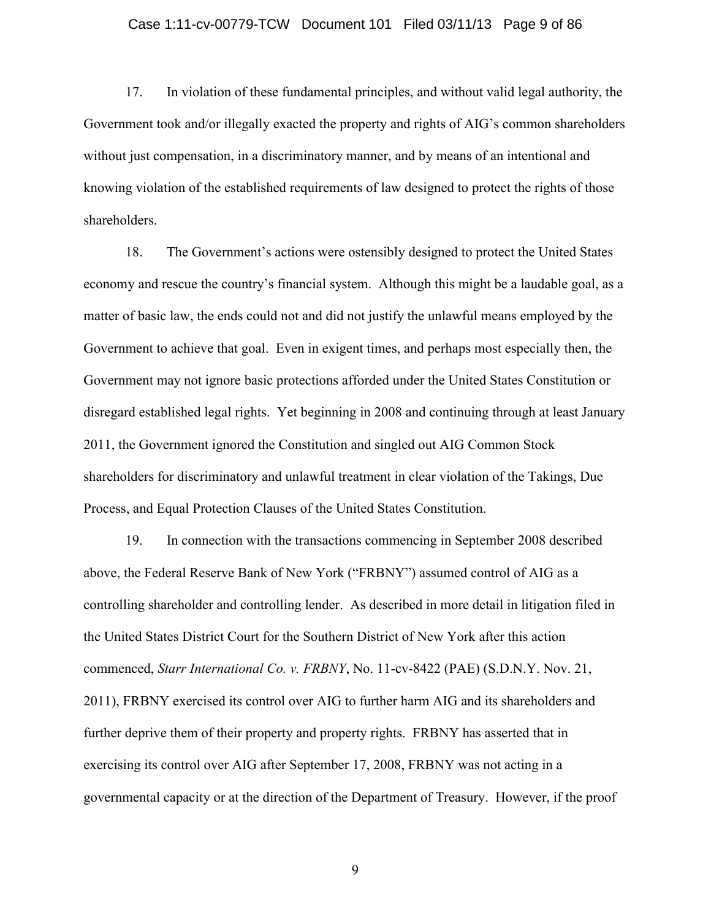### Case 1:11-cv-00779-TCW Document 101 Filed 03/11/13 Page 9 of 86

17. In violation of these fundamental principles, and without valid legal authority, the Government took and/or illegally exacted the property and rights of AIG's common shareholders without just compensation, in a discriminatory manner, and by means of an intentional and knowing violation of the established requirements of law designed to protect the rights of those shareholders.

18. The Government's actions were ostensibly designed to protect the United States economy and rescue the country's financial system. Although this might be a laudable goal, as a matter of basic law, the ends could not and did not justify the unlawful means employed by the Government to achieve that goal. Even in exigent times, and perhaps most especially then, the Government may not ignore basic protections afforded under the United States Constitution or disregard established legal rights. Yet beginning in 2008 and continuing through at least January 2011, the Government ignored the Constitution and singled out AIG Common Stock shareholders for discriminatory and unlawful treatment in clear violation of the Takings, Due Process, and Equal Protection Clauses of the United States Constitution.

19. In connection with the transactions commencing in September 2008 described above, the Federal Reserve Bank of New York ("FRBNY") assumed control of AIG as a controlling shareholder and controlling lender. As described in more detail in litigation filed in the United States District Court for the Southern District of New York after this action commenced, *Starr International Co. v. FRBNY*, No. 11-cv-8422 (PAE) (S.D.N.Y. Nov. 21, 2011), FRBNY exercised its control over AIG to further harm AIG and its shareholders and further deprive them of their property and property rights. FRBNY has asserted that in exercising its control over AIG after September 17, 2008, FRBNY was not acting in a governmental capacity or at the direction of the Department of Treasury. However, if the proof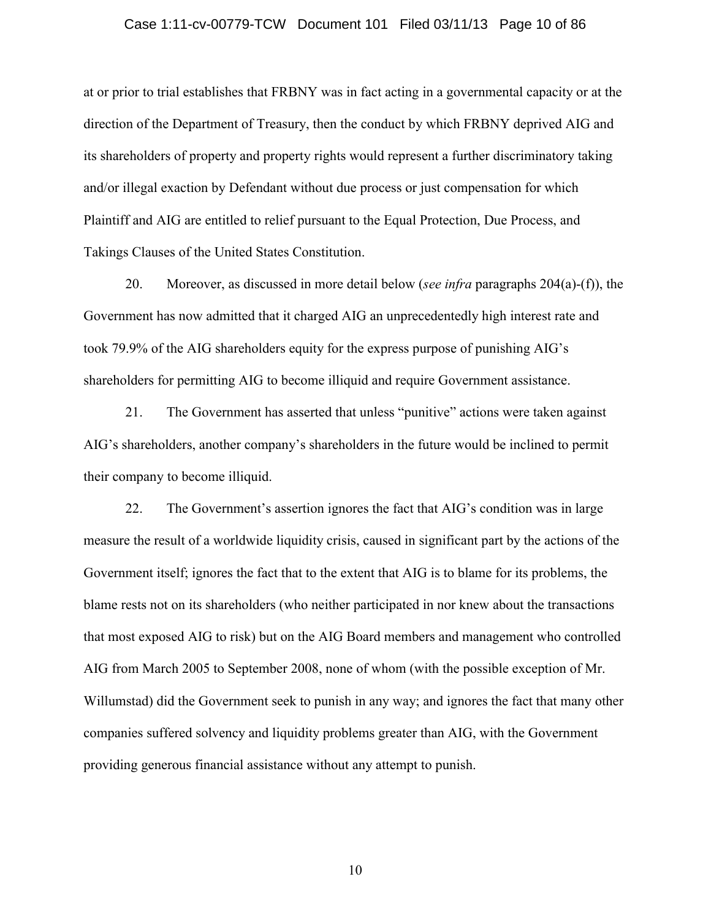#### Case 1:11-cv-00779-TCW Document 101 Filed 03/11/13 Page 10 of 86

at or prior to trial establishes that FRBNY was in fact acting in a governmental capacity or at the direction of the Department of Treasury, then the conduct by which FRBNY deprived AIG and its shareholders of property and property rights would represent a further discriminatory taking and/or illegal exaction by Defendant without due process or just compensation for which Plaintiff and AIG are entitled to relief pursuant to the Equal Protection, Due Process, and Takings Clauses of the United States Constitution.

20. Moreover, as discussed in more detail below (*see infra* paragraphs 204(a)-(f)), the Government has now admitted that it charged AIG an unprecedentedly high interest rate and took 79.9% of the AIG shareholders equity for the express purpose of punishing AIG's shareholders for permitting AIG to become illiquid and require Government assistance.

21. The Government has asserted that unless "punitive" actions were taken against AIG's shareholders, another company's shareholders in the future would be inclined to permit their company to become illiquid.

22. The Government's assertion ignores the fact that AIG's condition was in large measure the result of a worldwide liquidity crisis, caused in significant part by the actions of the Government itself; ignores the fact that to the extent that AIG is to blame for its problems, the blame rests not on its shareholders (who neither participated in nor knew about the transactions that most exposed AIG to risk) but on the AIG Board members and management who controlled AIG from March 2005 to September 2008, none of whom (with the possible exception of Mr. Willumstad) did the Government seek to punish in any way; and ignores the fact that many other companies suffered solvency and liquidity problems greater than AIG, with the Government providing generous financial assistance without any attempt to punish.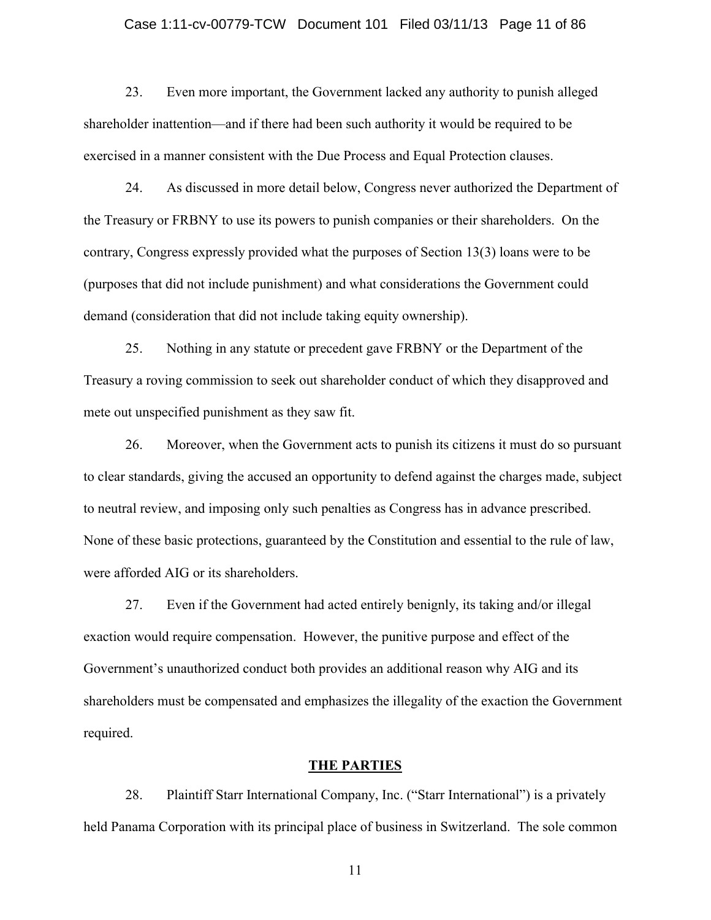### Case 1:11-cv-00779-TCW Document 101 Filed 03/11/13 Page 11 of 86

23. Even more important, the Government lacked any authority to punish alleged shareholder inattention—and if there had been such authority it would be required to be exercised in a manner consistent with the Due Process and Equal Protection clauses.

24. As discussed in more detail below, Congress never authorized the Department of the Treasury or FRBNY to use its powers to punish companies or their shareholders. On the contrary, Congress expressly provided what the purposes of Section 13(3) loans were to be (purposes that did not include punishment) and what considerations the Government could demand (consideration that did not include taking equity ownership).

25. Nothing in any statute or precedent gave FRBNY or the Department of the Treasury a roving commission to seek out shareholder conduct of which they disapproved and mete out unspecified punishment as they saw fit.

26. Moreover, when the Government acts to punish its citizens it must do so pursuant to clear standards, giving the accused an opportunity to defend against the charges made, subject to neutral review, and imposing only such penalties as Congress has in advance prescribed. None of these basic protections, guaranteed by the Constitution and essential to the rule of law, were afforded AIG or its shareholders.

27. Even if the Government had acted entirely benignly, its taking and/or illegal exaction would require compensation. However, the punitive purpose and effect of the Government's unauthorized conduct both provides an additional reason why AIG and its shareholders must be compensated and emphasizes the illegality of the exaction the Government required.

## **THE PARTIES**

28. Plaintiff Starr International Company, Inc. ("Starr International") is a privately held Panama Corporation with its principal place of business in Switzerland. The sole common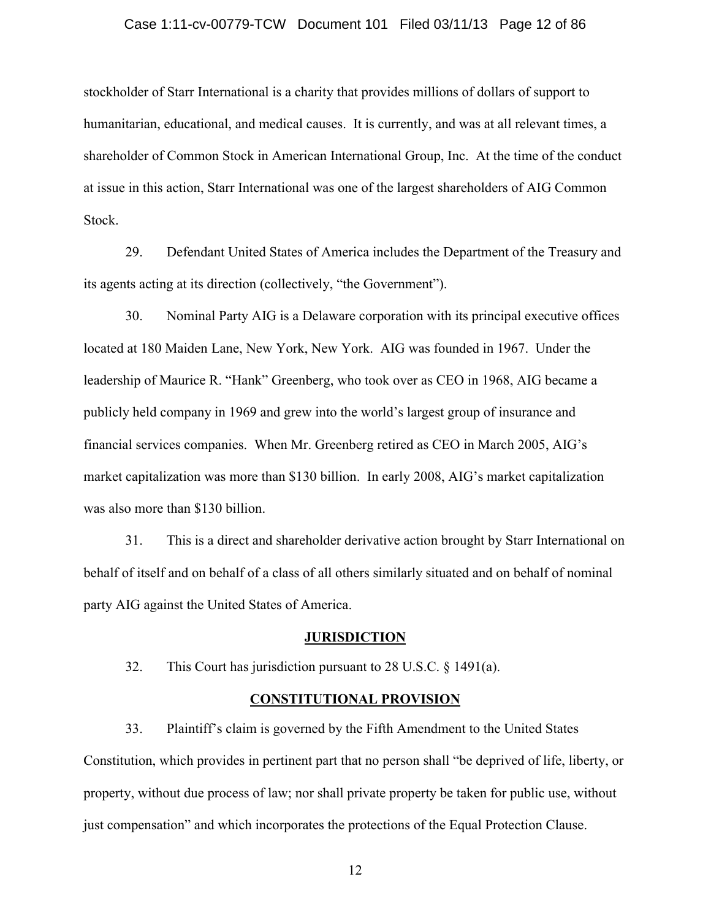### Case 1:11-cv-00779-TCW Document 101 Filed 03/11/13 Page 12 of 86

stockholder of Starr International is a charity that provides millions of dollars of support to humanitarian, educational, and medical causes. It is currently, and was at all relevant times, a shareholder of Common Stock in American International Group, Inc. At the time of the conduct at issue in this action, Starr International was one of the largest shareholders of AIG Common Stock.

29. Defendant United States of America includes the Department of the Treasury and its agents acting at its direction (collectively, "the Government").

30. Nominal Party AIG is a Delaware corporation with its principal executive offices located at 180 Maiden Lane, New York, New York. AIG was founded in 1967. Under the leadership of Maurice R. "Hank" Greenberg, who took over as CEO in 1968, AIG became a publicly held company in 1969 and grew into the world's largest group of insurance and financial services companies. When Mr. Greenberg retired as CEO in March 2005, AIG's market capitalization was more than \$130 billion. In early 2008, AIG's market capitalization was also more than \$130 billion.

31. This is a direct and shareholder derivative action brought by Starr International on behalf of itself and on behalf of a class of all others similarly situated and on behalf of nominal party AIG against the United States of America.

### **JURISDICTION**

32. This Court has jurisdiction pursuant to 28 U.S.C. § 1491(a).

## **CONSTITUTIONAL PROVISION**

33. Plaintiff's claim is governed by the Fifth Amendment to the United States Constitution, which provides in pertinent part that no person shall "be deprived of life, liberty, or property, without due process of law; nor shall private property be taken for public use, without just compensation" and which incorporates the protections of the Equal Protection Clause.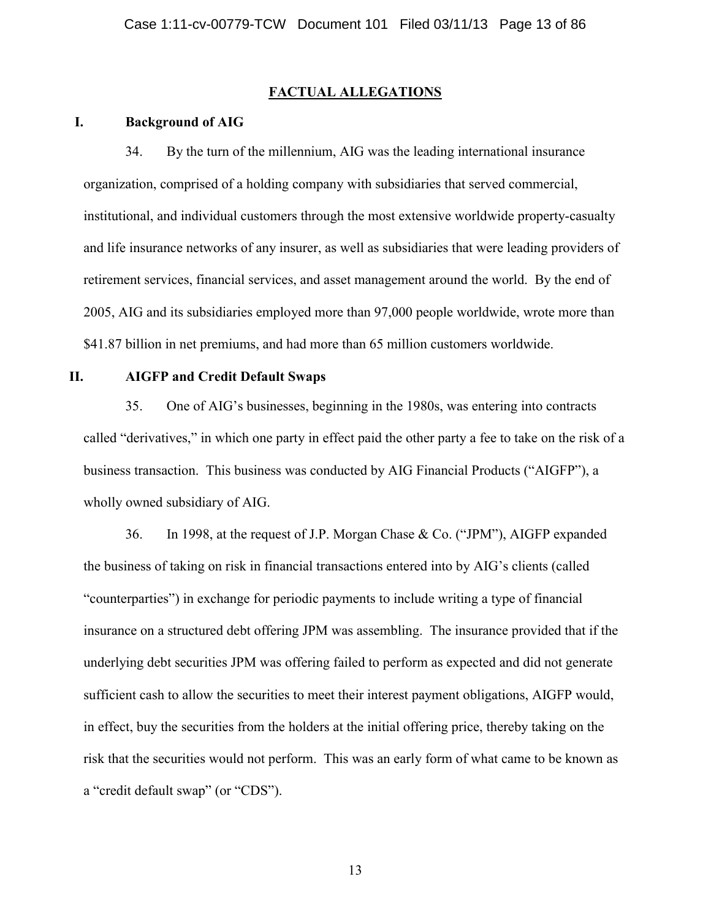### **FACTUAL ALLEGATIONS**

### **I. Background of AIG**

34. By the turn of the millennium, AIG was the leading international insurance organization, comprised of a holding company with subsidiaries that served commercial, institutional, and individual customers through the most extensive worldwide property-casualty and life insurance networks of any insurer, as well as subsidiaries that were leading providers of retirement services, financial services, and asset management around the world. By the end of 2005, AIG and its subsidiaries employed more than 97,000 people worldwide, wrote more than \$41.87 billion in net premiums, and had more than 65 million customers worldwide.

### **II. AIGFP and Credit Default Swaps**

35. One of AIG's businesses, beginning in the 1980s, was entering into contracts called "derivatives," in which one party in effect paid the other party a fee to take on the risk of a business transaction. This business was conducted by AIG Financial Products ("AIGFP"), a wholly owned subsidiary of AIG.

36. In 1998, at the request of J.P. Morgan Chase & Co. ("JPM"), AIGFP expanded the business of taking on risk in financial transactions entered into by AIG's clients (called "counterparties") in exchange for periodic payments to include writing a type of financial insurance on a structured debt offering JPM was assembling. The insurance provided that if the underlying debt securities JPM was offering failed to perform as expected and did not generate sufficient cash to allow the securities to meet their interest payment obligations, AIGFP would, in effect, buy the securities from the holders at the initial offering price, thereby taking on the risk that the securities would not perform. This was an early form of what came to be known as a "credit default swap" (or "CDS").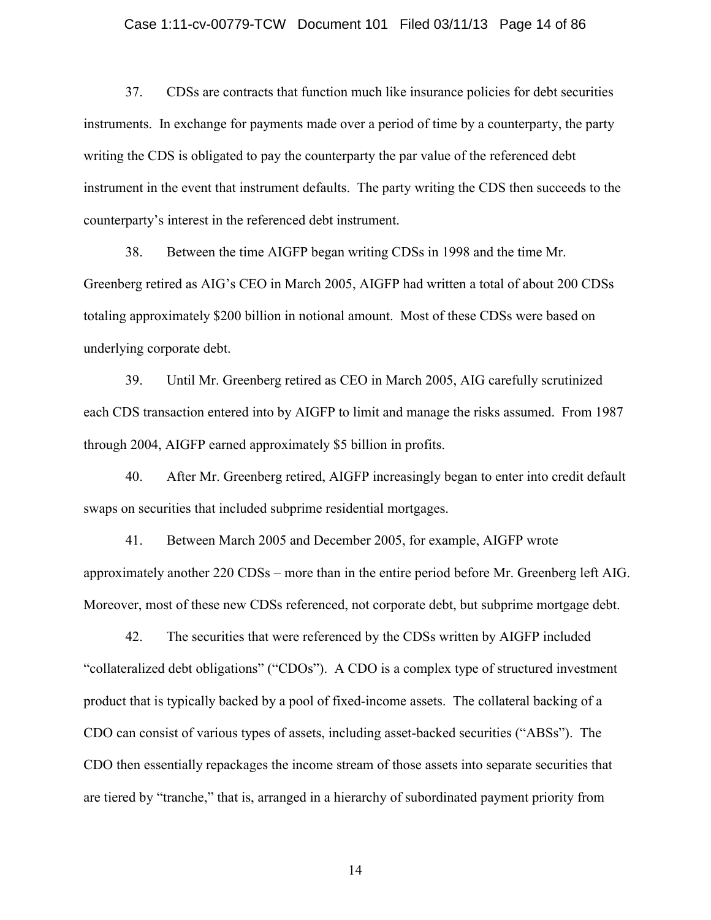#### Case 1:11-cv-00779-TCW Document 101 Filed 03/11/13 Page 14 of 86

37. CDSs are contracts that function much like insurance policies for debt securities instruments. In exchange for payments made over a period of time by a counterparty, the party writing the CDS is obligated to pay the counterparty the par value of the referenced debt instrument in the event that instrument defaults. The party writing the CDS then succeeds to the counterparty's interest in the referenced debt instrument.

38. Between the time AIGFP began writing CDSs in 1998 and the time Mr. Greenberg retired as AIG's CEO in March 2005, AIGFP had written a total of about 200 CDSs totaling approximately \$200 billion in notional amount. Most of these CDSs were based on underlying corporate debt.

39. Until Mr. Greenberg retired as CEO in March 2005, AIG carefully scrutinized each CDS transaction entered into by AIGFP to limit and manage the risks assumed. From 1987 through 2004, AIGFP earned approximately \$5 billion in profits.

40. After Mr. Greenberg retired, AIGFP increasingly began to enter into credit default swaps on securities that included subprime residential mortgages.

41. Between March 2005 and December 2005, for example, AIGFP wrote approximately another 220 CDSs – more than in the entire period before Mr. Greenberg left AIG. Moreover, most of these new CDSs referenced, not corporate debt, but subprime mortgage debt.

42. The securities that were referenced by the CDSs written by AIGFP included "collateralized debt obligations" ("CDOs"). A CDO is a complex type of structured investment product that is typically backed by a pool of fixed-income assets. The collateral backing of a CDO can consist of various types of assets, including asset-backed securities ("ABSs"). The CDO then essentially repackages the income stream of those assets into separate securities that are tiered by "tranche," that is, arranged in a hierarchy of subordinated payment priority from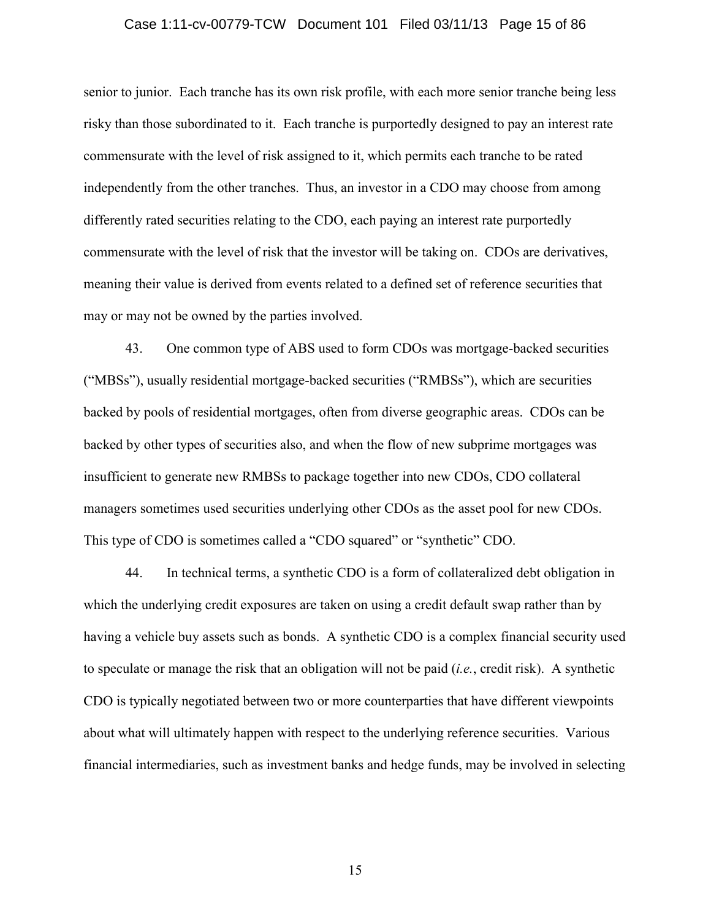### Case 1:11-cv-00779-TCW Document 101 Filed 03/11/13 Page 15 of 86

senior to junior. Each tranche has its own risk profile, with each more senior tranche being less risky than those subordinated to it. Each tranche is purportedly designed to pay an interest rate commensurate with the level of risk assigned to it, which permits each tranche to be rated independently from the other tranches. Thus, an investor in a CDO may choose from among differently rated securities relating to the CDO, each paying an interest rate purportedly commensurate with the level of risk that the investor will be taking on. CDOs are derivatives, meaning their value is derived from events related to a defined set of reference securities that may or may not be owned by the parties involved.

43. One common type of ABS used to form CDOs was mortgage-backed securities ("MBSs"), usually residential mortgage-backed securities ("RMBSs"), which are securities backed by pools of residential mortgages, often from diverse geographic areas. CDOs can be backed by other types of securities also, and when the flow of new subprime mortgages was insufficient to generate new RMBSs to package together into new CDOs, CDO collateral managers sometimes used securities underlying other CDOs as the asset pool for new CDOs. This type of CDO is sometimes called a "CDO squared" or "synthetic" CDO.

44. In technical terms, a synthetic CDO is a form of collateralized debt obligation in which the underlying credit exposures are taken on using a credit default swap rather than by having a vehicle buy assets such as bonds. A synthetic CDO is a complex financial security used to speculate or manage the risk that an obligation will not be paid (*i.e.*, credit risk). A synthetic CDO is typically negotiated between two or more counterparties that have different viewpoints about what will ultimately happen with respect to the underlying reference securities. Various financial intermediaries, such as investment banks and hedge funds, may be involved in selecting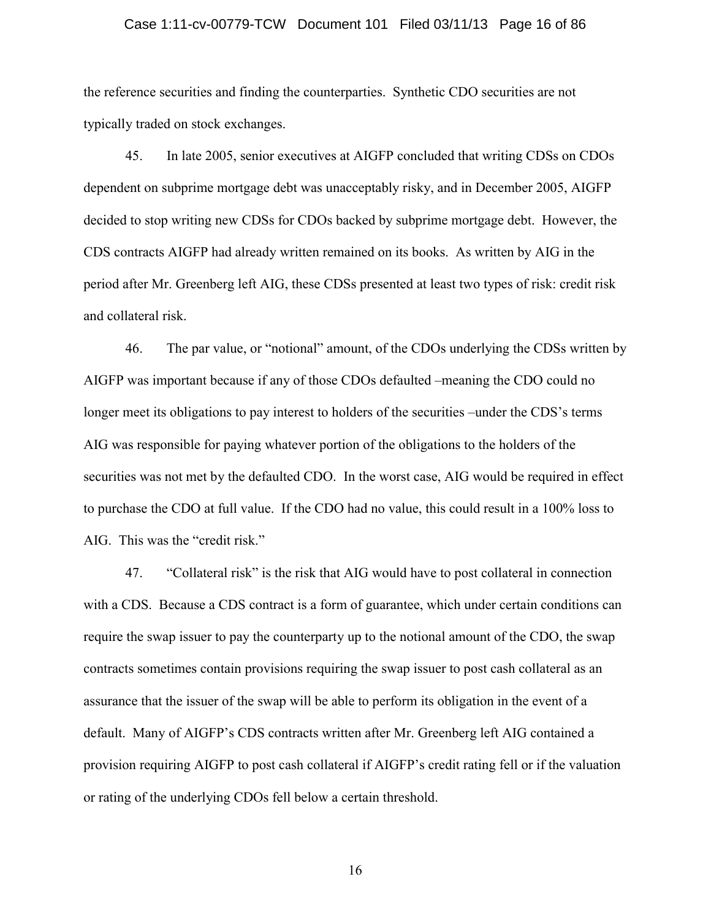### Case 1:11-cv-00779-TCW Document 101 Filed 03/11/13 Page 16 of 86

the reference securities and finding the counterparties. Synthetic CDO securities are not typically traded on stock exchanges.

45. In late 2005, senior executives at AIGFP concluded that writing CDSs on CDOs dependent on subprime mortgage debt was unacceptably risky, and in December 2005, AIGFP decided to stop writing new CDSs for CDOs backed by subprime mortgage debt. However, the CDS contracts AIGFP had already written remained on its books. As written by AIG in the period after Mr. Greenberg left AIG, these CDSs presented at least two types of risk: credit risk and collateral risk.

46. The par value, or "notional" amount, of the CDOs underlying the CDSs written by AIGFP was important because if any of those CDOs defaulted –meaning the CDO could no longer meet its obligations to pay interest to holders of the securities –under the CDS's terms AIG was responsible for paying whatever portion of the obligations to the holders of the securities was not met by the defaulted CDO. In the worst case, AIG would be required in effect to purchase the CDO at full value. If the CDO had no value, this could result in a 100% loss to AIG. This was the "credit risk."

47. "Collateral risk" is the risk that AIG would have to post collateral in connection with a CDS. Because a CDS contract is a form of guarantee, which under certain conditions can require the swap issuer to pay the counterparty up to the notional amount of the CDO, the swap contracts sometimes contain provisions requiring the swap issuer to post cash collateral as an assurance that the issuer of the swap will be able to perform its obligation in the event of a default. Many of AIGFP's CDS contracts written after Mr. Greenberg left AIG contained a provision requiring AIGFP to post cash collateral if AIGFP's credit rating fell or if the valuation or rating of the underlying CDOs fell below a certain threshold.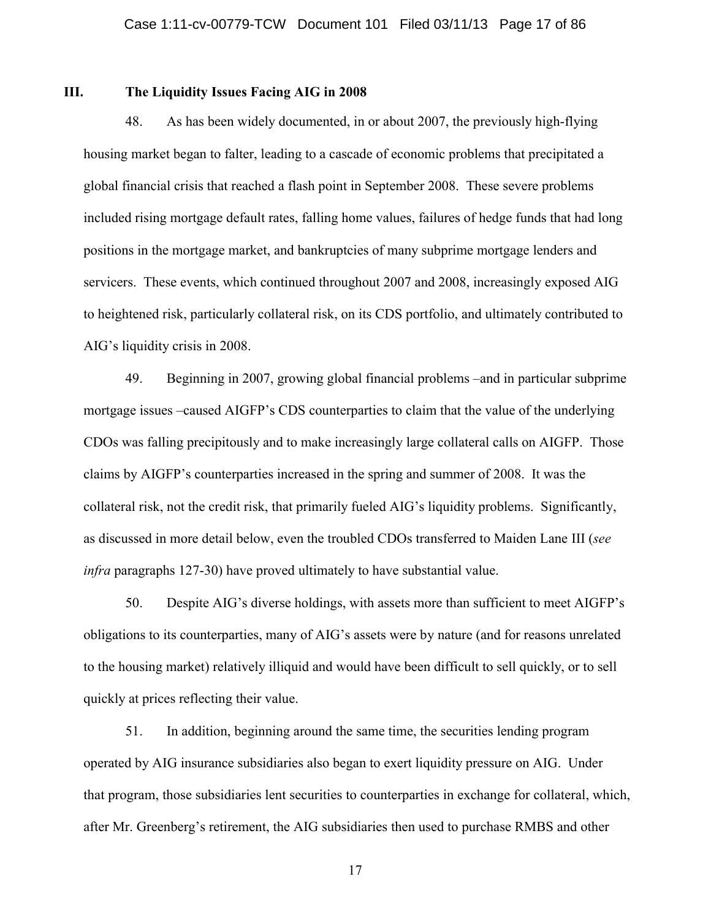## **III. The Liquidity Issues Facing AIG in 2008**

48. As has been widely documented, in or about 2007, the previously high-flying housing market began to falter, leading to a cascade of economic problems that precipitated a global financial crisis that reached a flash point in September 2008. These severe problems included rising mortgage default rates, falling home values, failures of hedge funds that had long positions in the mortgage market, and bankruptcies of many subprime mortgage lenders and servicers. These events, which continued throughout 2007 and 2008, increasingly exposed AIG to heightened risk, particularly collateral risk, on its CDS portfolio, and ultimately contributed to AIG's liquidity crisis in 2008.

49. Beginning in 2007, growing global financial problems –and in particular subprime mortgage issues –caused AIGFP's CDS counterparties to claim that the value of the underlying CDOs was falling precipitously and to make increasingly large collateral calls on AIGFP. Those claims by AIGFP's counterparties increased in the spring and summer of 2008. It was the collateral risk, not the credit risk, that primarily fueled AIG's liquidity problems. Significantly, as discussed in more detail below, even the troubled CDOs transferred to Maiden Lane III (*see infra* paragraphs 127-30) have proved ultimately to have substantial value.

50. Despite AIG's diverse holdings, with assets more than sufficient to meet AIGFP's obligations to its counterparties, many of AIG's assets were by nature (and for reasons unrelated to the housing market) relatively illiquid and would have been difficult to sell quickly, or to sell quickly at prices reflecting their value.

51. In addition, beginning around the same time, the securities lending program operated by AIG insurance subsidiaries also began to exert liquidity pressure on AIG. Under that program, those subsidiaries lent securities to counterparties in exchange for collateral, which, after Mr. Greenberg's retirement, the AIG subsidiaries then used to purchase RMBS and other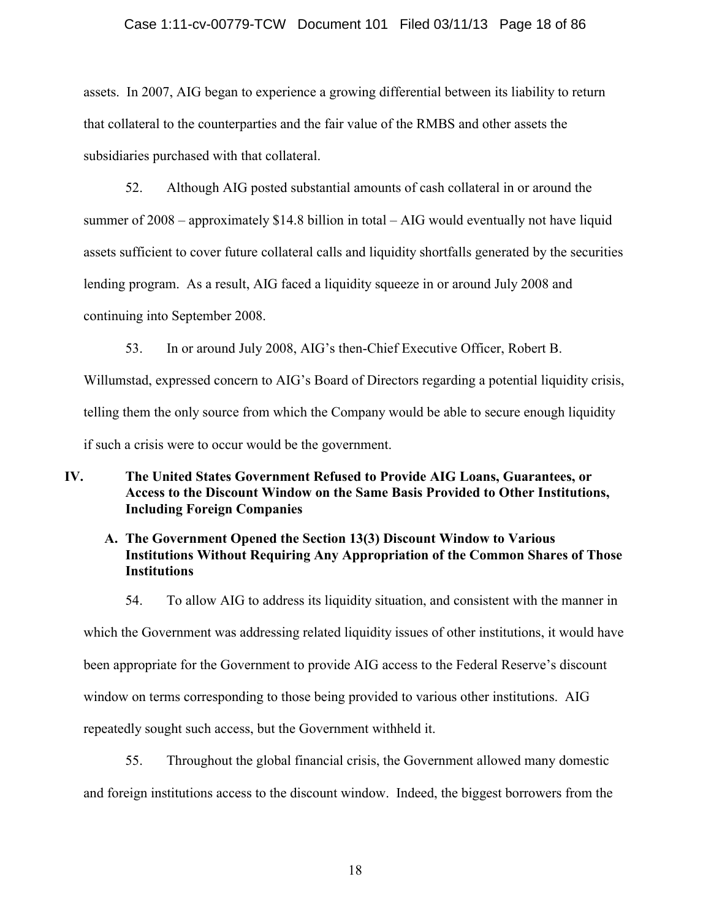### Case 1:11-cv-00779-TCW Document 101 Filed 03/11/13 Page 18 of 86

assets. In 2007, AIG began to experience a growing differential between its liability to return that collateral to the counterparties and the fair value of the RMBS and other assets the subsidiaries purchased with that collateral.

52. Although AIG posted substantial amounts of cash collateral in or around the summer of 2008 – approximately \$14.8 billion in total – AIG would eventually not have liquid assets sufficient to cover future collateral calls and liquidity shortfalls generated by the securities lending program. As a result, AIG faced a liquidity squeeze in or around July 2008 and continuing into September 2008.

53. In or around July 2008, AIG's then-Chief Executive Officer, Robert B.

Willumstad, expressed concern to AIG's Board of Directors regarding a potential liquidity crisis, telling them the only source from which the Company would be able to secure enough liquidity if such a crisis were to occur would be the government.

# **IV. The United States Government Refused to Provide AIG Loans, Guarantees, or Access to the Discount Window on the Same Basis Provided to Other Institutions, Including Foreign Companies**

# **A. The Government Opened the Section 13(3) Discount Window to Various Institutions Without Requiring Any Appropriation of the Common Shares of Those Institutions**

54. To allow AIG to address its liquidity situation, and consistent with the manner in which the Government was addressing related liquidity issues of other institutions, it would have been appropriate for the Government to provide AIG access to the Federal Reserve's discount window on terms corresponding to those being provided to various other institutions. AIG repeatedly sought such access, but the Government withheld it.

55. Throughout the global financial crisis, the Government allowed many domestic and foreign institutions access to the discount window. Indeed, the biggest borrowers from the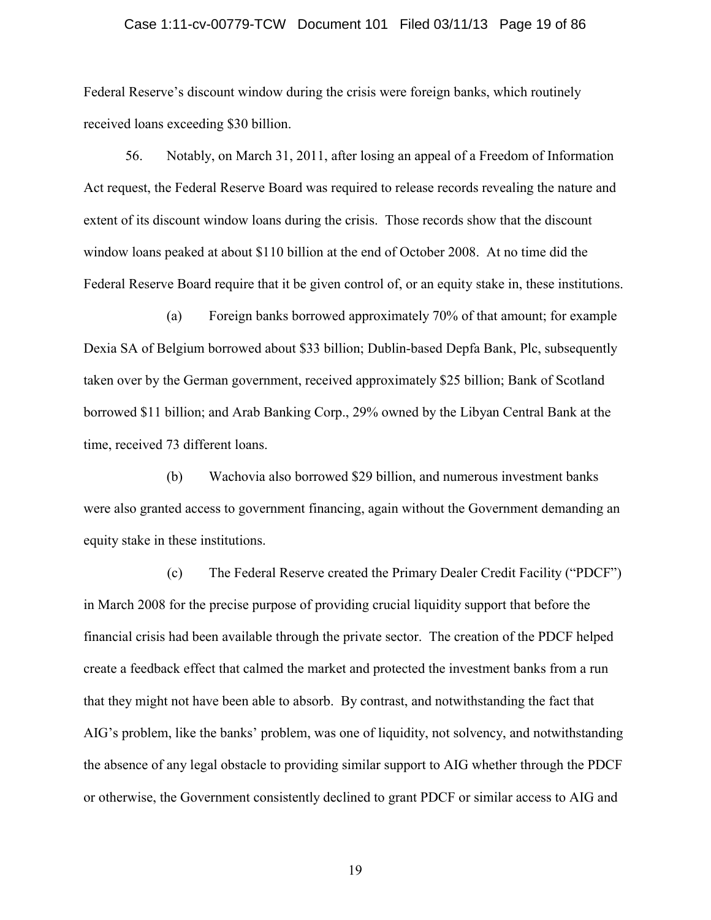### Case 1:11-cv-00779-TCW Document 101 Filed 03/11/13 Page 19 of 86

Federal Reserve's discount window during the crisis were foreign banks, which routinely received loans exceeding \$30 billion.

56. Notably, on March 31, 2011, after losing an appeal of a Freedom of Information Act request, the Federal Reserve Board was required to release records revealing the nature and extent of its discount window loans during the crisis. Those records show that the discount window loans peaked at about \$110 billion at the end of October 2008. At no time did the Federal Reserve Board require that it be given control of, or an equity stake in, these institutions.

(a) Foreign banks borrowed approximately 70% of that amount; for example Dexia SA of Belgium borrowed about \$33 billion; Dublin-based Depfa Bank, Plc, subsequently taken over by the German government, received approximately \$25 billion; Bank of Scotland borrowed \$11 billion; and Arab Banking Corp., 29% owned by the Libyan Central Bank at the time, received 73 different loans.

(b) Wachovia also borrowed \$29 billion, and numerous investment banks were also granted access to government financing, again without the Government demanding an equity stake in these institutions.

(c) The Federal Reserve created the Primary Dealer Credit Facility ("PDCF") in March 2008 for the precise purpose of providing crucial liquidity support that before the financial crisis had been available through the private sector. The creation of the PDCF helped create a feedback effect that calmed the market and protected the investment banks from a run that they might not have been able to absorb. By contrast, and notwithstanding the fact that AIG's problem, like the banks' problem, was one of liquidity, not solvency, and notwithstanding the absence of any legal obstacle to providing similar support to AIG whether through the PDCF or otherwise, the Government consistently declined to grant PDCF or similar access to AIG and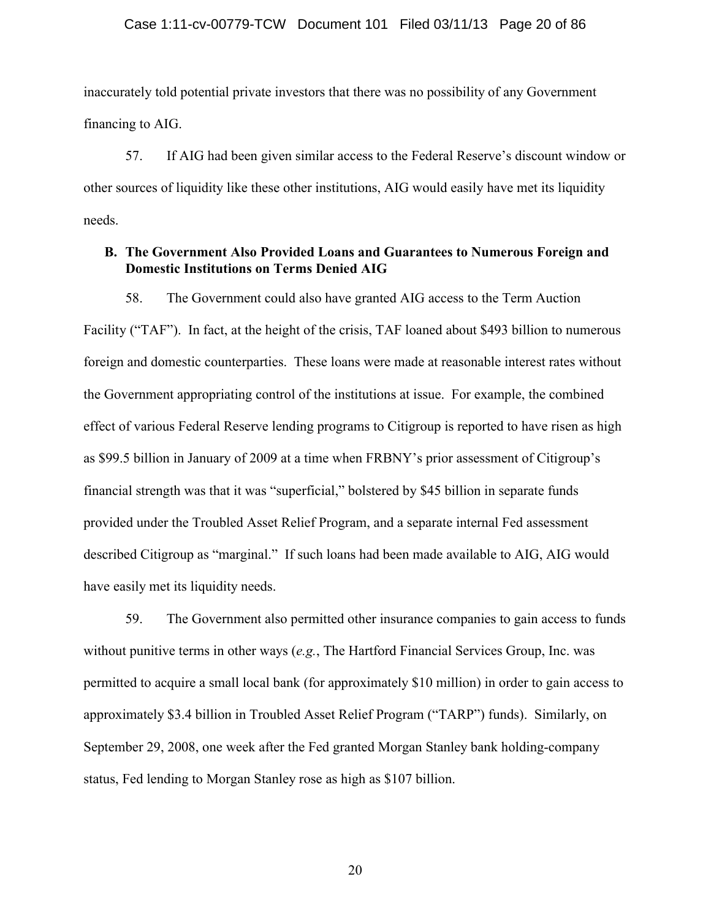inaccurately told potential private investors that there was no possibility of any Government financing to AIG.

57. If AIG had been given similar access to the Federal Reserve's discount window or other sources of liquidity like these other institutions, AIG would easily have met its liquidity needs.

## **B. The Government Also Provided Loans and Guarantees to Numerous Foreign and Domestic Institutions on Terms Denied AIG**

58. The Government could also have granted AIG access to the Term Auction Facility ("TAF"). In fact, at the height of the crisis, TAF loaned about \$493 billion to numerous foreign and domestic counterparties. These loans were made at reasonable interest rates without the Government appropriating control of the institutions at issue. For example, the combined effect of various Federal Reserve lending programs to Citigroup is reported to have risen as high as \$99.5 billion in January of 2009 at a time when FRBNY's prior assessment of Citigroup's financial strength was that it was "superficial," bolstered by \$45 billion in separate funds provided under the Troubled Asset Relief Program, and a separate internal Fed assessment described Citigroup as "marginal." If such loans had been made available to AIG, AIG would have easily met its liquidity needs.

59. The Government also permitted other insurance companies to gain access to funds without punitive terms in other ways (*e.g.*, The Hartford Financial Services Group, Inc. was permitted to acquire a small local bank (for approximately \$10 million) in order to gain access to approximately \$3.4 billion in Troubled Asset Relief Program ("TARP") funds). Similarly, on September 29, 2008, one week after the Fed granted Morgan Stanley bank holding-company status, Fed lending to Morgan Stanley rose as high as \$107 billion.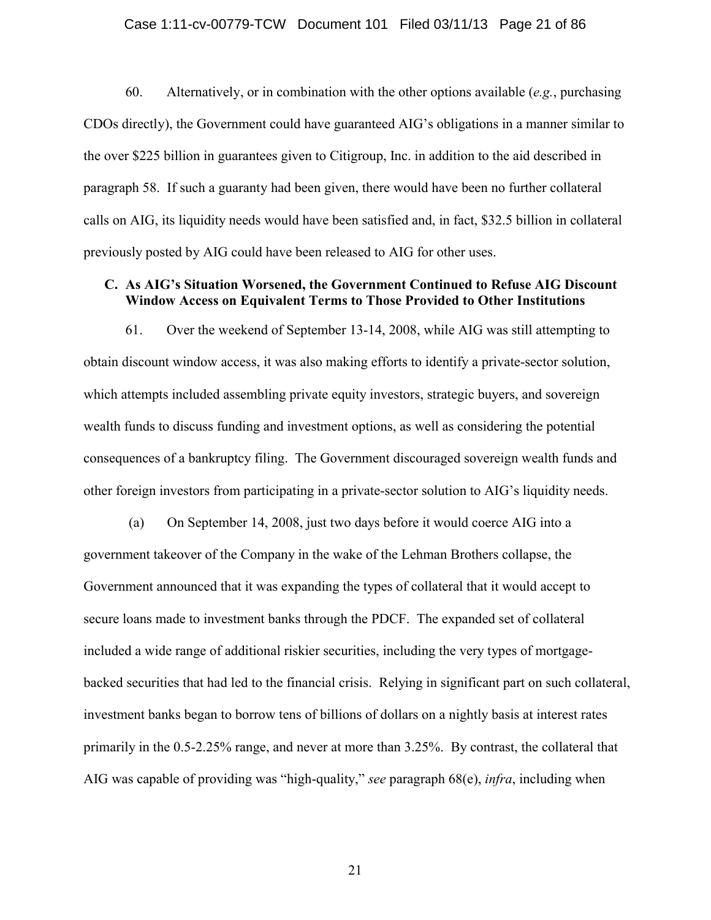### Case 1:11-cv-00779-TCW Document 101 Filed 03/11/13 Page 21 of 86

60. Alternatively, or in combination with the other options available (*e.g.*, purchasing CDOs directly), the Government could have guaranteed AIG's obligations in a manner similar to the over \$225 billion in guarantees given to Citigroup, Inc. in addition to the aid described in paragraph 58. If such a guaranty had been given, there would have been no further collateral calls on AIG, its liquidity needs would have been satisfied and, in fact, \$32.5 billion in collateral previously posted by AIG could have been released to AIG for other uses.

## **C. As AIG's Situation Worsened, the Government Continued to Refuse AIG Discount Window Access on Equivalent Terms to Those Provided to Other Institutions**

61. Over the weekend of September 13-14, 2008, while AIG was still attempting to obtain discount window access, it was also making efforts to identify a private-sector solution, which attempts included assembling private equity investors, strategic buyers, and sovereign wealth funds to discuss funding and investment options, as well as considering the potential consequences of a bankruptcy filing. The Government discouraged sovereign wealth funds and other foreign investors from participating in a private-sector solution to AIG's liquidity needs.

(a) On September 14, 2008, just two days before it would coerce AIG into a government takeover of the Company in the wake of the Lehman Brothers collapse, the Government announced that it was expanding the types of collateral that it would accept to secure loans made to investment banks through the PDCF. The expanded set of collateral included a wide range of additional riskier securities, including the very types of mortgagebacked securities that had led to the financial crisis. Relying in significant part on such collateral, investment banks began to borrow tens of billions of dollars on a nightly basis at interest rates primarily in the 0.5-2.25% range, and never at more than 3.25%. By contrast, the collateral that AIG was capable of providing was "high-quality," *see* paragraph 68(e), *infra*, including when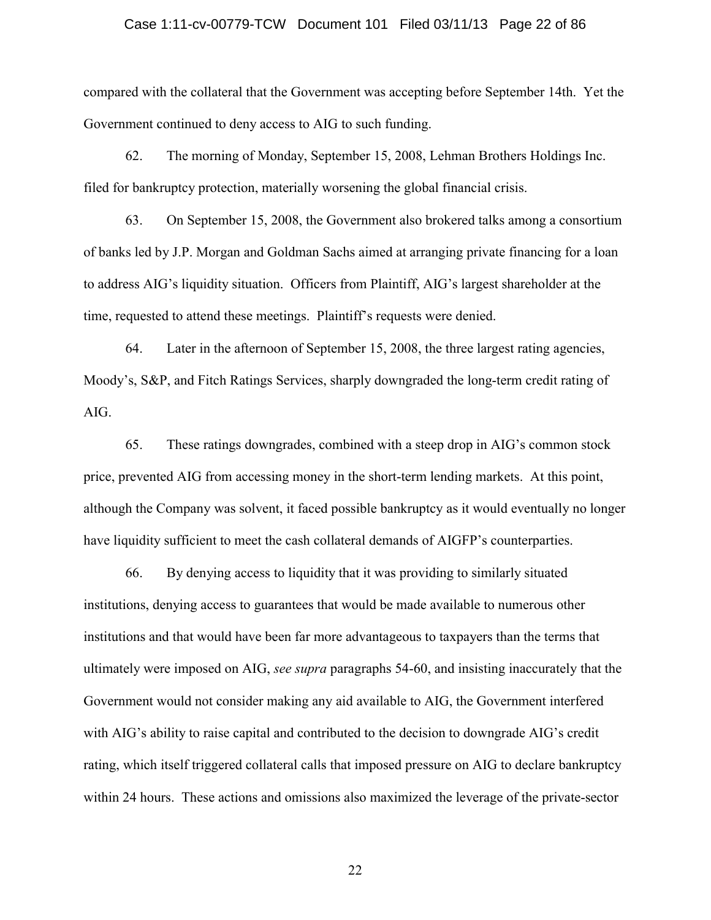### Case 1:11-cv-00779-TCW Document 101 Filed 03/11/13 Page 22 of 86

compared with the collateral that the Government was accepting before September 14th. Yet the Government continued to deny access to AIG to such funding.

62. The morning of Monday, September 15, 2008, Lehman Brothers Holdings Inc. filed for bankruptcy protection, materially worsening the global financial crisis.

63. On September 15, 2008, the Government also brokered talks among a consortium of banks led by J.P. Morgan and Goldman Sachs aimed at arranging private financing for a loan to address AIG's liquidity situation. Officers from Plaintiff, AIG's largest shareholder at the time, requested to attend these meetings. Plaintiff's requests were denied.

64. Later in the afternoon of September 15, 2008, the three largest rating agencies, Moody's, S&P, and Fitch Ratings Services, sharply downgraded the long-term credit rating of AIG.

65. These ratings downgrades, combined with a steep drop in AIG's common stock price, prevented AIG from accessing money in the short-term lending markets. At this point, although the Company was solvent, it faced possible bankruptcy as it would eventually no longer have liquidity sufficient to meet the cash collateral demands of AIGFP's counterparties.

66. By denying access to liquidity that it was providing to similarly situated institutions, denying access to guarantees that would be made available to numerous other institutions and that would have been far more advantageous to taxpayers than the terms that ultimately were imposed on AIG, *see supra* paragraphs 54-60, and insisting inaccurately that the Government would not consider making any aid available to AIG, the Government interfered with AIG's ability to raise capital and contributed to the decision to downgrade AIG's credit rating, which itself triggered collateral calls that imposed pressure on AIG to declare bankruptcy within 24 hours. These actions and omissions also maximized the leverage of the private-sector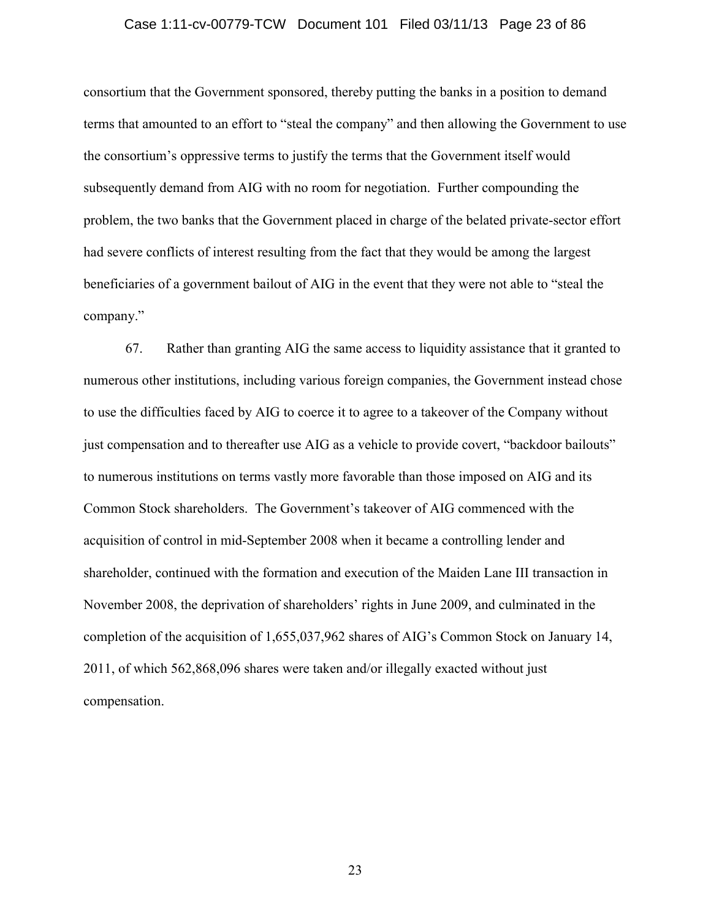### Case 1:11-cv-00779-TCW Document 101 Filed 03/11/13 Page 23 of 86

consortium that the Government sponsored, thereby putting the banks in a position to demand terms that amounted to an effort to "steal the company" and then allowing the Government to use the consortium's oppressive terms to justify the terms that the Government itself would subsequently demand from AIG with no room for negotiation. Further compounding the problem, the two banks that the Government placed in charge of the belated private-sector effort had severe conflicts of interest resulting from the fact that they would be among the largest beneficiaries of a government bailout of AIG in the event that they were not able to "steal the company."

67. Rather than granting AIG the same access to liquidity assistance that it granted to numerous other institutions, including various foreign companies, the Government instead chose to use the difficulties faced by AIG to coerce it to agree to a takeover of the Company without just compensation and to thereafter use AIG as a vehicle to provide covert, "backdoor bailouts" to numerous institutions on terms vastly more favorable than those imposed on AIG and its Common Stock shareholders. The Government's takeover of AIG commenced with the acquisition of control in mid-September 2008 when it became a controlling lender and shareholder, continued with the formation and execution of the Maiden Lane III transaction in November 2008, the deprivation of shareholders' rights in June 2009, and culminated in the completion of the acquisition of 1,655,037,962 shares of AIG's Common Stock on January 14, 2011, of which 562,868,096 shares were taken and/or illegally exacted without just compensation.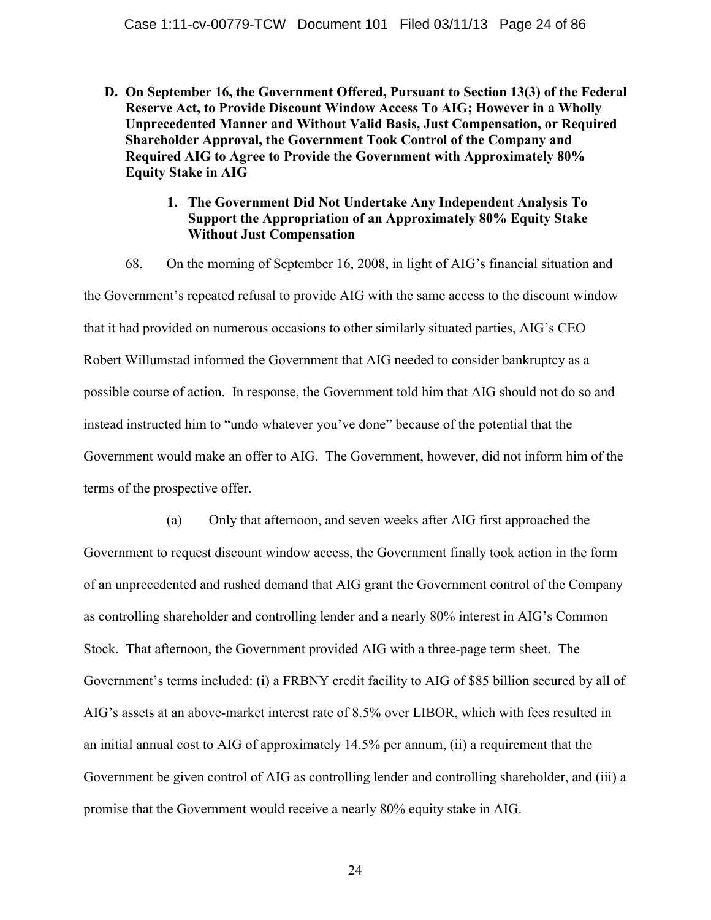- **D. On September 16, the Government Offered, Pursuant to Section 13(3) of the Federal Reserve Act, to Provide Discount Window Access To AIG; However in a Wholly Unprecedented Manner and Without Valid Basis, Just Compensation, or Required Shareholder Approval, the Government Took Control of the Company and Required AIG to Agree to Provide the Government with Approximately 80% Equity Stake in AIG**
	- **1. The Government Did Not Undertake Any Independent Analysis To Support the Appropriation of an Approximately 80% Equity Stake Without Just Compensation**

68. On the morning of September 16, 2008, in light of AIG's financial situation and the Government's repeated refusal to provide AIG with the same access to the discount window that it had provided on numerous occasions to other similarly situated parties, AIG's CEO Robert Willumstad informed the Government that AIG needed to consider bankruptcy as a possible course of action. In response, the Government told him that AIG should not do so and instead instructed him to "undo whatever you've done" because of the potential that the Government would make an offer to AIG. The Government, however, did not inform him of the terms of the prospective offer.

(a) Only that afternoon, and seven weeks after AIG first approached the Government to request discount window access, the Government finally took action in the form of an unprecedented and rushed demand that AIG grant the Government control of the Company as controlling shareholder and controlling lender and a nearly 80% interest in AIG's Common Stock. That afternoon, the Government provided AIG with a three-page term sheet. The Government's terms included: (i) a FRBNY credit facility to AIG of \$85 billion secured by all of AIG's assets at an above-market interest rate of 8.5% over LIBOR, which with fees resulted in an initial annual cost to AIG of approximately 14.5% per annum, (ii) a requirement that the Government be given control of AIG as controlling lender and controlling shareholder, and (iii) a promise that the Government would receive a nearly 80% equity stake in AIG.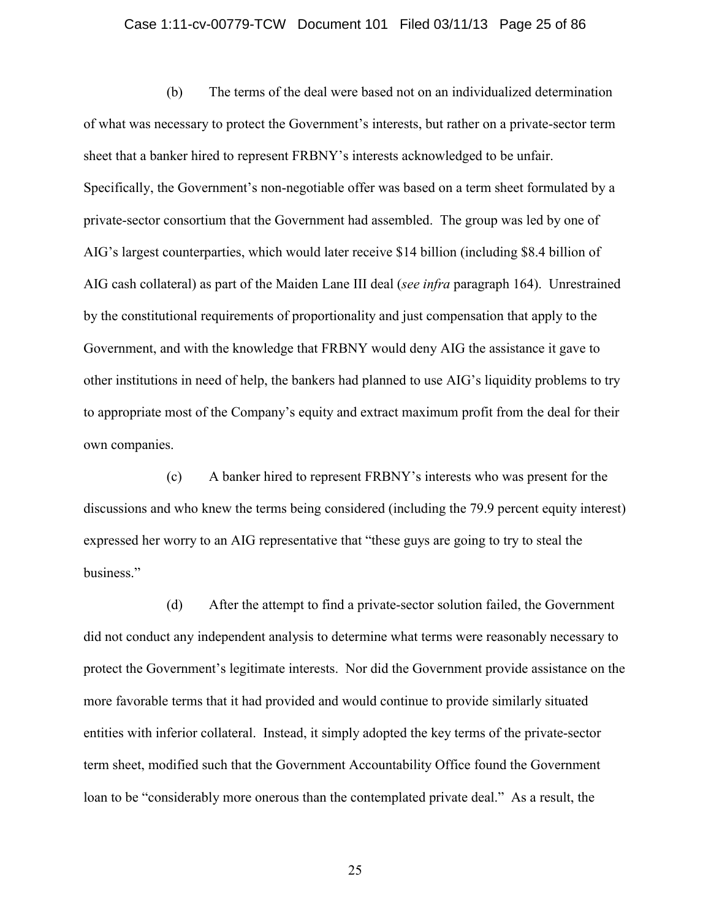### Case 1:11-cv-00779-TCW Document 101 Filed 03/11/13 Page 25 of 86

(b) The terms of the deal were based not on an individualized determination of what was necessary to protect the Government's interests, but rather on a private-sector term sheet that a banker hired to represent FRBNY's interests acknowledged to be unfair. Specifically, the Government's non-negotiable offer was based on a term sheet formulated by a private-sector consortium that the Government had assembled. The group was led by one of AIG's largest counterparties, which would later receive \$14 billion (including \$8.4 billion of AIG cash collateral) as part of the Maiden Lane III deal (*see infra* paragraph 164). Unrestrained by the constitutional requirements of proportionality and just compensation that apply to the Government, and with the knowledge that FRBNY would deny AIG the assistance it gave to other institutions in need of help, the bankers had planned to use AIG's liquidity problems to try to appropriate most of the Company's equity and extract maximum profit from the deal for their own companies.

(c) A banker hired to represent FRBNY's interests who was present for the discussions and who knew the terms being considered (including the 79.9 percent equity interest) expressed her worry to an AIG representative that "these guys are going to try to steal the business."

(d) After the attempt to find a private-sector solution failed, the Government did not conduct any independent analysis to determine what terms were reasonably necessary to protect the Government's legitimate interests. Nor did the Government provide assistance on the more favorable terms that it had provided and would continue to provide similarly situated entities with inferior collateral. Instead, it simply adopted the key terms of the private-sector term sheet, modified such that the Government Accountability Office found the Government loan to be "considerably more onerous than the contemplated private deal." As a result, the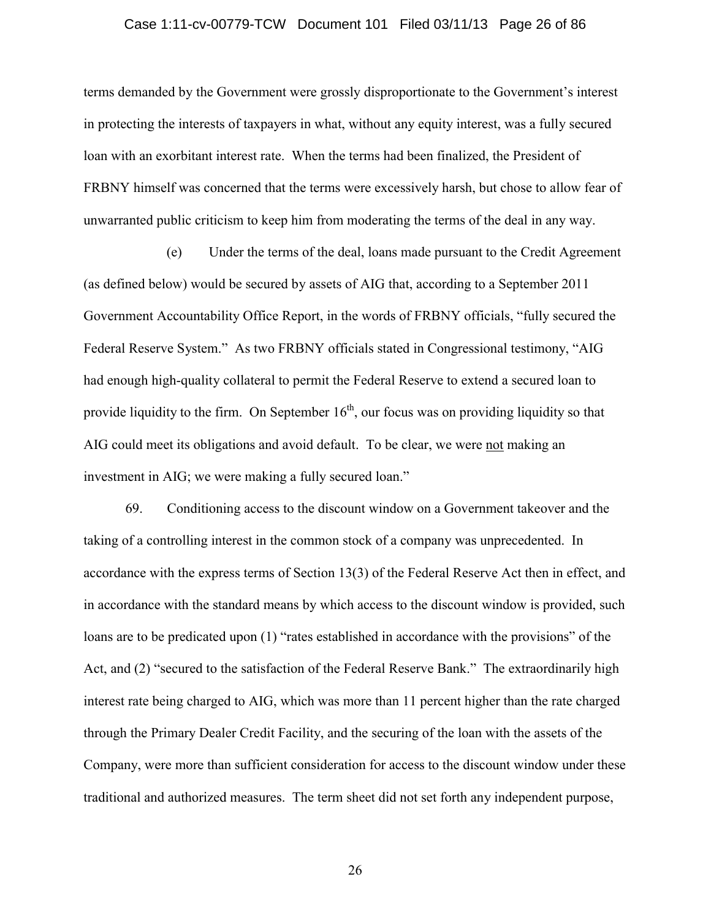### Case 1:11-cv-00779-TCW Document 101 Filed 03/11/13 Page 26 of 86

terms demanded by the Government were grossly disproportionate to the Government's interest in protecting the interests of taxpayers in what, without any equity interest, was a fully secured loan with an exorbitant interest rate. When the terms had been finalized, the President of FRBNY himself was concerned that the terms were excessively harsh, but chose to allow fear of unwarranted public criticism to keep him from moderating the terms of the deal in any way.

(e) Under the terms of the deal, loans made pursuant to the Credit Agreement (as defined below) would be secured by assets of AIG that, according to a September 2011 Government Accountability Office Report, in the words of FRBNY officials, "fully secured the Federal Reserve System." As two FRBNY officials stated in Congressional testimony, "AIG had enough high-quality collateral to permit the Federal Reserve to extend a secured loan to provide liquidity to the firm. On September  $16<sup>th</sup>$ , our focus was on providing liquidity so that AIG could meet its obligations and avoid default. To be clear, we were not making an investment in AIG; we were making a fully secured loan."

69. Conditioning access to the discount window on a Government takeover and the taking of a controlling interest in the common stock of a company was unprecedented. In accordance with the express terms of Section 13(3) of the Federal Reserve Act then in effect, and in accordance with the standard means by which access to the discount window is provided, such loans are to be predicated upon (1) "rates established in accordance with the provisions" of the Act, and (2) "secured to the satisfaction of the Federal Reserve Bank." The extraordinarily high interest rate being charged to AIG, which was more than 11 percent higher than the rate charged through the Primary Dealer Credit Facility, and the securing of the loan with the assets of the Company, were more than sufficient consideration for access to the discount window under these traditional and authorized measures. The term sheet did not set forth any independent purpose,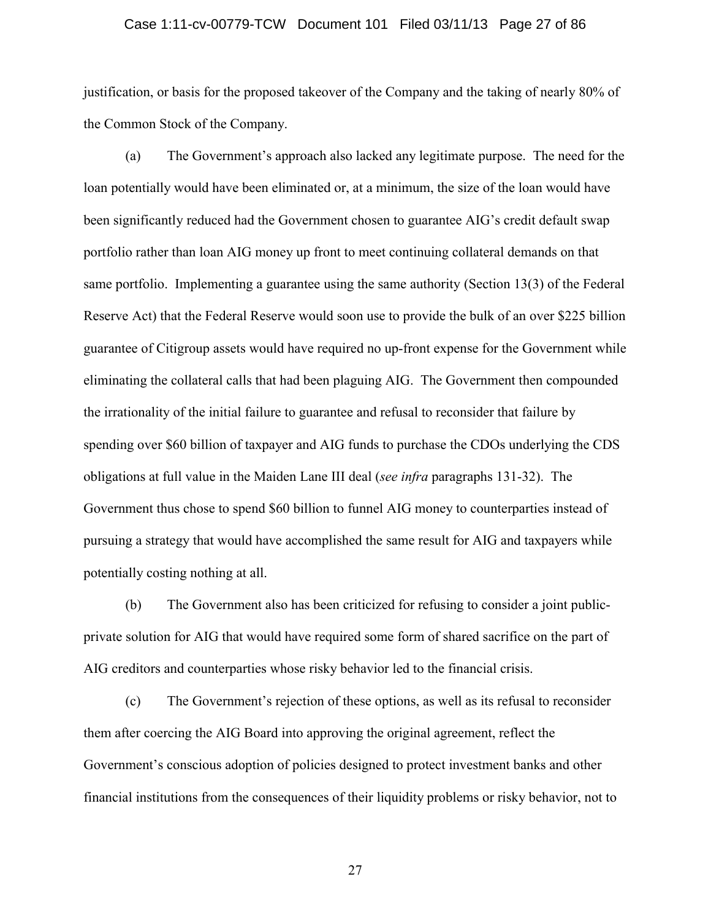### Case 1:11-cv-00779-TCW Document 101 Filed 03/11/13 Page 27 of 86

justification, or basis for the proposed takeover of the Company and the taking of nearly 80% of the Common Stock of the Company.

(a) The Government's approach also lacked any legitimate purpose. The need for the loan potentially would have been eliminated or, at a minimum, the size of the loan would have been significantly reduced had the Government chosen to guarantee AIG's credit default swap portfolio rather than loan AIG money up front to meet continuing collateral demands on that same portfolio. Implementing a guarantee using the same authority (Section 13(3) of the Federal Reserve Act) that the Federal Reserve would soon use to provide the bulk of an over \$225 billion guarantee of Citigroup assets would have required no up-front expense for the Government while eliminating the collateral calls that had been plaguing AIG. The Government then compounded the irrationality of the initial failure to guarantee and refusal to reconsider that failure by spending over \$60 billion of taxpayer and AIG funds to purchase the CDOs underlying the CDS obligations at full value in the Maiden Lane III deal (*see infra* paragraphs 131-32). The Government thus chose to spend \$60 billion to funnel AIG money to counterparties instead of pursuing a strategy that would have accomplished the same result for AIG and taxpayers while potentially costing nothing at all.

(b) The Government also has been criticized for refusing to consider a joint publicprivate solution for AIG that would have required some form of shared sacrifice on the part of AIG creditors and counterparties whose risky behavior led to the financial crisis.

(c) The Government's rejection of these options, as well as its refusal to reconsider them after coercing the AIG Board into approving the original agreement, reflect the Government's conscious adoption of policies designed to protect investment banks and other financial institutions from the consequences of their liquidity problems or risky behavior, not to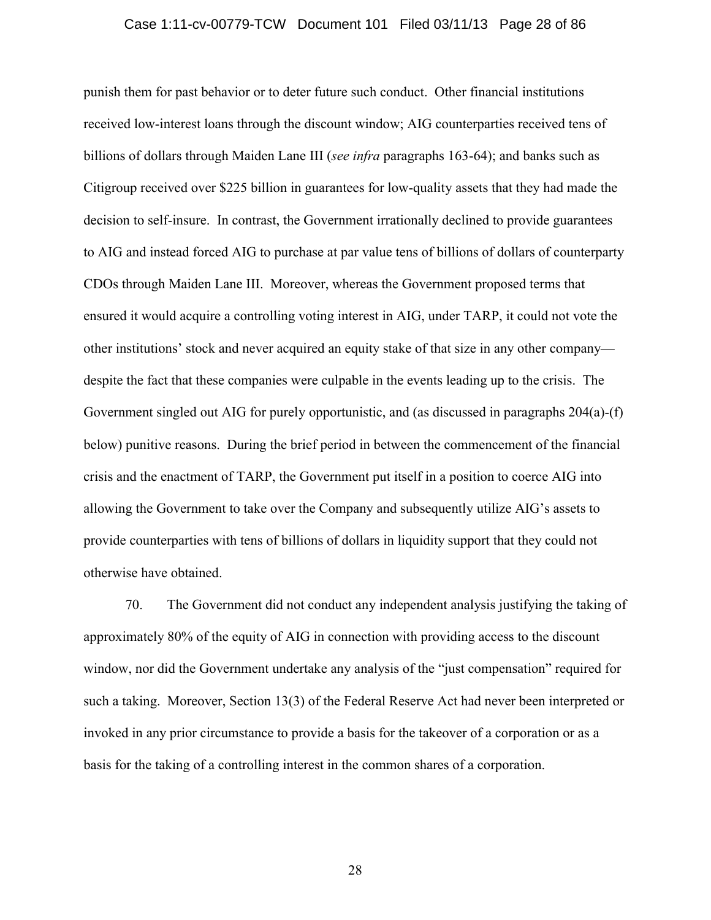### Case 1:11-cv-00779-TCW Document 101 Filed 03/11/13 Page 28 of 86

punish them for past behavior or to deter future such conduct. Other financial institutions received low-interest loans through the discount window; AIG counterparties received tens of billions of dollars through Maiden Lane III (*see infra* paragraphs 163-64); and banks such as Citigroup received over \$225 billion in guarantees for low-quality assets that they had made the decision to self-insure. In contrast, the Government irrationally declined to provide guarantees to AIG and instead forced AIG to purchase at par value tens of billions of dollars of counterparty CDOs through Maiden Lane III. Moreover, whereas the Government proposed terms that ensured it would acquire a controlling voting interest in AIG, under TARP, it could not vote the other institutions' stock and never acquired an equity stake of that size in any other company despite the fact that these companies were culpable in the events leading up to the crisis. The Government singled out AIG for purely opportunistic, and (as discussed in paragraphs 204(a)-(f) below) punitive reasons. During the brief period in between the commencement of the financial crisis and the enactment of TARP, the Government put itself in a position to coerce AIG into allowing the Government to take over the Company and subsequently utilize AIG's assets to provide counterparties with tens of billions of dollars in liquidity support that they could not otherwise have obtained.

70. The Government did not conduct any independent analysis justifying the taking of approximately 80% of the equity of AIG in connection with providing access to the discount window, nor did the Government undertake any analysis of the "just compensation" required for such a taking. Moreover, Section 13(3) of the Federal Reserve Act had never been interpreted or invoked in any prior circumstance to provide a basis for the takeover of a corporation or as a basis for the taking of a controlling interest in the common shares of a corporation.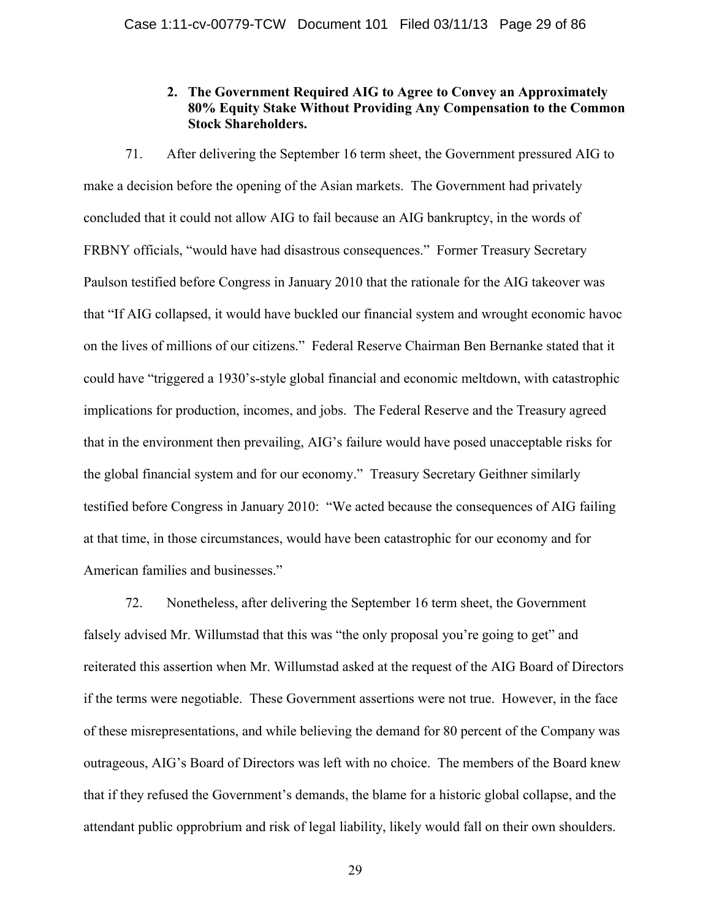# **2. The Government Required AIG to Agree to Convey an Approximately 80% Equity Stake Without Providing Any Compensation to the Common Stock Shareholders.**

71. After delivering the September 16 term sheet, the Government pressured AIG to make a decision before the opening of the Asian markets. The Government had privately concluded that it could not allow AIG to fail because an AIG bankruptcy, in the words of FRBNY officials, "would have had disastrous consequences." Former Treasury Secretary Paulson testified before Congress in January 2010 that the rationale for the AIG takeover was that "If AIG collapsed, it would have buckled our financial system and wrought economic havoc on the lives of millions of our citizens." Federal Reserve Chairman Ben Bernanke stated that it could have "triggered a 1930's-style global financial and economic meltdown, with catastrophic implications for production, incomes, and jobs. The Federal Reserve and the Treasury agreed that in the environment then prevailing, AIG's failure would have posed unacceptable risks for the global financial system and for our economy." Treasury Secretary Geithner similarly testified before Congress in January 2010: "We acted because the consequences of AIG failing at that time, in those circumstances, would have been catastrophic for our economy and for American families and businesses."

72. Nonetheless, after delivering the September 16 term sheet, the Government falsely advised Mr. Willumstad that this was "the only proposal you're going to get" and reiterated this assertion when Mr. Willumstad asked at the request of the AIG Board of Directors if the terms were negotiable. These Government assertions were not true. However, in the face of these misrepresentations, and while believing the demand for 80 percent of the Company was outrageous, AIG's Board of Directors was left with no choice. The members of the Board knew that if they refused the Government's demands, the blame for a historic global collapse, and the attendant public opprobrium and risk of legal liability, likely would fall on their own shoulders.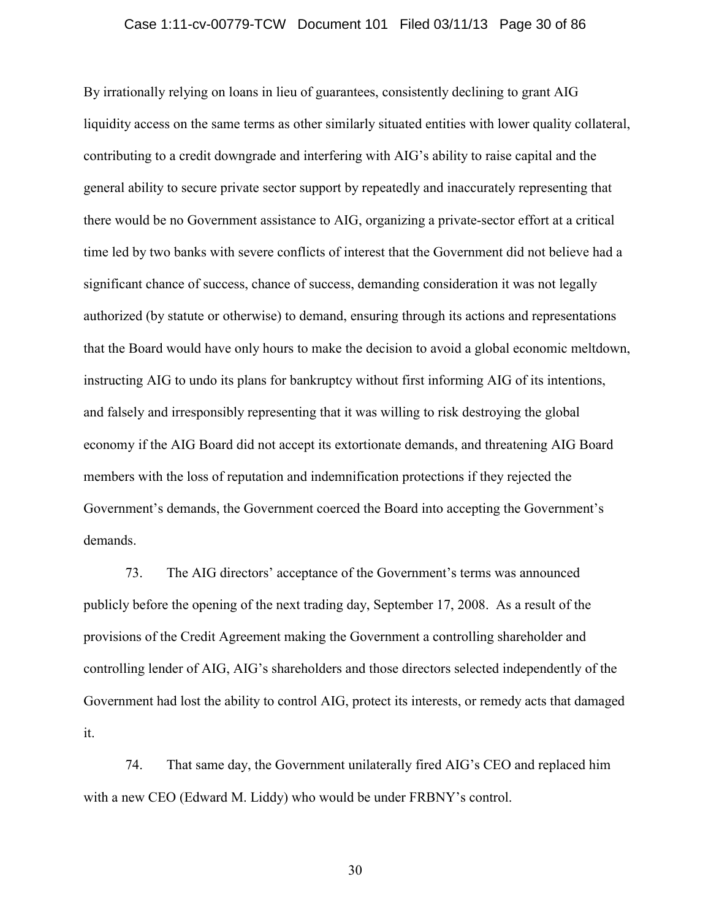### Case 1:11-cv-00779-TCW Document 101 Filed 03/11/13 Page 30 of 86

By irrationally relying on loans in lieu of guarantees, consistently declining to grant AIG liquidity access on the same terms as other similarly situated entities with lower quality collateral, contributing to a credit downgrade and interfering with AIG's ability to raise capital and the general ability to secure private sector support by repeatedly and inaccurately representing that there would be no Government assistance to AIG, organizing a private-sector effort at a critical time led by two banks with severe conflicts of interest that the Government did not believe had a significant chance of success, chance of success, demanding consideration it was not legally authorized (by statute or otherwise) to demand, ensuring through its actions and representations that the Board would have only hours to make the decision to avoid a global economic meltdown, instructing AIG to undo its plans for bankruptcy without first informing AIG of its intentions, and falsely and irresponsibly representing that it was willing to risk destroying the global economy if the AIG Board did not accept its extortionate demands, and threatening AIG Board members with the loss of reputation and indemnification protections if they rejected the Government's demands, the Government coerced the Board into accepting the Government's demands.

73. The AIG directors' acceptance of the Government's terms was announced publicly before the opening of the next trading day, September 17, 2008. As a result of the provisions of the Credit Agreement making the Government a controlling shareholder and controlling lender of AIG, AIG's shareholders and those directors selected independently of the Government had lost the ability to control AIG, protect its interests, or remedy acts that damaged it.

74. That same day, the Government unilaterally fired AIG's CEO and replaced him with a new CEO (Edward M. Liddy) who would be under FRBNY's control.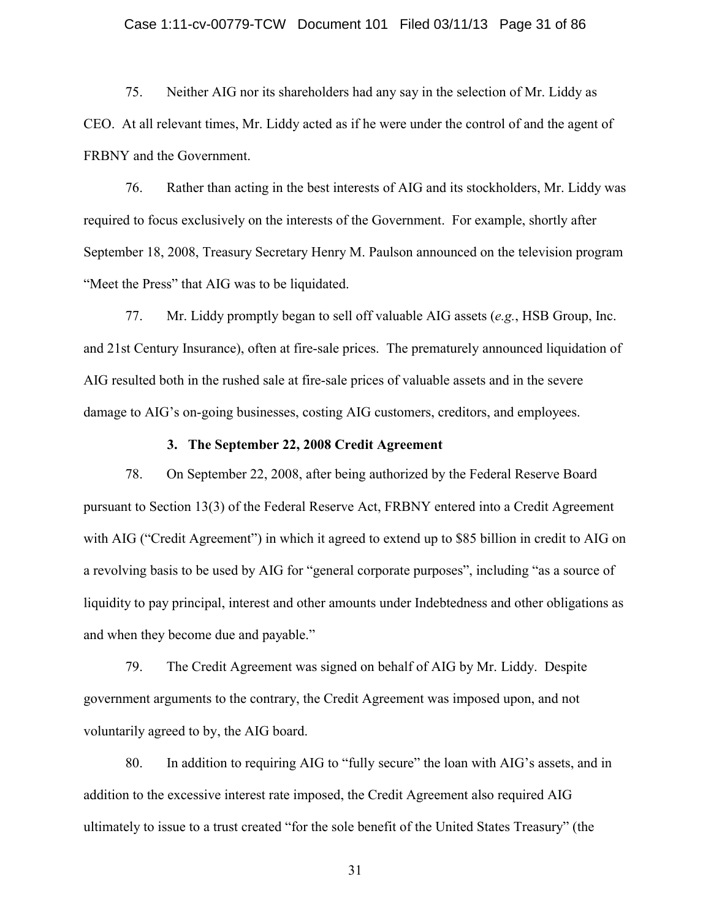### Case 1:11-cv-00779-TCW Document 101 Filed 03/11/13 Page 31 of 86

75. Neither AIG nor its shareholders had any say in the selection of Mr. Liddy as CEO. At all relevant times, Mr. Liddy acted as if he were under the control of and the agent of FRBNY and the Government.

76. Rather than acting in the best interests of AIG and its stockholders, Mr. Liddy was required to focus exclusively on the interests of the Government. For example, shortly after September 18, 2008, Treasury Secretary Henry M. Paulson announced on the television program "Meet the Press" that AIG was to be liquidated.

77. Mr. Liddy promptly began to sell off valuable AIG assets (*e.g.*, HSB Group, Inc. and 21st Century Insurance), often at fire-sale prices. The prematurely announced liquidation of AIG resulted both in the rushed sale at fire-sale prices of valuable assets and in the severe damage to AIG's on-going businesses, costing AIG customers, creditors, and employees.

### **3. The September 22, 2008 Credit Agreement**

78. On September 22, 2008, after being authorized by the Federal Reserve Board pursuant to Section 13(3) of the Federal Reserve Act, FRBNY entered into a Credit Agreement with AIG ("Credit Agreement") in which it agreed to extend up to \$85 billion in credit to AIG on a revolving basis to be used by AIG for "general corporate purposes", including "as a source of liquidity to pay principal, interest and other amounts under Indebtedness and other obligations as and when they become due and payable."

79. The Credit Agreement was signed on behalf of AIG by Mr. Liddy. Despite government arguments to the contrary, the Credit Agreement was imposed upon, and not voluntarily agreed to by, the AIG board.

80. In addition to requiring AIG to "fully secure" the loan with AIG's assets, and in addition to the excessive interest rate imposed, the Credit Agreement also required AIG ultimately to issue to a trust created "for the sole benefit of the United States Treasury" (the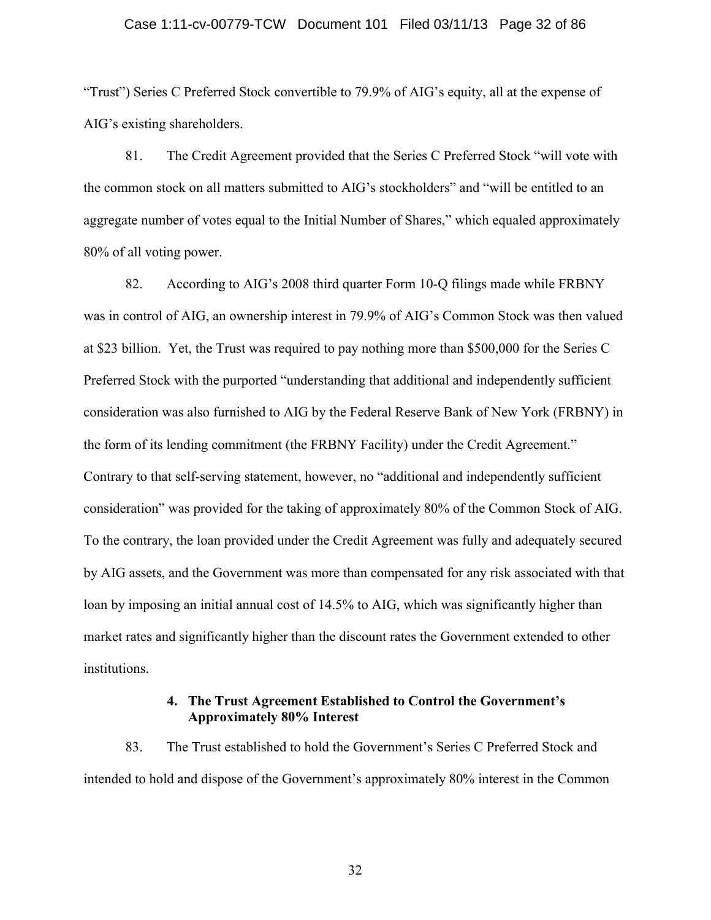### Case 1:11-cv-00779-TCW Document 101 Filed 03/11/13 Page 32 of 86

"Trust") Series C Preferred Stock convertible to 79.9% of AIG's equity, all at the expense of AIG's existing shareholders.

81. The Credit Agreement provided that the Series C Preferred Stock "will vote with the common stock on all matters submitted to AIG's stockholders" and "will be entitled to an aggregate number of votes equal to the Initial Number of Shares," which equaled approximately 80% of all voting power.

82. According to AIG's 2008 third quarter Form 10-Q filings made while FRBNY was in control of AIG, an ownership interest in 79.9% of AIG's Common Stock was then valued at \$23 billion. Yet, the Trust was required to pay nothing more than \$500,000 for the Series C Preferred Stock with the purported "understanding that additional and independently sufficient consideration was also furnished to AIG by the Federal Reserve Bank of New York (FRBNY) in the form of its lending commitment (the FRBNY Facility) under the Credit Agreement." Contrary to that self-serving statement, however, no "additional and independently sufficient consideration" was provided for the taking of approximately 80% of the Common Stock of AIG. To the contrary, the loan provided under the Credit Agreement was fully and adequately secured by AIG assets, and the Government was more than compensated for any risk associated with that loan by imposing an initial annual cost of 14.5% to AIG, which was significantly higher than market rates and significantly higher than the discount rates the Government extended to other institutions.

## **4. The Trust Agreement Established to Control the Government's Approximately 80% Interest**

83. The Trust established to hold the Government's Series C Preferred Stock and intended to hold and dispose of the Government's approximately 80% interest in the Common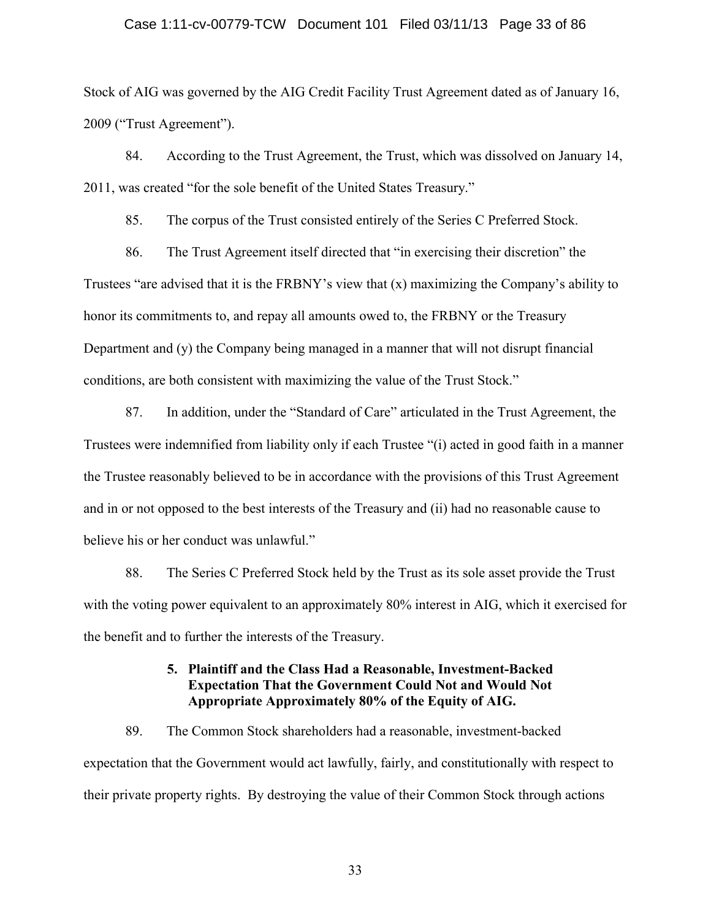### Case 1:11-cv-00779-TCW Document 101 Filed 03/11/13 Page 33 of 86

Stock of AIG was governed by the AIG Credit Facility Trust Agreement dated as of January 16, 2009 ("Trust Agreement").

84. According to the Trust Agreement, the Trust, which was dissolved on January 14, 2011, was created "for the sole benefit of the United States Treasury."

85. The corpus of the Trust consisted entirely of the Series C Preferred Stock.

86. The Trust Agreement itself directed that "in exercising their discretion" the Trustees "are advised that it is the FRBNY's view that (x) maximizing the Company's ability to honor its commitments to, and repay all amounts owed to, the FRBNY or the Treasury Department and (y) the Company being managed in a manner that will not disrupt financial conditions, are both consistent with maximizing the value of the Trust Stock."

87. In addition, under the "Standard of Care" articulated in the Trust Agreement, the Trustees were indemnified from liability only if each Trustee "(i) acted in good faith in a manner the Trustee reasonably believed to be in accordance with the provisions of this Trust Agreement and in or not opposed to the best interests of the Treasury and (ii) had no reasonable cause to believe his or her conduct was unlawful."

88. The Series C Preferred Stock held by the Trust as its sole asset provide the Trust with the voting power equivalent to an approximately 80% interest in AIG, which it exercised for the benefit and to further the interests of the Treasury.

## **5. Plaintiff and the Class Had a Reasonable, Investment-Backed Expectation That the Government Could Not and Would Not Appropriate Approximately 80% of the Equity of AIG.**

89. The Common Stock shareholders had a reasonable, investment-backed expectation that the Government would act lawfully, fairly, and constitutionally with respect to their private property rights. By destroying the value of their Common Stock through actions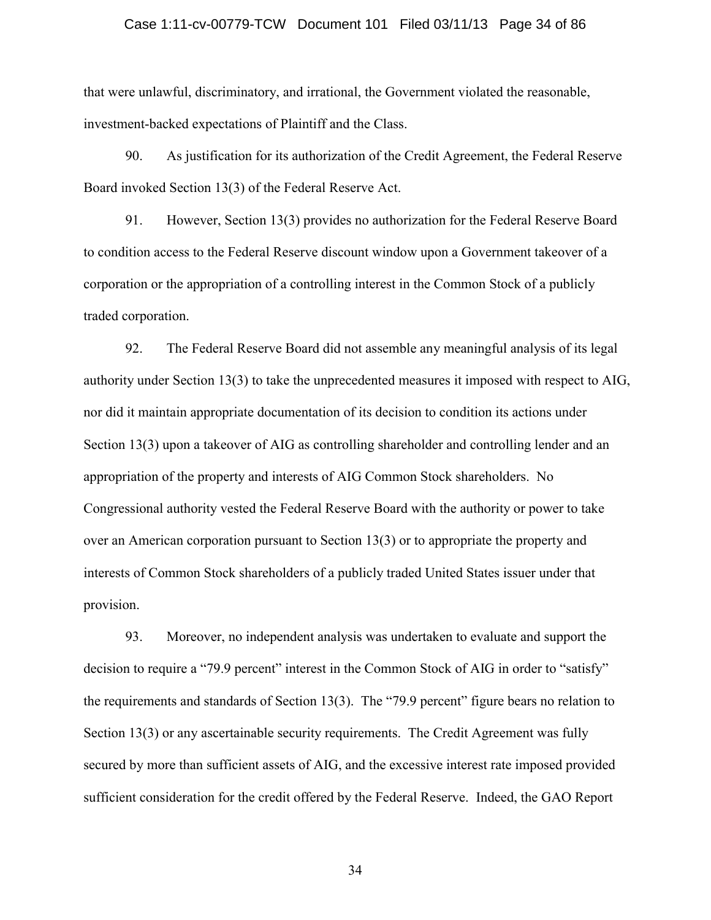### Case 1:11-cv-00779-TCW Document 101 Filed 03/11/13 Page 34 of 86

that were unlawful, discriminatory, and irrational, the Government violated the reasonable, investment-backed expectations of Plaintiff and the Class.

90. As justification for its authorization of the Credit Agreement, the Federal Reserve Board invoked Section 13(3) of the Federal Reserve Act.

91. However, Section 13(3) provides no authorization for the Federal Reserve Board to condition access to the Federal Reserve discount window upon a Government takeover of a corporation or the appropriation of a controlling interest in the Common Stock of a publicly traded corporation.

92. The Federal Reserve Board did not assemble any meaningful analysis of its legal authority under Section 13(3) to take the unprecedented measures it imposed with respect to AIG, nor did it maintain appropriate documentation of its decision to condition its actions under Section 13(3) upon a takeover of AIG as controlling shareholder and controlling lender and an appropriation of the property and interests of AIG Common Stock shareholders. No Congressional authority vested the Federal Reserve Board with the authority or power to take over an American corporation pursuant to Section 13(3) or to appropriate the property and interests of Common Stock shareholders of a publicly traded United States issuer under that provision.

93. Moreover, no independent analysis was undertaken to evaluate and support the decision to require a "79.9 percent" interest in the Common Stock of AIG in order to "satisfy" the requirements and standards of Section 13(3). The "79.9 percent" figure bears no relation to Section 13(3) or any ascertainable security requirements. The Credit Agreement was fully secured by more than sufficient assets of AIG, and the excessive interest rate imposed provided sufficient consideration for the credit offered by the Federal Reserve. Indeed, the GAO Report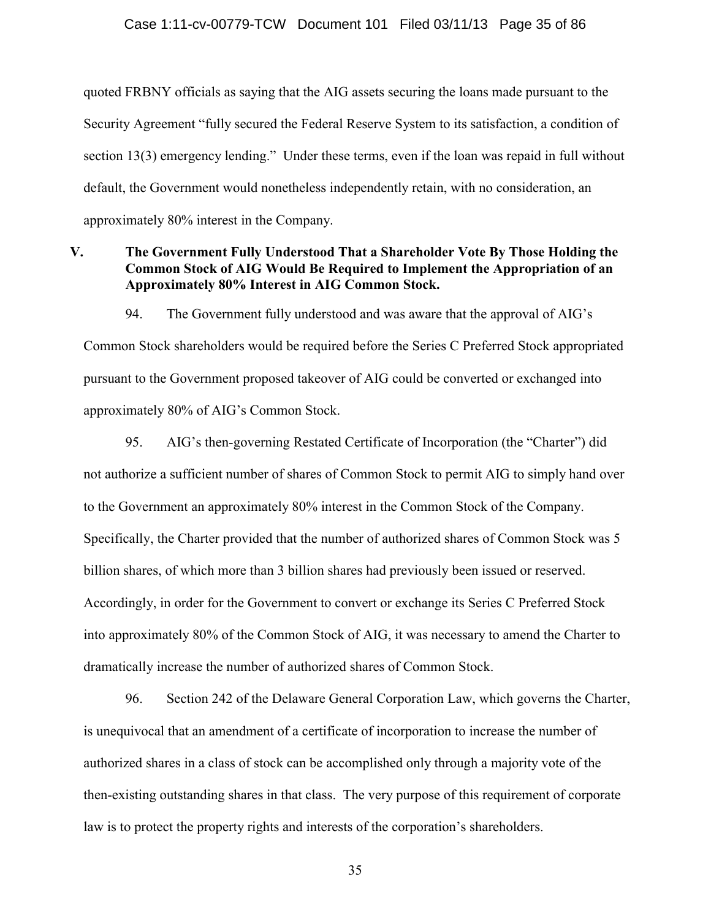quoted FRBNY officials as saying that the AIG assets securing the loans made pursuant to the Security Agreement "fully secured the Federal Reserve System to its satisfaction, a condition of section 13(3) emergency lending." Under these terms, even if the loan was repaid in full without default, the Government would nonetheless independently retain, with no consideration, an approximately 80% interest in the Company.

# **V. The Government Fully Understood That a Shareholder Vote By Those Holding the Common Stock of AIG Would Be Required to Implement the Appropriation of an Approximately 80% Interest in AIG Common Stock.**

94. The Government fully understood and was aware that the approval of AIG's Common Stock shareholders would be required before the Series C Preferred Stock appropriated pursuant to the Government proposed takeover of AIG could be converted or exchanged into approximately 80% of AIG's Common Stock.

95. AIG's then-governing Restated Certificate of Incorporation (the "Charter") did not authorize a sufficient number of shares of Common Stock to permit AIG to simply hand over to the Government an approximately 80% interest in the Common Stock of the Company. Specifically, the Charter provided that the number of authorized shares of Common Stock was 5 billion shares, of which more than 3 billion shares had previously been issued or reserved. Accordingly, in order for the Government to convert or exchange its Series C Preferred Stock into approximately 80% of the Common Stock of AIG, it was necessary to amend the Charter to dramatically increase the number of authorized shares of Common Stock.

96. Section 242 of the Delaware General Corporation Law, which governs the Charter, is unequivocal that an amendment of a certificate of incorporation to increase the number of authorized shares in a class of stock can be accomplished only through a majority vote of the then-existing outstanding shares in that class. The very purpose of this requirement of corporate law is to protect the property rights and interests of the corporation's shareholders.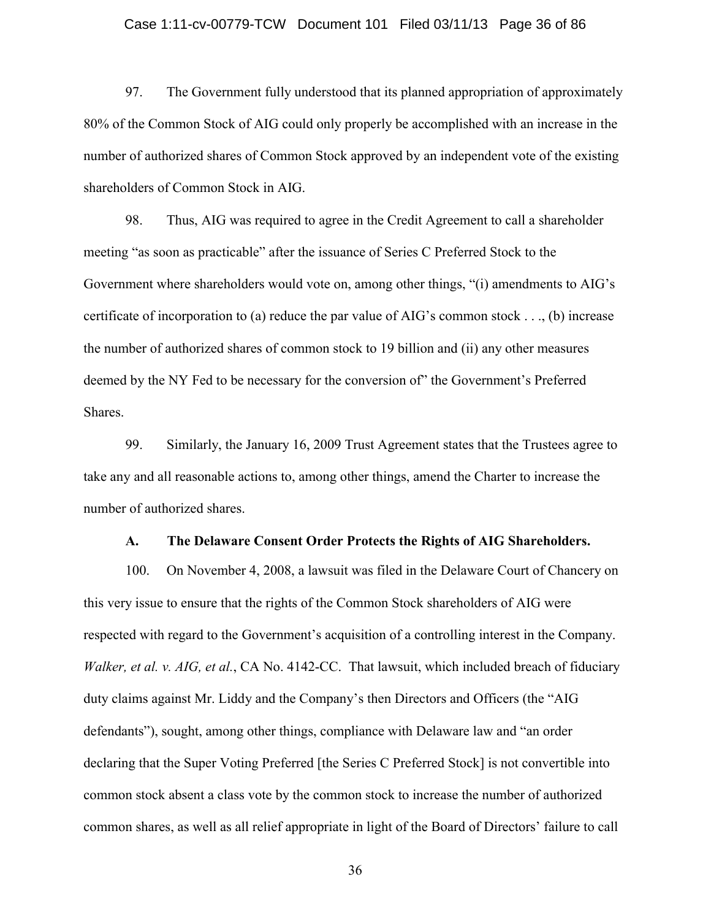### Case 1:11-cv-00779-TCW Document 101 Filed 03/11/13 Page 36 of 86

97. The Government fully understood that its planned appropriation of approximately 80% of the Common Stock of AIG could only properly be accomplished with an increase in the number of authorized shares of Common Stock approved by an independent vote of the existing shareholders of Common Stock in AIG.

98. Thus, AIG was required to agree in the Credit Agreement to call a shareholder meeting "as soon as practicable" after the issuance of Series C Preferred Stock to the Government where shareholders would vote on, among other things, "(i) amendments to AIG's certificate of incorporation to (a) reduce the par value of AIG's common stock . . ., (b) increase the number of authorized shares of common stock to 19 billion and (ii) any other measures deemed by the NY Fed to be necessary for the conversion of" the Government's Preferred Shares.

99. Similarly, the January 16, 2009 Trust Agreement states that the Trustees agree to take any and all reasonable actions to, among other things, amend the Charter to increase the number of authorized shares.

### **A. The Delaware Consent Order Protects the Rights of AIG Shareholders.**

100. On November 4, 2008, a lawsuit was filed in the Delaware Court of Chancery on this very issue to ensure that the rights of the Common Stock shareholders of AIG were respected with regard to the Government's acquisition of a controlling interest in the Company. *Walker, et al. v. AIG, et al.*, CA No. 4142-CC. That lawsuit, which included breach of fiduciary duty claims against Mr. Liddy and the Company's then Directors and Officers (the "AIG defendants"), sought, among other things, compliance with Delaware law and "an order declaring that the Super Voting Preferred [the Series C Preferred Stock] is not convertible into common stock absent a class vote by the common stock to increase the number of authorized common shares, as well as all relief appropriate in light of the Board of Directors' failure to call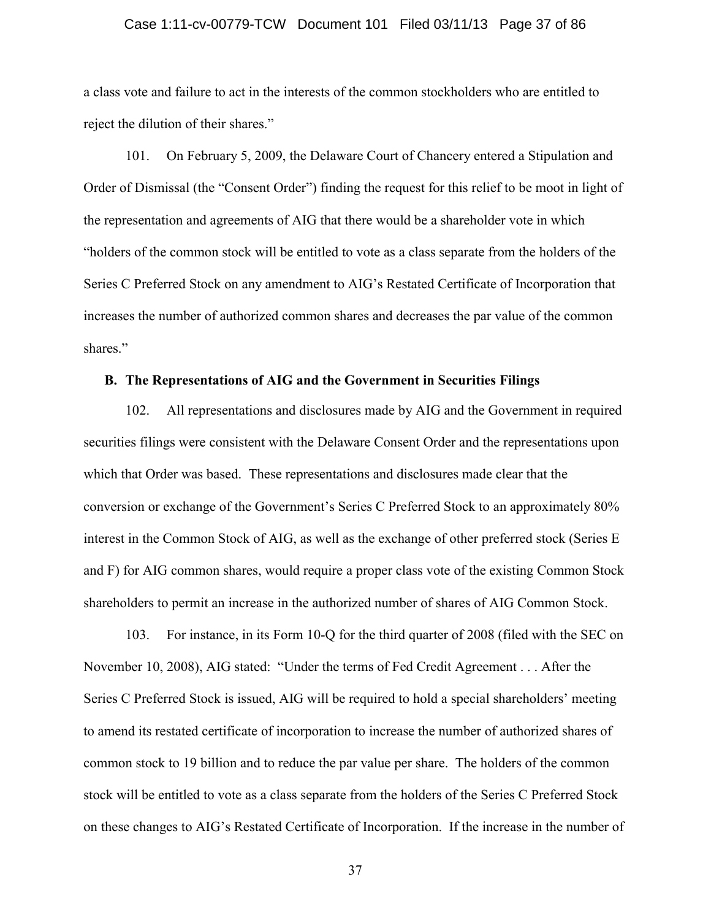# Case 1:11-cv-00779-TCW Document 101 Filed 03/11/13 Page 37 of 86

a class vote and failure to act in the interests of the common stockholders who are entitled to reject the dilution of their shares."

101. On February 5, 2009, the Delaware Court of Chancery entered a Stipulation and Order of Dismissal (the "Consent Order") finding the request for this relief to be moot in light of the representation and agreements of AIG that there would be a shareholder vote in which "holders of the common stock will be entitled to vote as a class separate from the holders of the Series C Preferred Stock on any amendment to AIG's Restated Certificate of Incorporation that increases the number of authorized common shares and decreases the par value of the common shares."

# **B. The Representations of AIG and the Government in Securities Filings**

102. All representations and disclosures made by AIG and the Government in required securities filings were consistent with the Delaware Consent Order and the representations upon which that Order was based. These representations and disclosures made clear that the conversion or exchange of the Government's Series C Preferred Stock to an approximately 80% interest in the Common Stock of AIG, as well as the exchange of other preferred stock (Series E and F) for AIG common shares, would require a proper class vote of the existing Common Stock shareholders to permit an increase in the authorized number of shares of AIG Common Stock.

103. For instance, in its Form 10-Q for the third quarter of 2008 (filed with the SEC on November 10, 2008), AIG stated: "Under the terms of Fed Credit Agreement . . . After the Series C Preferred Stock is issued, AIG will be required to hold a special shareholders' meeting to amend its restated certificate of incorporation to increase the number of authorized shares of common stock to 19 billion and to reduce the par value per share. The holders of the common stock will be entitled to vote as a class separate from the holders of the Series C Preferred Stock on these changes to AIG's Restated Certificate of Incorporation. If the increase in the number of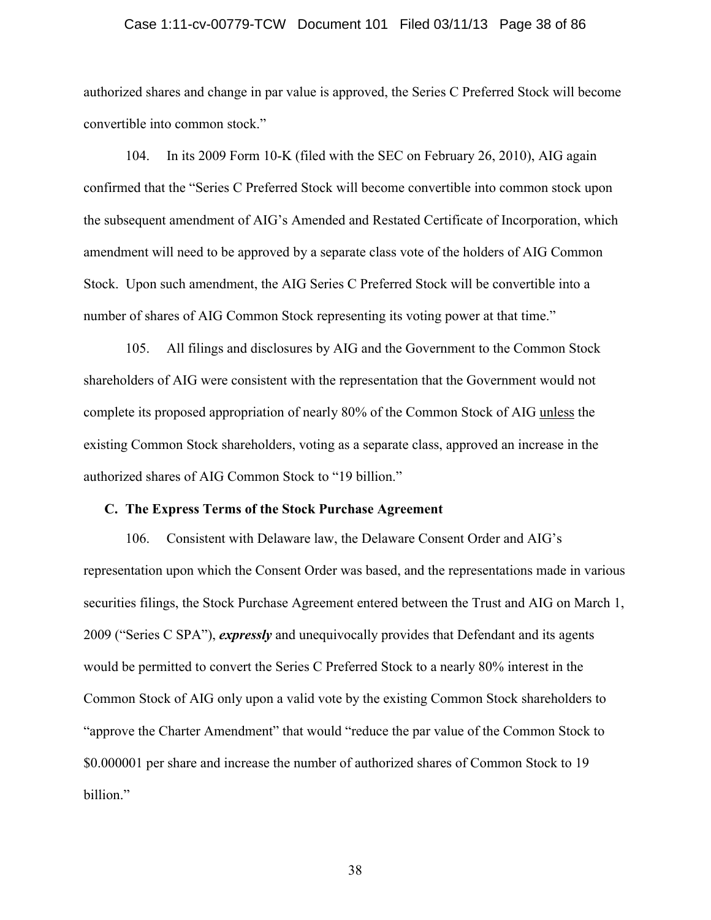# Case 1:11-cv-00779-TCW Document 101 Filed 03/11/13 Page 38 of 86

authorized shares and change in par value is approved, the Series C Preferred Stock will become convertible into common stock."

104. In its 2009 Form 10-K (filed with the SEC on February 26, 2010), AIG again confirmed that the "Series C Preferred Stock will become convertible into common stock upon the subsequent amendment of AIG's Amended and Restated Certificate of Incorporation, which amendment will need to be approved by a separate class vote of the holders of AIG Common Stock. Upon such amendment, the AIG Series C Preferred Stock will be convertible into a number of shares of AIG Common Stock representing its voting power at that time."

105. All filings and disclosures by AIG and the Government to the Common Stock shareholders of AIG were consistent with the representation that the Government would not complete its proposed appropriation of nearly 80% of the Common Stock of AIG unless the existing Common Stock shareholders, voting as a separate class, approved an increase in the authorized shares of AIG Common Stock to "19 billion."

# **C. The Express Terms of the Stock Purchase Agreement**

106. Consistent with Delaware law, the Delaware Consent Order and AIG's representation upon which the Consent Order was based, and the representations made in various securities filings, the Stock Purchase Agreement entered between the Trust and AIG on March 1, 2009 ("Series C SPA"), *expressly* and unequivocally provides that Defendant and its agents would be permitted to convert the Series C Preferred Stock to a nearly 80% interest in the Common Stock of AIG only upon a valid vote by the existing Common Stock shareholders to "approve the Charter Amendment" that would "reduce the par value of the Common Stock to \$0.000001 per share and increase the number of authorized shares of Common Stock to 19 billion."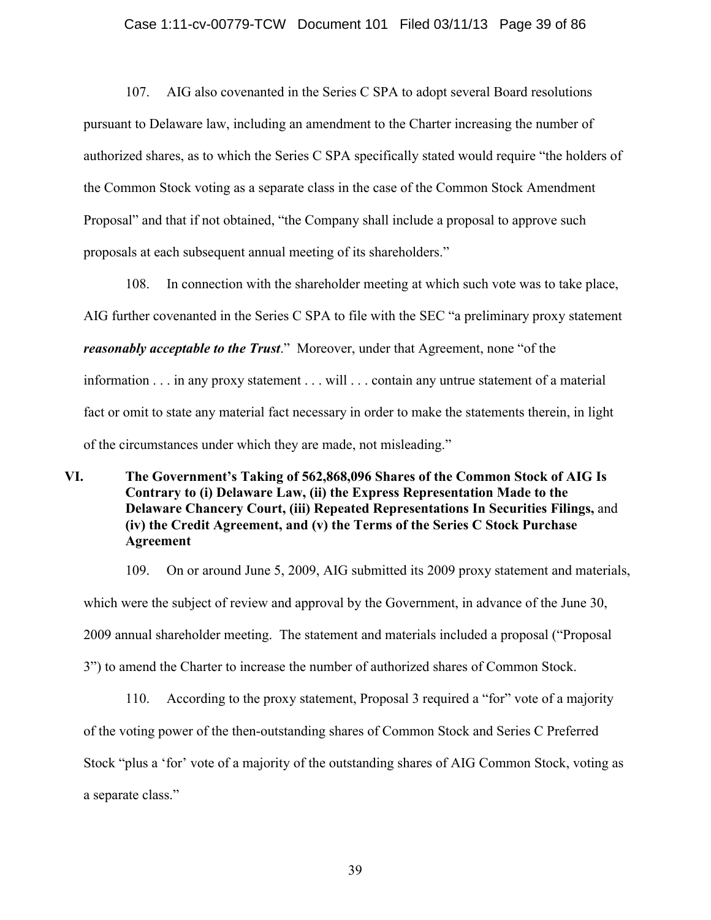#### Case 1:11-cv-00779-TCW Document 101 Filed 03/11/13 Page 39 of 86

107. AIG also covenanted in the Series C SPA to adopt several Board resolutions pursuant to Delaware law, including an amendment to the Charter increasing the number of authorized shares, as to which the Series C SPA specifically stated would require "the holders of the Common Stock voting as a separate class in the case of the Common Stock Amendment Proposal" and that if not obtained, "the Company shall include a proposal to approve such proposals at each subsequent annual meeting of its shareholders."

108. In connection with the shareholder meeting at which such vote was to take place, AIG further covenanted in the Series C SPA to file with the SEC "a preliminary proxy statement *reasonably acceptable to the Trust*." Moreover, under that Agreement, none "of the information . . . in any proxy statement . . . will . . . contain any untrue statement of a material fact or omit to state any material fact necessary in order to make the statements therein, in light of the circumstances under which they are made, not misleading."

**VI. The Government's Taking of 562,868,096 Shares of the Common Stock of AIG Is Contrary to (i) Delaware Law, (ii) the Express Representation Made to the Delaware Chancery Court, (iii) Repeated Representations In Securities Filings,** and **(iv) the Credit Agreement, and (v) the Terms of the Series C Stock Purchase Agreement**

109. On or around June 5, 2009, AIG submitted its 2009 proxy statement and materials, which were the subject of review and approval by the Government, in advance of the June 30, 2009 annual shareholder meeting. The statement and materials included a proposal ("Proposal 3") to amend the Charter to increase the number of authorized shares of Common Stock.

110. According to the proxy statement, Proposal 3 required a "for" vote of a majority of the voting power of the then-outstanding shares of Common Stock and Series C Preferred Stock "plus a 'for' vote of a majority of the outstanding shares of AIG Common Stock, voting as a separate class."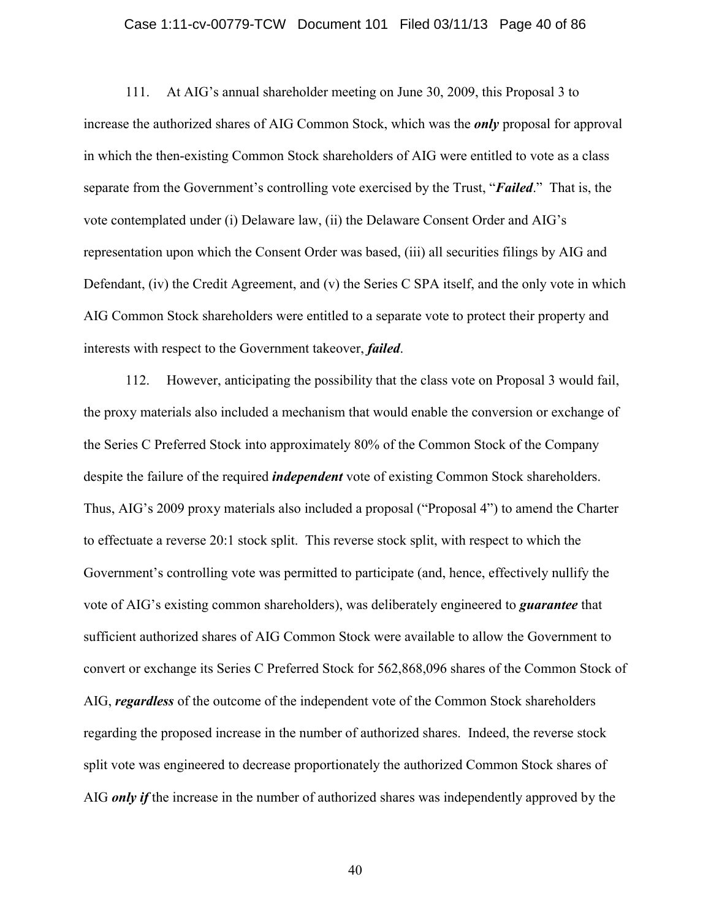### Case 1:11-cv-00779-TCW Document 101 Filed 03/11/13 Page 40 of 86

111. At AIG's annual shareholder meeting on June 30, 2009, this Proposal 3 to increase the authorized shares of AIG Common Stock, which was the *only* proposal for approval in which the then-existing Common Stock shareholders of AIG were entitled to vote as a class separate from the Government's controlling vote exercised by the Trust, "*Failed*." That is, the vote contemplated under (i) Delaware law, (ii) the Delaware Consent Order and AIG's representation upon which the Consent Order was based, (iii) all securities filings by AIG and Defendant, (iv) the Credit Agreement, and (v) the Series C SPA itself, and the only vote in which AIG Common Stock shareholders were entitled to a separate vote to protect their property and interests with respect to the Government takeover, *failed*.

112. However, anticipating the possibility that the class vote on Proposal 3 would fail, the proxy materials also included a mechanism that would enable the conversion or exchange of the Series C Preferred Stock into approximately 80% of the Common Stock of the Company despite the failure of the required *independent* vote of existing Common Stock shareholders. Thus, AIG's 2009 proxy materials also included a proposal ("Proposal 4") to amend the Charter to effectuate a reverse 20:1 stock split. This reverse stock split, with respect to which the Government's controlling vote was permitted to participate (and, hence, effectively nullify the vote of AIG's existing common shareholders), was deliberately engineered to *guarantee* that sufficient authorized shares of AIG Common Stock were available to allow the Government to convert or exchange its Series C Preferred Stock for 562,868,096 shares of the Common Stock of AIG, *regardless* of the outcome of the independent vote of the Common Stock shareholders regarding the proposed increase in the number of authorized shares. Indeed, the reverse stock split vote was engineered to decrease proportionately the authorized Common Stock shares of AIG *only if* the increase in the number of authorized shares was independently approved by the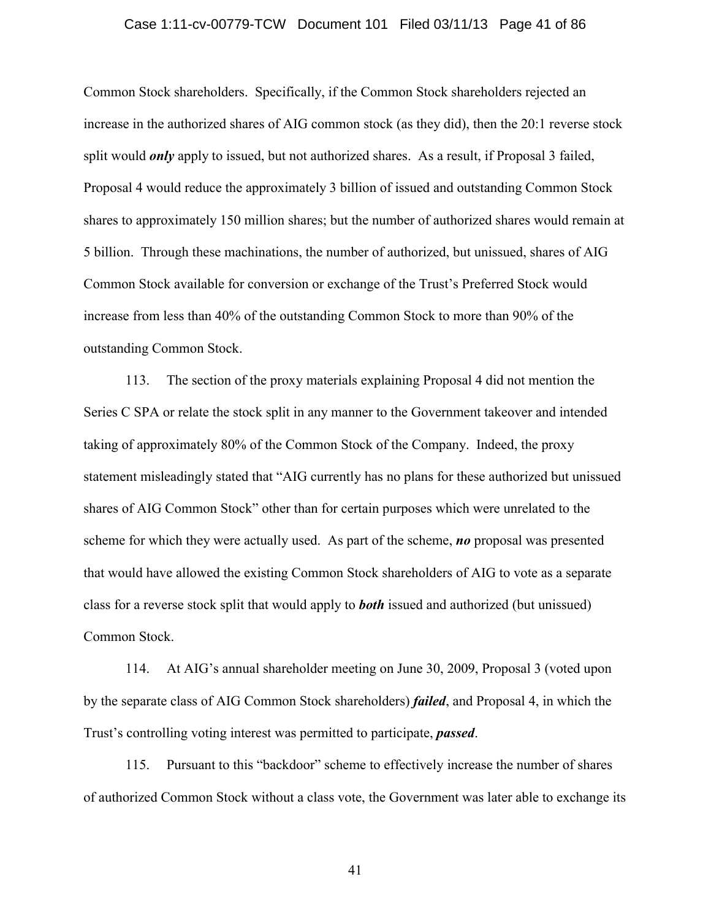#### Case 1:11-cv-00779-TCW Document 101 Filed 03/11/13 Page 41 of 86

Common Stock shareholders. Specifically, if the Common Stock shareholders rejected an increase in the authorized shares of AIG common stock (as they did), then the 20:1 reverse stock split would *only* apply to issued, but not authorized shares. As a result, if Proposal 3 failed, Proposal 4 would reduce the approximately 3 billion of issued and outstanding Common Stock shares to approximately 150 million shares; but the number of authorized shares would remain at 5 billion. Through these machinations, the number of authorized, but unissued, shares of AIG Common Stock available for conversion or exchange of the Trust's Preferred Stock would increase from less than 40% of the outstanding Common Stock to more than 90% of the outstanding Common Stock.

113. The section of the proxy materials explaining Proposal 4 did not mention the Series C SPA or relate the stock split in any manner to the Government takeover and intended taking of approximately 80% of the Common Stock of the Company. Indeed, the proxy statement misleadingly stated that "AIG currently has no plans for these authorized but unissued shares of AIG Common Stock" other than for certain purposes which were unrelated to the scheme for which they were actually used. As part of the scheme, *no* proposal was presented that would have allowed the existing Common Stock shareholders of AIG to vote as a separate class for a reverse stock split that would apply to *both* issued and authorized (but unissued) Common Stock.

114. At AIG's annual shareholder meeting on June 30, 2009, Proposal 3 (voted upon by the separate class of AIG Common Stock shareholders) *failed*, and Proposal 4, in which the Trust's controlling voting interest was permitted to participate, *passed*.

115. Pursuant to this "backdoor" scheme to effectively increase the number of shares of authorized Common Stock without a class vote, the Government was later able to exchange its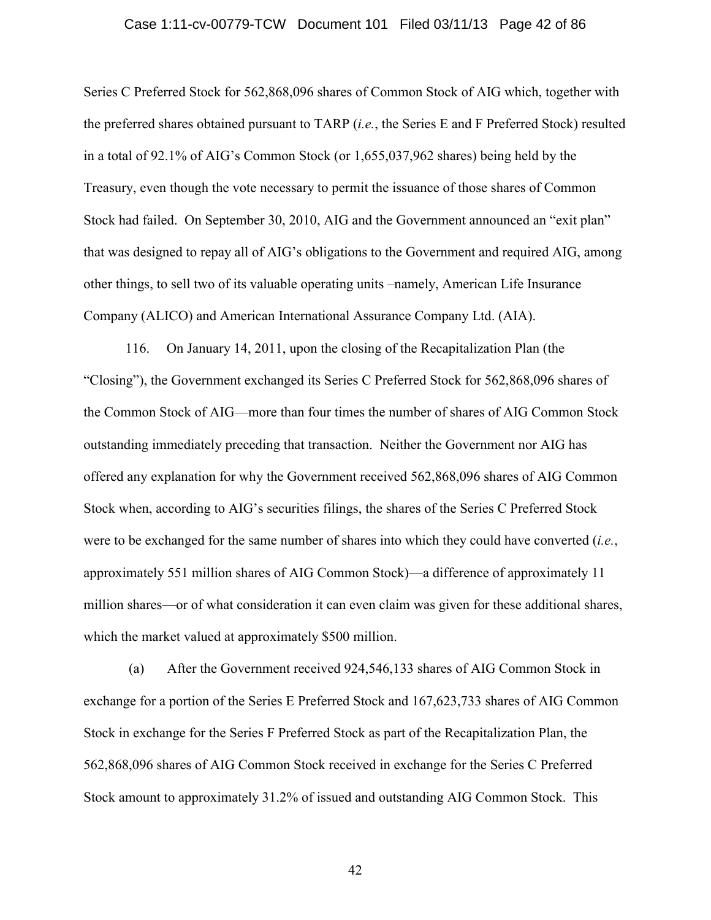#### Case 1:11-cv-00779-TCW Document 101 Filed 03/11/13 Page 42 of 86

Series C Preferred Stock for 562,868,096 shares of Common Stock of AIG which, together with the preferred shares obtained pursuant to TARP (*i.e.*, the Series E and F Preferred Stock) resulted in a total of 92.1% of AIG's Common Stock (or 1,655,037,962 shares) being held by the Treasury, even though the vote necessary to permit the issuance of those shares of Common Stock had failed. On September 30, 2010, AIG and the Government announced an "exit plan" that was designed to repay all of AIG's obligations to the Government and required AIG, among other things, to sell two of its valuable operating units –namely, American Life Insurance Company (ALICO) and American International Assurance Company Ltd. (AIA).

116. On January 14, 2011, upon the closing of the Recapitalization Plan (the "Closing"), the Government exchanged its Series C Preferred Stock for 562,868,096 shares of the Common Stock of AIG—more than four times the number of shares of AIG Common Stock outstanding immediately preceding that transaction. Neither the Government nor AIG has offered any explanation for why the Government received 562,868,096 shares of AIG Common Stock when, according to AIG's securities filings, the shares of the Series C Preferred Stock were to be exchanged for the same number of shares into which they could have converted (*i.e.*, approximately 551 million shares of AIG Common Stock)—a difference of approximately 11 million shares—or of what consideration it can even claim was given for these additional shares, which the market valued at approximately \$500 million.

(a) After the Government received 924,546,133 shares of AIG Common Stock in exchange for a portion of the Series E Preferred Stock and 167,623,733 shares of AIG Common Stock in exchange for the Series F Preferred Stock as part of the Recapitalization Plan, the 562,868,096 shares of AIG Common Stock received in exchange for the Series C Preferred Stock amount to approximately 31.2% of issued and outstanding AIG Common Stock. This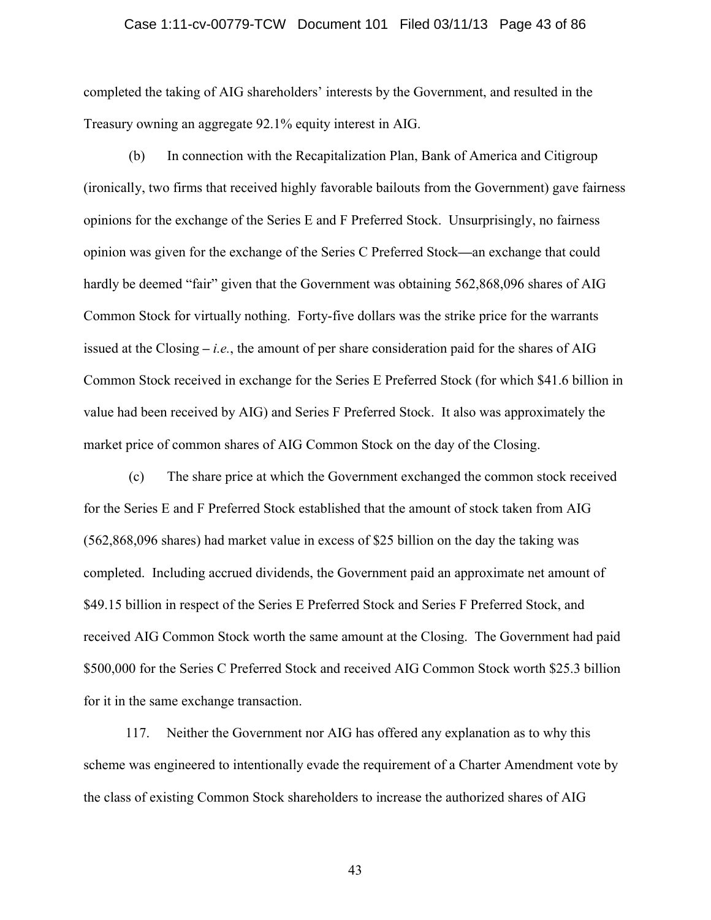# Case 1:11-cv-00779-TCW Document 101 Filed 03/11/13 Page 43 of 86

completed the taking of AIG shareholders' interests by the Government, and resulted in the Treasury owning an aggregate 92.1% equity interest in AIG.

(b) In connection with the Recapitalization Plan, Bank of America and Citigroup (ironically, two firms that received highly favorable bailouts from the Government) gave fairness opinions for the exchange of the Series E and F Preferred Stock. Unsurprisingly, no fairness opinion was given for the exchange of the Series C Preferred Stock**—**an exchange that could hardly be deemed "fair" given that the Government was obtaining 562,868,096 shares of AIG Common Stock for virtually nothing. Forty-five dollars was the strike price for the warrants issued at the Closing **–** *i.e.*, the amount of per share consideration paid for the shares of AIG Common Stock received in exchange for the Series E Preferred Stock (for which \$41.6 billion in value had been received by AIG) and Series F Preferred Stock. It also was approximately the market price of common shares of AIG Common Stock on the day of the Closing.

(c) The share price at which the Government exchanged the common stock received for the Series E and F Preferred Stock established that the amount of stock taken from AIG (562,868,096 shares) had market value in excess of \$25 billion on the day the taking was completed. Including accrued dividends, the Government paid an approximate net amount of \$49.15 billion in respect of the Series E Preferred Stock and Series F Preferred Stock, and received AIG Common Stock worth the same amount at the Closing. The Government had paid \$500,000 for the Series C Preferred Stock and received AIG Common Stock worth \$25.3 billion for it in the same exchange transaction.

117. Neither the Government nor AIG has offered any explanation as to why this scheme was engineered to intentionally evade the requirement of a Charter Amendment vote by the class of existing Common Stock shareholders to increase the authorized shares of AIG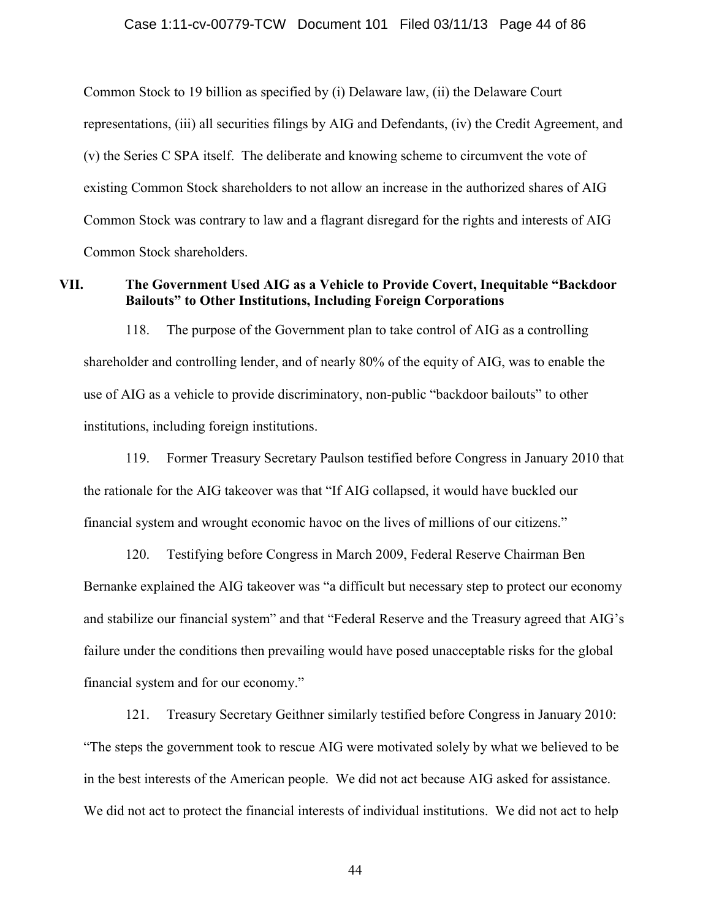Common Stock to 19 billion as specified by (i) Delaware law, (ii) the Delaware Court representations, (iii) all securities filings by AIG and Defendants, (iv) the Credit Agreement, and (v) the Series C SPA itself. The deliberate and knowing scheme to circumvent the vote of existing Common Stock shareholders to not allow an increase in the authorized shares of AIG Common Stock was contrary to law and a flagrant disregard for the rights and interests of AIG Common Stock shareholders.

# **VII. The Government Used AIG as a Vehicle to Provide Covert, Inequitable "Backdoor Bailouts" to Other Institutions, Including Foreign Corporations**

118. The purpose of the Government plan to take control of AIG as a controlling shareholder and controlling lender, and of nearly 80% of the equity of AIG, was to enable the use of AIG as a vehicle to provide discriminatory, non-public "backdoor bailouts" to other institutions, including foreign institutions.

119. Former Treasury Secretary Paulson testified before Congress in January 2010 that the rationale for the AIG takeover was that "If AIG collapsed, it would have buckled our financial system and wrought economic havoc on the lives of millions of our citizens."

120. Testifying before Congress in March 2009, Federal Reserve Chairman Ben Bernanke explained the AIG takeover was "a difficult but necessary step to protect our economy and stabilize our financial system" and that "Federal Reserve and the Treasury agreed that AIG's failure under the conditions then prevailing would have posed unacceptable risks for the global financial system and for our economy."

121. Treasury Secretary Geithner similarly testified before Congress in January 2010: "The steps the government took to rescue AIG were motivated solely by what we believed to be in the best interests of the American people. We did not act because AIG asked for assistance. We did not act to protect the financial interests of individual institutions. We did not act to help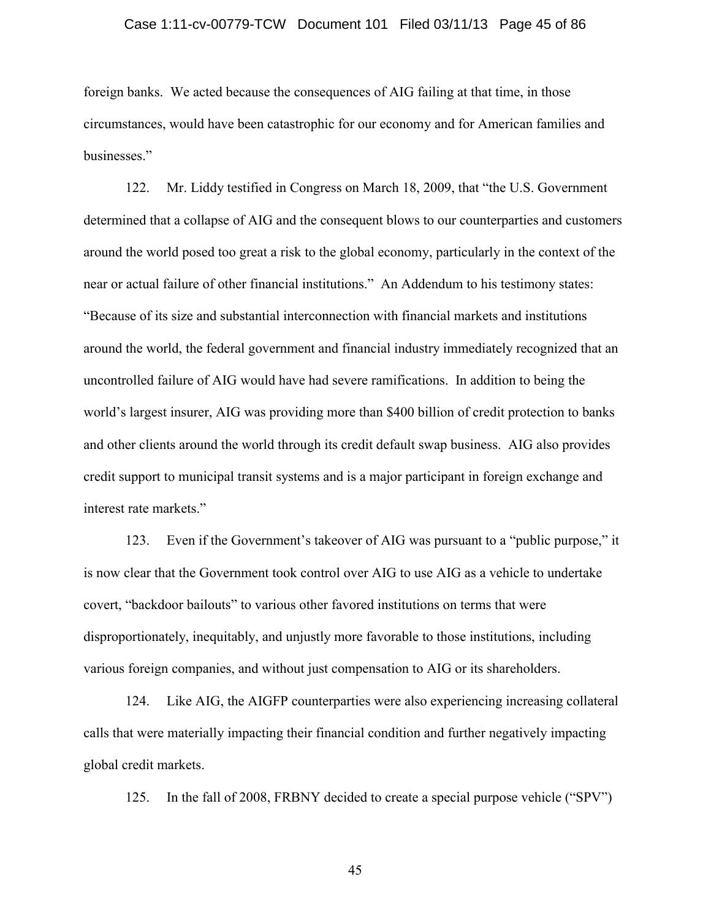# Case 1:11-cv-00779-TCW Document 101 Filed 03/11/13 Page 45 of 86

foreign banks. We acted because the consequences of AIG failing at that time, in those circumstances, would have been catastrophic for our economy and for American families and businesses."

122. Mr. Liddy testified in Congress on March 18, 2009, that "the U.S. Government determined that a collapse of AIG and the consequent blows to our counterparties and customers around the world posed too great a risk to the global economy, particularly in the context of the near or actual failure of other financial institutions." An Addendum to his testimony states: "Because of its size and substantial interconnection with financial markets and institutions around the world, the federal government and financial industry immediately recognized that an uncontrolled failure of AIG would have had severe ramifications. In addition to being the world's largest insurer, AIG was providing more than \$400 billion of credit protection to banks and other clients around the world through its credit default swap business. AIG also provides credit support to municipal transit systems and is a major participant in foreign exchange and interest rate markets."

123. Even if the Government's takeover of AIG was pursuant to a "public purpose," it is now clear that the Government took control over AIG to use AIG as a vehicle to undertake covert, "backdoor bailouts" to various other favored institutions on terms that were disproportionately, inequitably, and unjustly more favorable to those institutions, including various foreign companies, and without just compensation to AIG or its shareholders.

124. Like AIG, the AIGFP counterparties were also experiencing increasing collateral calls that were materially impacting their financial condition and further negatively impacting global credit markets.

125. In the fall of 2008, FRBNY decided to create a special purpose vehicle ("SPV")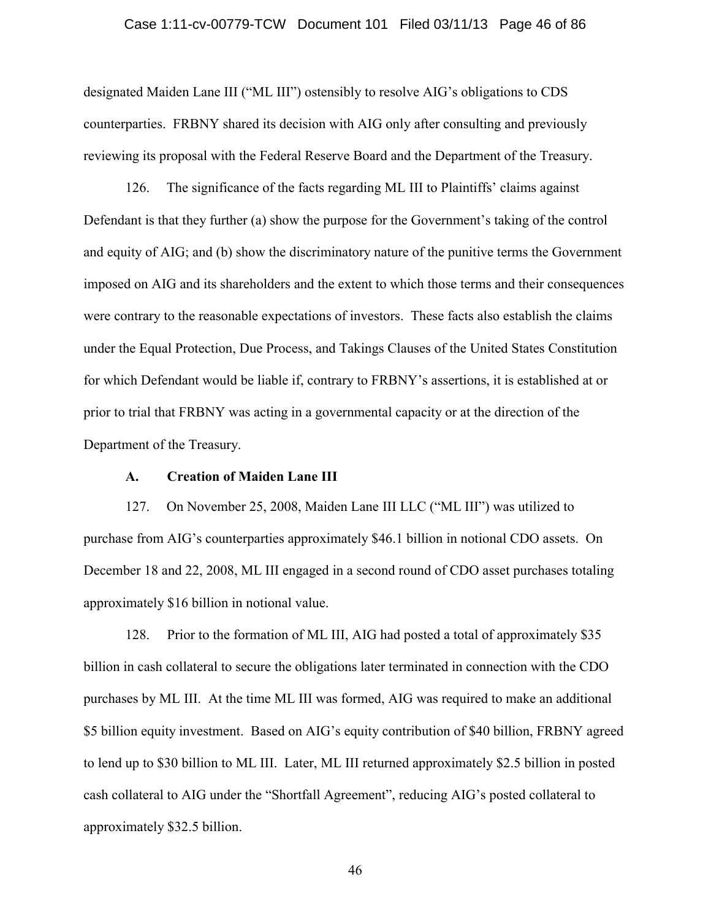# Case 1:11-cv-00779-TCW Document 101 Filed 03/11/13 Page 46 of 86

designated Maiden Lane III ("ML III") ostensibly to resolve AIG's obligations to CDS counterparties. FRBNY shared its decision with AIG only after consulting and previously reviewing its proposal with the Federal Reserve Board and the Department of the Treasury.

126. The significance of the facts regarding ML III to Plaintiffs' claims against Defendant is that they further (a) show the purpose for the Government's taking of the control and equity of AIG; and (b) show the discriminatory nature of the punitive terms the Government imposed on AIG and its shareholders and the extent to which those terms and their consequences were contrary to the reasonable expectations of investors. These facts also establish the claims under the Equal Protection, Due Process, and Takings Clauses of the United States Constitution for which Defendant would be liable if, contrary to FRBNY's assertions, it is established at or prior to trial that FRBNY was acting in a governmental capacity or at the direction of the Department of the Treasury.

# **A. Creation of Maiden Lane III**

127. On November 25, 2008, Maiden Lane III LLC ("ML III") was utilized to purchase from AIG's counterparties approximately \$46.1 billion in notional CDO assets. On December 18 and 22, 2008, ML III engaged in a second round of CDO asset purchases totaling approximately \$16 billion in notional value.

128. Prior to the formation of ML III, AIG had posted a total of approximately \$35 billion in cash collateral to secure the obligations later terminated in connection with the CDO purchases by ML III. At the time ML III was formed, AIG was required to make an additional \$5 billion equity investment. Based on AIG's equity contribution of \$40 billion, FRBNY agreed to lend up to \$30 billion to ML III. Later, ML III returned approximately \$2.5 billion in posted cash collateral to AIG under the "Shortfall Agreement", reducing AIG's posted collateral to approximately \$32.5 billion.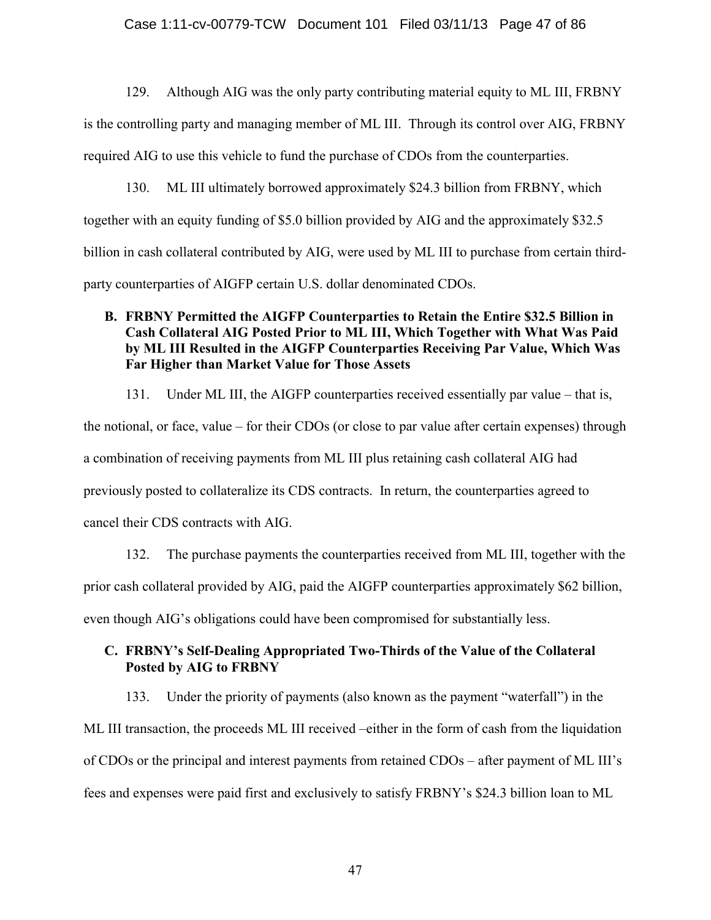# Case 1:11-cv-00779-TCW Document 101 Filed 03/11/13 Page 47 of 86

129. Although AIG was the only party contributing material equity to ML III, FRBNY is the controlling party and managing member of ML III. Through its control over AIG, FRBNY required AIG to use this vehicle to fund the purchase of CDOs from the counterparties.

130. ML III ultimately borrowed approximately \$24.3 billion from FRBNY, which together with an equity funding of \$5.0 billion provided by AIG and the approximately \$32.5 billion in cash collateral contributed by AIG, were used by ML III to purchase from certain thirdparty counterparties of AIGFP certain U.S. dollar denominated CDOs.

# **B. FRBNY Permitted the AIGFP Counterparties to Retain the Entire \$32.5 Billion in Cash Collateral AIG Posted Prior to ML III, Which Together with What Was Paid by ML III Resulted in the AIGFP Counterparties Receiving Par Value, Which Was Far Higher than Market Value for Those Assets**

131. Under ML III, the AIGFP counterparties received essentially par value – that is, the notional, or face, value – for their CDOs (or close to par value after certain expenses) through a combination of receiving payments from ML III plus retaining cash collateral AIG had previously posted to collateralize its CDS contracts. In return, the counterparties agreed to cancel their CDS contracts with AIG.

132. The purchase payments the counterparties received from ML III, together with the prior cash collateral provided by AIG, paid the AIGFP counterparties approximately \$62 billion, even though AIG's obligations could have been compromised for substantially less.

# **C. FRBNY's Self-Dealing Appropriated Two-Thirds of the Value of the Collateral Posted by AIG to FRBNY**

133. Under the priority of payments (also known as the payment "waterfall") in the ML III transaction, the proceeds ML III received –either in the form of cash from the liquidation of CDOs or the principal and interest payments from retained CDOs – after payment of ML III's fees and expenses were paid first and exclusively to satisfy FRBNY's \$24.3 billion loan to ML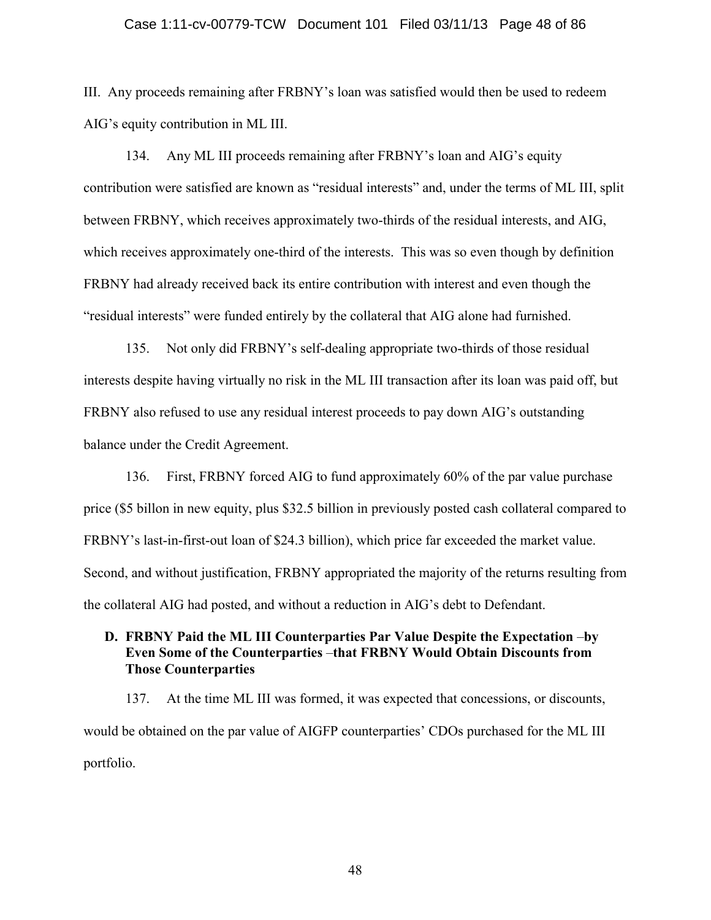#### Case 1:11-cv-00779-TCW Document 101 Filed 03/11/13 Page 48 of 86

III. Any proceeds remaining after FRBNY's loan was satisfied would then be used to redeem AIG's equity contribution in ML III.

134. Any ML III proceeds remaining after FRBNY's loan and AIG's equity contribution were satisfied are known as "residual interests" and, under the terms of ML III, split between FRBNY, which receives approximately two-thirds of the residual interests, and AIG, which receives approximately one-third of the interests. This was so even though by definition FRBNY had already received back its entire contribution with interest and even though the "residual interests" were funded entirely by the collateral that AIG alone had furnished.

135. Not only did FRBNY's self-dealing appropriate two-thirds of those residual interests despite having virtually no risk in the ML III transaction after its loan was paid off, but FRBNY also refused to use any residual interest proceeds to pay down AIG's outstanding balance under the Credit Agreement.

136. First, FRBNY forced AIG to fund approximately 60% of the par value purchase price (\$5 billon in new equity, plus \$32.5 billion in previously posted cash collateral compared to FRBNY's last-in-first-out loan of \$24.3 billion), which price far exceeded the market value. Second, and without justification, FRBNY appropriated the majority of the returns resulting from the collateral AIG had posted, and without a reduction in AIG's debt to Defendant.

# **D. FRBNY Paid the ML III Counterparties Par Value Despite the Expectation** –**by Even Some of the Counterparties** –**that FRBNY Would Obtain Discounts from Those Counterparties**

137. At the time ML III was formed, it was expected that concessions, or discounts, would be obtained on the par value of AIGFP counterparties' CDOs purchased for the ML III portfolio.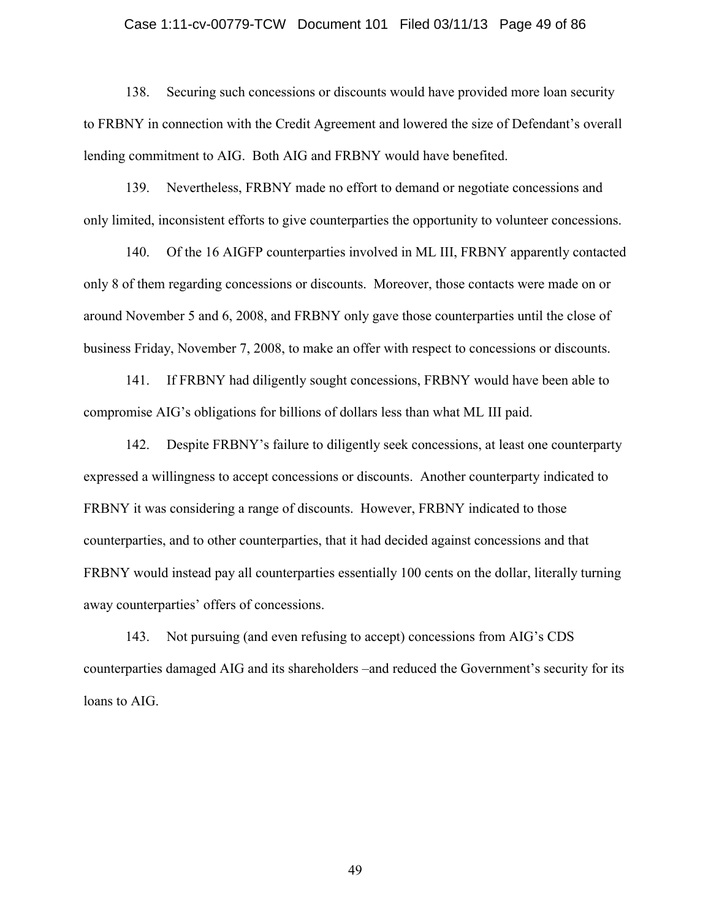#### Case 1:11-cv-00779-TCW Document 101 Filed 03/11/13 Page 49 of 86

138. Securing such concessions or discounts would have provided more loan security to FRBNY in connection with the Credit Agreement and lowered the size of Defendant's overall lending commitment to AIG. Both AIG and FRBNY would have benefited.

139. Nevertheless, FRBNY made no effort to demand or negotiate concessions and only limited, inconsistent efforts to give counterparties the opportunity to volunteer concessions.

140. Of the 16 AIGFP counterparties involved in ML III, FRBNY apparently contacted only 8 of them regarding concessions or discounts. Moreover, those contacts were made on or around November 5 and 6, 2008, and FRBNY only gave those counterparties until the close of business Friday, November 7, 2008, to make an offer with respect to concessions or discounts.

141. If FRBNY had diligently sought concessions, FRBNY would have been able to compromise AIG's obligations for billions of dollars less than what ML III paid.

142. Despite FRBNY's failure to diligently seek concessions, at least one counterparty expressed a willingness to accept concessions or discounts. Another counterparty indicated to FRBNY it was considering a range of discounts. However, FRBNY indicated to those counterparties, and to other counterparties, that it had decided against concessions and that FRBNY would instead pay all counterparties essentially 100 cents on the dollar, literally turning away counterparties' offers of concessions.

143. Not pursuing (and even refusing to accept) concessions from AIG's CDS counterparties damaged AIG and its shareholders –and reduced the Government's security for its loans to AIG.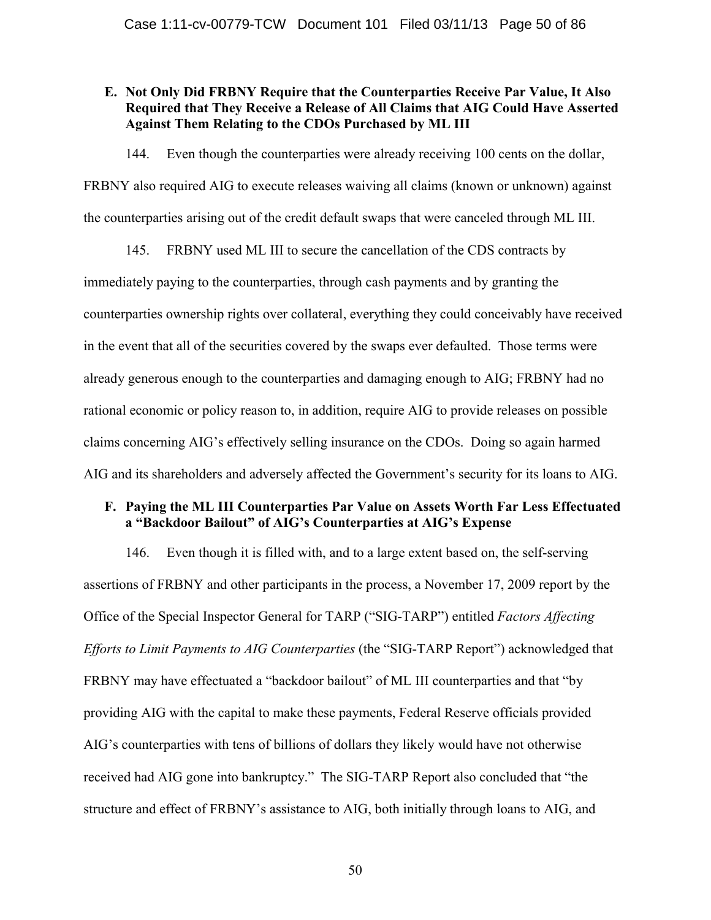# **E. Not Only Did FRBNY Require that the Counterparties Receive Par Value, It Also Required that They Receive a Release of All Claims that AIG Could Have Asserted Against Them Relating to the CDOs Purchased by ML III**

144. Even though the counterparties were already receiving 100 cents on the dollar, FRBNY also required AIG to execute releases waiving all claims (known or unknown) against

the counterparties arising out of the credit default swaps that were canceled through ML III.

145. FRBNY used ML III to secure the cancellation of the CDS contracts by immediately paying to the counterparties, through cash payments and by granting the counterparties ownership rights over collateral, everything they could conceivably have received in the event that all of the securities covered by the swaps ever defaulted. Those terms were already generous enough to the counterparties and damaging enough to AIG; FRBNY had no rational economic or policy reason to, in addition, require AIG to provide releases on possible claims concerning AIG's effectively selling insurance on the CDOs. Doing so again harmed AIG and its shareholders and adversely affected the Government's security for its loans to AIG.

# **F. Paying the ML III Counterparties Par Value on Assets Worth Far Less Effectuated a "Backdoor Bailout" of AIG's Counterparties at AIG's Expense**

146. Even though it is filled with, and to a large extent based on, the self-serving assertions of FRBNY and other participants in the process, a November 17, 2009 report by the Office of the Special Inspector General for TARP ("SIG-TARP") entitled *Factors Affecting Efforts to Limit Payments to AIG Counterparties* (the "SIG-TARP Report") acknowledged that FRBNY may have effectuated a "backdoor bailout" of ML III counterparties and that "by providing AIG with the capital to make these payments, Federal Reserve officials provided AIG's counterparties with tens of billions of dollars they likely would have not otherwise received had AIG gone into bankruptcy." The SIG-TARP Report also concluded that "the structure and effect of FRBNY's assistance to AIG, both initially through loans to AIG, and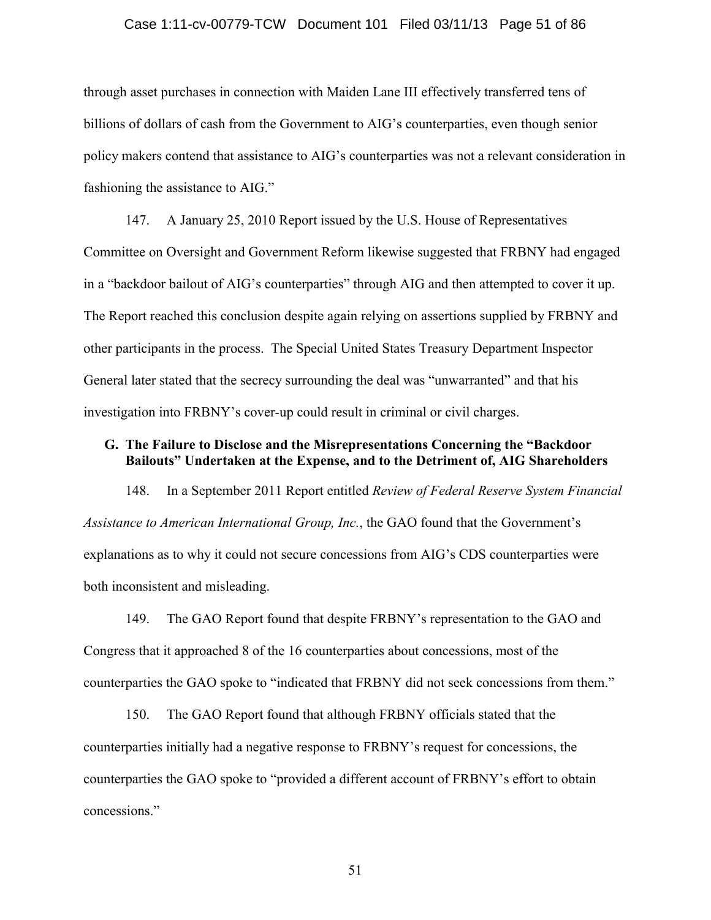# Case 1:11-cv-00779-TCW Document 101 Filed 03/11/13 Page 51 of 86

through asset purchases in connection with Maiden Lane III effectively transferred tens of billions of dollars of cash from the Government to AIG's counterparties, even though senior policy makers contend that assistance to AIG's counterparties was not a relevant consideration in fashioning the assistance to AIG."

147. A January 25, 2010 Report issued by the U.S. House of Representatives Committee on Oversight and Government Reform likewise suggested that FRBNY had engaged in a "backdoor bailout of AIG's counterparties" through AIG and then attempted to cover it up. The Report reached this conclusion despite again relying on assertions supplied by FRBNY and other participants in the process. The Special United States Treasury Department Inspector General later stated that the secrecy surrounding the deal was "unwarranted" and that his investigation into FRBNY's cover-up could result in criminal or civil charges.

# **G. The Failure to Disclose and the Misrepresentations Concerning the "Backdoor Bailouts" Undertaken at the Expense, and to the Detriment of, AIG Shareholders**

148. In a September 2011 Report entitled *Review of Federal Reserve System Financial Assistance to American International Group, Inc.*, the GAO found that the Government's explanations as to why it could not secure concessions from AIG's CDS counterparties were both inconsistent and misleading.

149. The GAO Report found that despite FRBNY's representation to the GAO and Congress that it approached 8 of the 16 counterparties about concessions, most of the counterparties the GAO spoke to "indicated that FRBNY did not seek concessions from them."

150. The GAO Report found that although FRBNY officials stated that the counterparties initially had a negative response to FRBNY's request for concessions, the counterparties the GAO spoke to "provided a different account of FRBNY's effort to obtain concessions."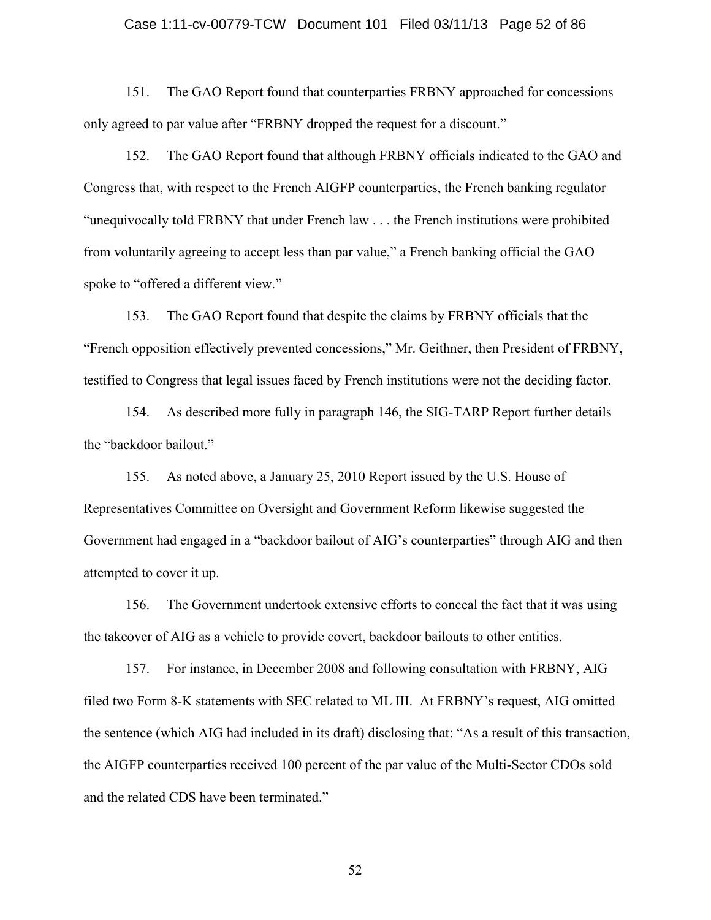# Case 1:11-cv-00779-TCW Document 101 Filed 03/11/13 Page 52 of 86

151. The GAO Report found that counterparties FRBNY approached for concessions only agreed to par value after "FRBNY dropped the request for a discount."

152. The GAO Report found that although FRBNY officials indicated to the GAO and Congress that, with respect to the French AIGFP counterparties, the French banking regulator "unequivocally told FRBNY that under French law . . . the French institutions were prohibited from voluntarily agreeing to accept less than par value," a French banking official the GAO spoke to "offered a different view."

153. The GAO Report found that despite the claims by FRBNY officials that the "French opposition effectively prevented concessions," Mr. Geithner, then President of FRBNY, testified to Congress that legal issues faced by French institutions were not the deciding factor.

154. As described more fully in paragraph 146, the SIG-TARP Report further details the "backdoor bailout."

155. As noted above, a January 25, 2010 Report issued by the U.S. House of Representatives Committee on Oversight and Government Reform likewise suggested the Government had engaged in a "backdoor bailout of AIG's counterparties" through AIG and then attempted to cover it up.

156. The Government undertook extensive efforts to conceal the fact that it was using the takeover of AIG as a vehicle to provide covert, backdoor bailouts to other entities.

157. For instance, in December 2008 and following consultation with FRBNY, AIG filed two Form 8-K statements with SEC related to ML III. At FRBNY's request, AIG omitted the sentence (which AIG had included in its draft) disclosing that: "As a result of this transaction, the AIGFP counterparties received 100 percent of the par value of the Multi-Sector CDOs sold and the related CDS have been terminated."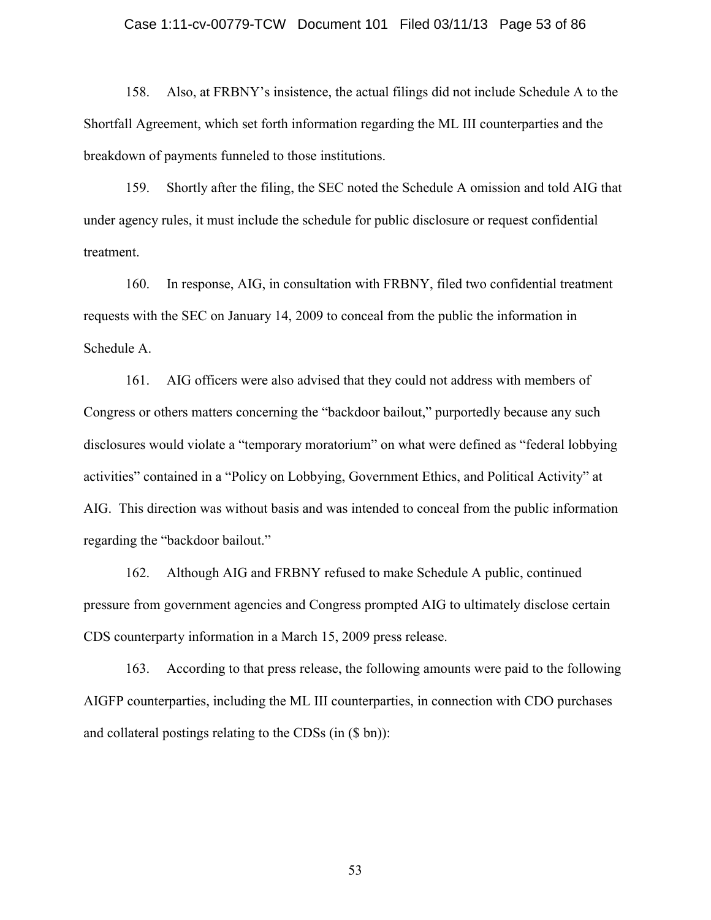#### Case 1:11-cv-00779-TCW Document 101 Filed 03/11/13 Page 53 of 86

158. Also, at FRBNY's insistence, the actual filings did not include Schedule A to the Shortfall Agreement, which set forth information regarding the ML III counterparties and the breakdown of payments funneled to those institutions.

159. Shortly after the filing, the SEC noted the Schedule A omission and told AIG that under agency rules, it must include the schedule for public disclosure or request confidential treatment.

160. In response, AIG, in consultation with FRBNY, filed two confidential treatment requests with the SEC on January 14, 2009 to conceal from the public the information in Schedule A.

161. AIG officers were also advised that they could not address with members of Congress or others matters concerning the "backdoor bailout," purportedly because any such disclosures would violate a "temporary moratorium" on what were defined as "federal lobbying activities" contained in a "Policy on Lobbying, Government Ethics, and Political Activity" at AIG. This direction was without basis and was intended to conceal from the public information regarding the "backdoor bailout."

162. Although AIG and FRBNY refused to make Schedule A public, continued pressure from government agencies and Congress prompted AIG to ultimately disclose certain CDS counterparty information in a March 15, 2009 press release.

163. According to that press release, the following amounts were paid to the following AIGFP counterparties, including the ML III counterparties, in connection with CDO purchases and collateral postings relating to the CDSs (in (\$ bn)):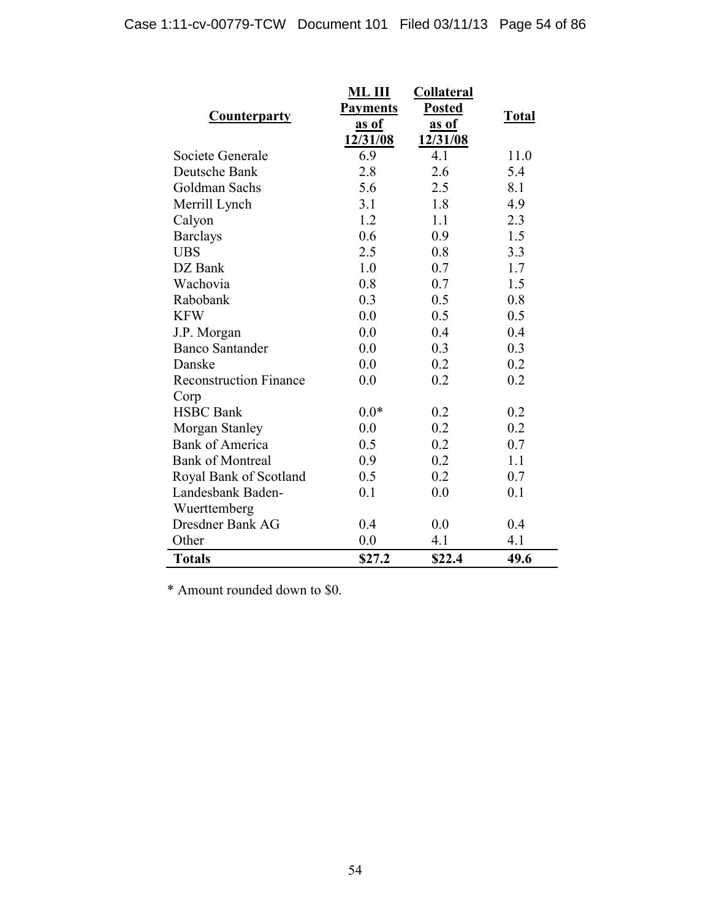|                               | <b>ML III</b>                    | <b>Collateral</b> |              |
|-------------------------------|----------------------------------|-------------------|--------------|
| <b>Counterparty</b>           | <b>Posted</b><br><b>Payments</b> |                   | <b>Total</b> |
|                               | as of                            | <u>as of</u>      |              |
|                               | 12/31/08                         | 12/31/08          |              |
| Societe Generale              | 6.9                              | 4.1               | 11.0         |
| Deutsche Bank                 | 2.8                              | 2.6               | 5.4          |
| Goldman Sachs                 | 5.6                              | 2.5               | 8.1          |
| Merrill Lynch                 | 3.1                              | 1.8               | 4.9          |
| Calyon                        | 1.2                              | 1.1               | 2.3          |
| <b>Barclays</b>               | 0.6                              | 0.9               | 1.5          |
| <b>UBS</b>                    | 2.5                              | 0.8               | 3.3          |
| DZ Bank                       | 1.0                              | 0.7               | 1.7          |
| Wachovia                      | 0.8                              | 0.7               | 1.5          |
| Rabobank                      | 0.3                              | 0.5               | 0.8          |
| <b>KFW</b>                    | 0.0                              | 0.5               | 0.5          |
| J.P. Morgan                   | 0.0                              | 0.4               | 0.4          |
| <b>Banco Santander</b>        | 0.0                              | 0.3               | 0.3          |
| Danske                        | 0.0                              | 0.2               | 0.2          |
| <b>Reconstruction Finance</b> | 0.0                              | 0.2               | 0.2          |
| Corp                          |                                  |                   |              |
| <b>HSBC</b> Bank              | $0.0*$                           | 0.2               | 0.2          |
| Morgan Stanley                | 0.0                              | 0.2               | 0.2          |
| <b>Bank of America</b>        | 0.5                              | 0.2               | 0.7          |
| <b>Bank of Montreal</b>       | 0.9                              | 0.2               | 1.1          |
| Royal Bank of Scotland        | 0.5                              | 0.2               | 0.7          |
| Landesbank Baden-             | 0.1                              | 0.0               | 0.1          |
| Wuerttemberg                  |                                  |                   |              |
| Dresdner Bank AG              | 0.4                              | 0.0               | 0.4          |
| Other                         | 0.0                              | 4.1               | 4.1          |
| <b>Totals</b>                 | \$27.2                           | \$22.4            | 49.6         |

\* Amount rounded down to \$0.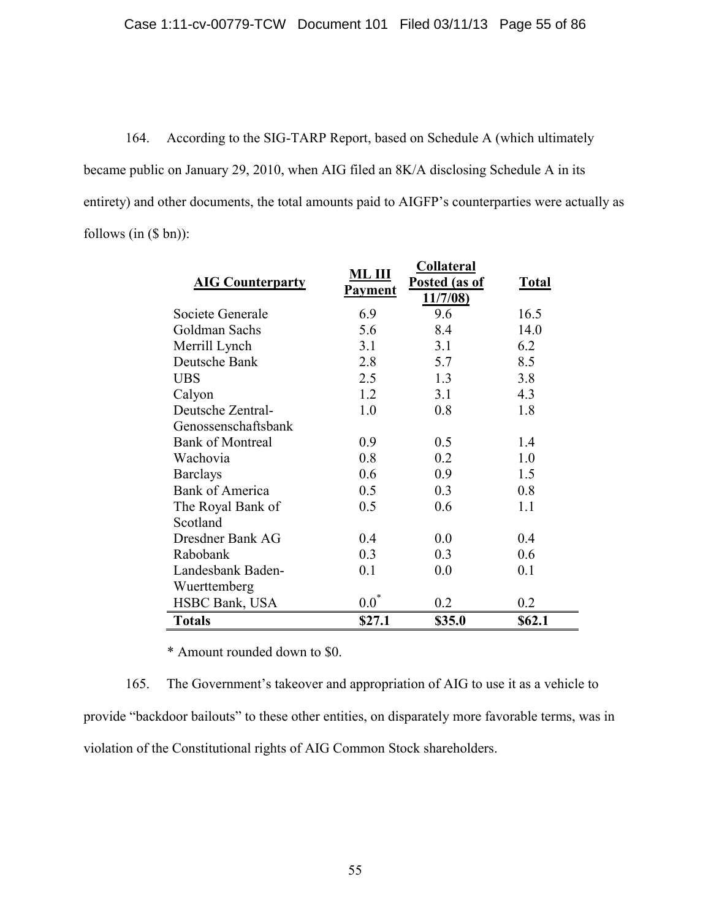164. According to the SIG-TARP Report, based on Schedule A (which ultimately became public on January 29, 2010, when AIG filed an 8K/A disclosing Schedule A in its entirety) and other documents, the total amounts paid to AIGFP's counterparties were actually as follows  $(in (§ bn))$ :

| <b>AIG Counterparty</b> | ML III<br><b>Payment</b> | <b>Collateral</b><br>Posted (as of<br>11/7/08 | <b>Total</b> |
|-------------------------|--------------------------|-----------------------------------------------|--------------|
| Societe Generale        | 6.9                      | 9.6                                           | 16.5         |
| Goldman Sachs           | 5.6                      | 8.4                                           | 14.0         |
| Merrill Lynch           | 3.1                      | 3.1                                           | 6.2          |
| Deutsche Bank           | 2.8                      | 5.7                                           | 8.5          |
| <b>UBS</b>              | 2.5                      | 1.3                                           | 3.8          |
| Calyon                  | 1.2                      | 3.1                                           | 4.3          |
| Deutsche Zentral-       | 1.0                      | 0.8                                           | 1.8          |
| Genossenschaftsbank     |                          |                                               |              |
| <b>Bank of Montreal</b> | 0.9                      | 0.5                                           | 1.4          |
| Wachovia                | 0.8                      | 0.2                                           | 1.0          |
| <b>Barclays</b>         | 0.6                      | 0.9                                           | 1.5          |
| <b>Bank of America</b>  | 0.5                      | 0.3                                           | 0.8          |
| The Royal Bank of       | 0.5                      | 0.6                                           | 1.1          |
| Scotland                |                          |                                               |              |
| Dresdner Bank AG        | 0.4                      | 0.0                                           | 0.4          |
| Rabobank                | 0.3                      | 0.3                                           | 0.6          |
| Landesbank Baden-       | 0.1                      | 0.0                                           | 0.1          |
| Wuerttemberg            |                          |                                               |              |
| HSBC Bank, USA          | $0.0^*$                  | 0.2                                           | 0.2          |
| <b>Totals</b>           | \$27.1                   | \$35.0                                        | \$62.1       |

\* Amount rounded down to \$0.

165. The Government's takeover and appropriation of AIG to use it as a vehicle to provide "backdoor bailouts" to these other entities, on disparately more favorable terms, was in violation of the Constitutional rights of AIG Common Stock shareholders.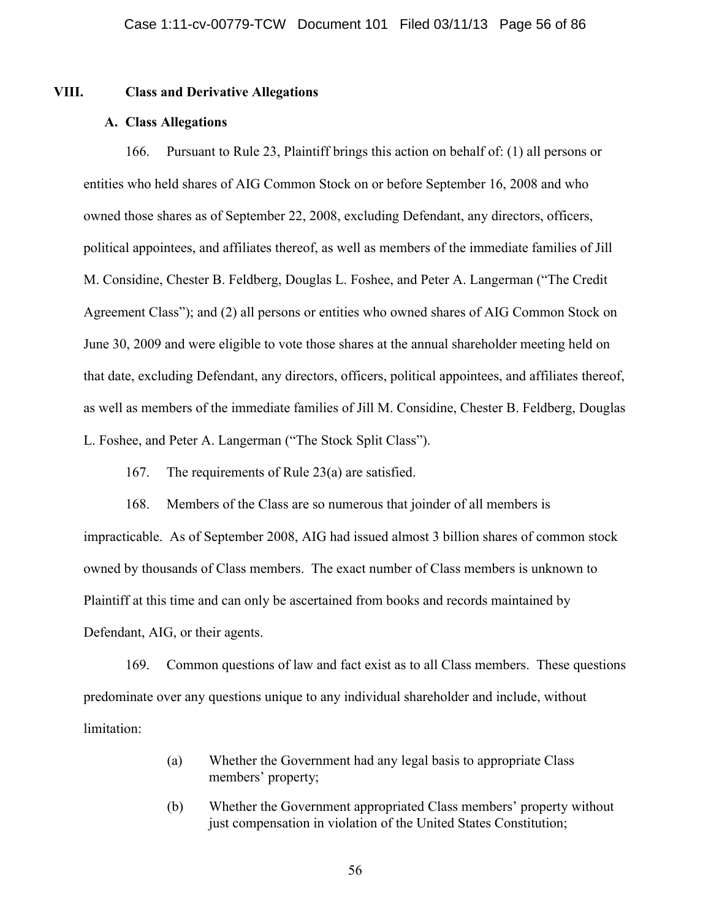# **VIII. Class and Derivative Allegations**

# **A. Class Allegations**

166. Pursuant to Rule 23, Plaintiff brings this action on behalf of: (1) all persons or entities who held shares of AIG Common Stock on or before September 16, 2008 and who owned those shares as of September 22, 2008, excluding Defendant, any directors, officers, political appointees, and affiliates thereof, as well as members of the immediate families of Jill M. Considine, Chester B. Feldberg, Douglas L. Foshee, and Peter A. Langerman ("The Credit Agreement Class"); and (2) all persons or entities who owned shares of AIG Common Stock on June 30, 2009 and were eligible to vote those shares at the annual shareholder meeting held on that date, excluding Defendant, any directors, officers, political appointees, and affiliates thereof, as well as members of the immediate families of Jill M. Considine, Chester B. Feldberg, Douglas L. Foshee, and Peter A. Langerman ("The Stock Split Class").

167. The requirements of Rule 23(a) are satisfied.

168. Members of the Class are so numerous that joinder of all members is impracticable. As of September 2008, AIG had issued almost 3 billion shares of common stock owned by thousands of Class members. The exact number of Class members is unknown to Plaintiff at this time and can only be ascertained from books and records maintained by Defendant, AIG, or their agents.

169. Common questions of law and fact exist as to all Class members. These questions predominate over any questions unique to any individual shareholder and include, without limitation:

- (a) Whether the Government had any legal basis to appropriate Class members' property;
- (b) Whether the Government appropriated Class members' property without just compensation in violation of the United States Constitution;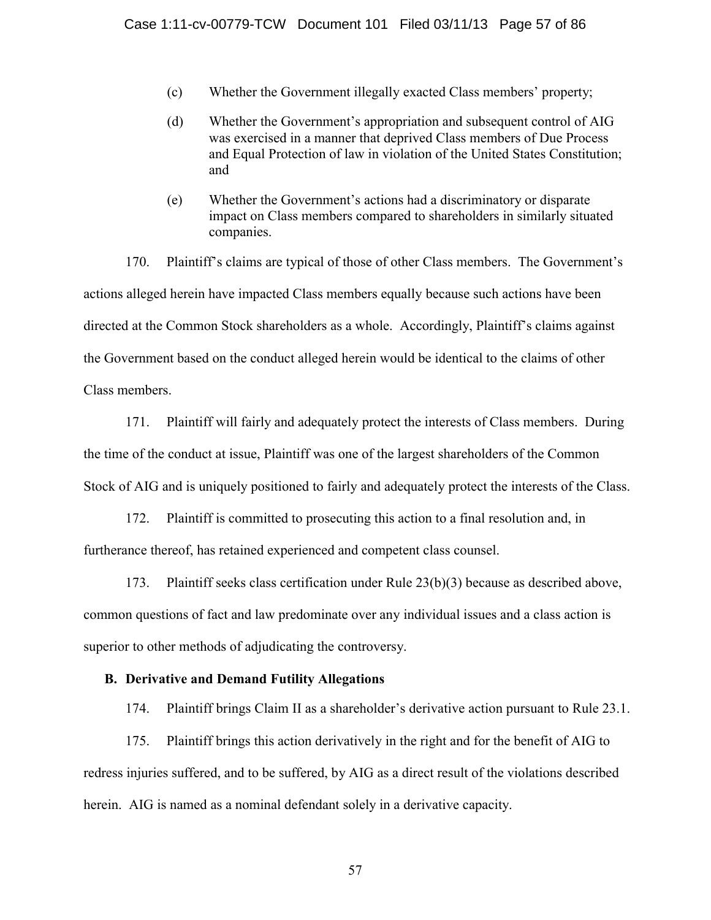- (c) Whether the Government illegally exacted Class members' property;
- (d) Whether the Government's appropriation and subsequent control of AIG was exercised in a manner that deprived Class members of Due Process and Equal Protection of law in violation of the United States Constitution; and
- (e) Whether the Government's actions had a discriminatory or disparate impact on Class members compared to shareholders in similarly situated companies.

170. Plaintiff's claims are typical of those of other Class members. The Government's actions alleged herein have impacted Class members equally because such actions have been directed at the Common Stock shareholders as a whole. Accordingly, Plaintiff's claims against the Government based on the conduct alleged herein would be identical to the claims of other Class members.

171. Plaintiff will fairly and adequately protect the interests of Class members. During the time of the conduct at issue, Plaintiff was one of the largest shareholders of the Common Stock of AIG and is uniquely positioned to fairly and adequately protect the interests of the Class.

172. Plaintiff is committed to prosecuting this action to a final resolution and, in furtherance thereof, has retained experienced and competent class counsel.

173. Plaintiff seeks class certification under Rule 23(b)(3) because as described above, common questions of fact and law predominate over any individual issues and a class action is superior to other methods of adjudicating the controversy.

# **B. Derivative and Demand Futility Allegations**

174. Plaintiff brings Claim II as a shareholder's derivative action pursuant to Rule 23.1.

175. Plaintiff brings this action derivatively in the right and for the benefit of AIG to redress injuries suffered, and to be suffered, by AIG as a direct result of the violations described herein. AIG is named as a nominal defendant solely in a derivative capacity.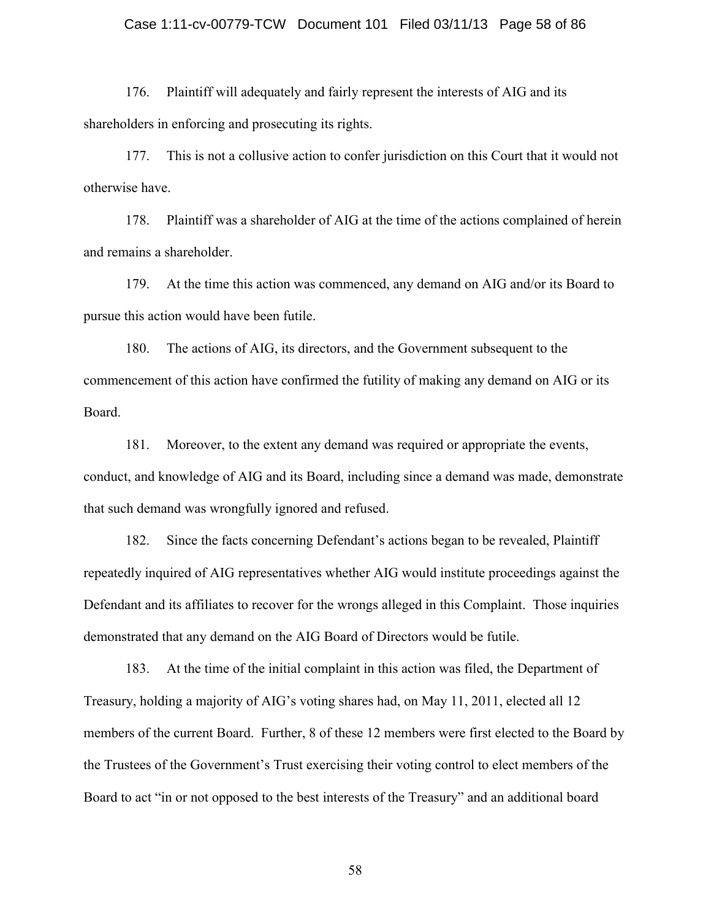# Case 1:11-cv-00779-TCW Document 101 Filed 03/11/13 Page 58 of 86

176. Plaintiff will adequately and fairly represent the interests of AIG and its shareholders in enforcing and prosecuting its rights.

177. This is not a collusive action to confer jurisdiction on this Court that it would not otherwise have.

178. Plaintiff was a shareholder of AIG at the time of the actions complained of herein and remains a shareholder.

179. At the time this action was commenced, any demand on AIG and/or its Board to pursue this action would have been futile.

180. The actions of AIG, its directors, and the Government subsequent to the commencement of this action have confirmed the futility of making any demand on AIG or its Board.

181. Moreover, to the extent any demand was required or appropriate the events, conduct, and knowledge of AIG and its Board, including since a demand was made, demonstrate that such demand was wrongfully ignored and refused.

182. Since the facts concerning Defendant's actions began to be revealed, Plaintiff repeatedly inquired of AIG representatives whether AIG would institute proceedings against the Defendant and its affiliates to recover for the wrongs alleged in this Complaint. Those inquiries demonstrated that any demand on the AIG Board of Directors would be futile.

183. At the time of the initial complaint in this action was filed, the Department of Treasury, holding a majority of AIG's voting shares had, on May 11, 2011, elected all 12 members of the current Board. Further, 8 of these 12 members were first elected to the Board by the Trustees of the Government's Trust exercising their voting control to elect members of the Board to act "in or not opposed to the best interests of the Treasury" and an additional board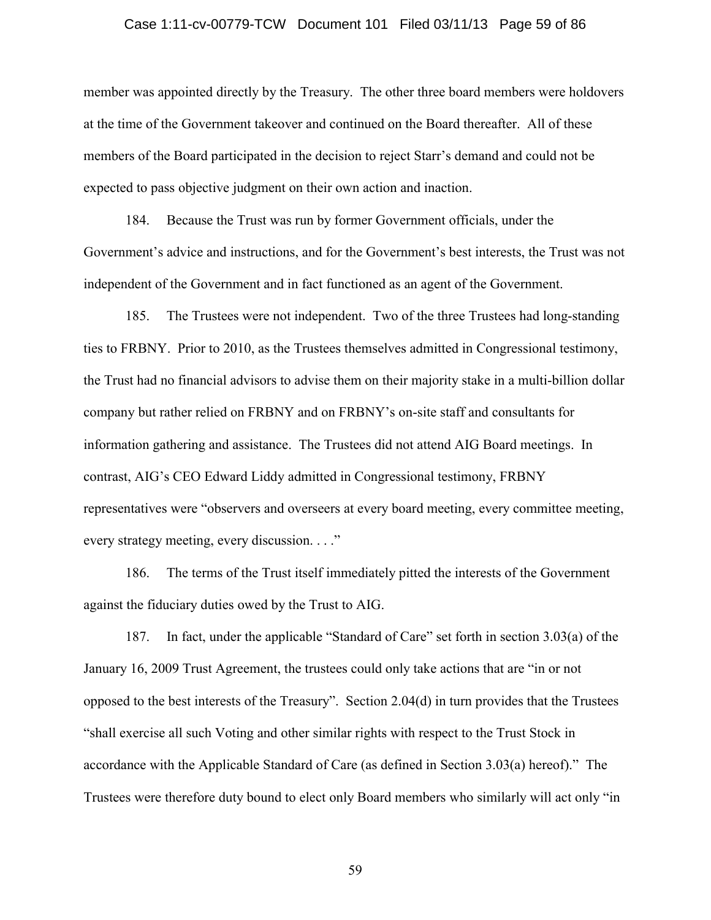# Case 1:11-cv-00779-TCW Document 101 Filed 03/11/13 Page 59 of 86

member was appointed directly by the Treasury. The other three board members were holdovers at the time of the Government takeover and continued on the Board thereafter. All of these members of the Board participated in the decision to reject Starr's demand and could not be expected to pass objective judgment on their own action and inaction.

184. Because the Trust was run by former Government officials, under the Government's advice and instructions, and for the Government's best interests, the Trust was not independent of the Government and in fact functioned as an agent of the Government.

185. The Trustees were not independent. Two of the three Trustees had long-standing ties to FRBNY. Prior to 2010, as the Trustees themselves admitted in Congressional testimony, the Trust had no financial advisors to advise them on their majority stake in a multi-billion dollar company but rather relied on FRBNY and on FRBNY's on-site staff and consultants for information gathering and assistance. The Trustees did not attend AIG Board meetings. In contrast, AIG's CEO Edward Liddy admitted in Congressional testimony, FRBNY representatives were "observers and overseers at every board meeting, every committee meeting, every strategy meeting, every discussion. . . ."

186. The terms of the Trust itself immediately pitted the interests of the Government against the fiduciary duties owed by the Trust to AIG.

187. In fact, under the applicable "Standard of Care" set forth in section 3.03(a) of the January 16, 2009 Trust Agreement, the trustees could only take actions that are "in or not opposed to the best interests of the Treasury". Section 2.04(d) in turn provides that the Trustees "shall exercise all such Voting and other similar rights with respect to the Trust Stock in accordance with the Applicable Standard of Care (as defined in Section 3.03(a) hereof)." The Trustees were therefore duty bound to elect only Board members who similarly will act only "in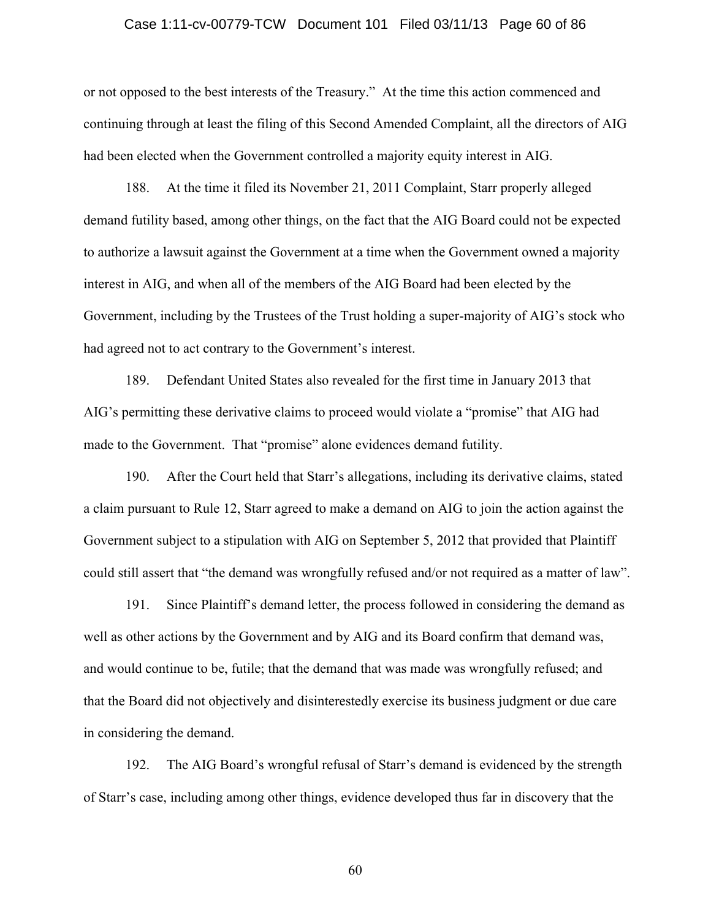# Case 1:11-cv-00779-TCW Document 101 Filed 03/11/13 Page 60 of 86

or not opposed to the best interests of the Treasury." At the time this action commenced and continuing through at least the filing of this Second Amended Complaint, all the directors of AIG had been elected when the Government controlled a majority equity interest in AIG.

188. At the time it filed its November 21, 2011 Complaint, Starr properly alleged demand futility based, among other things, on the fact that the AIG Board could not be expected to authorize a lawsuit against the Government at a time when the Government owned a majority interest in AIG, and when all of the members of the AIG Board had been elected by the Government, including by the Trustees of the Trust holding a super-majority of AIG's stock who had agreed not to act contrary to the Government's interest.

189. Defendant United States also revealed for the first time in January 2013 that AIG's permitting these derivative claims to proceed would violate a "promise" that AIG had made to the Government. That "promise" alone evidences demand futility.

190. After the Court held that Starr's allegations, including its derivative claims, stated a claim pursuant to Rule 12, Starr agreed to make a demand on AIG to join the action against the Government subject to a stipulation with AIG on September 5, 2012 that provided that Plaintiff could still assert that "the demand was wrongfully refused and/or not required as a matter of law".

191. Since Plaintiff's demand letter, the process followed in considering the demand as well as other actions by the Government and by AIG and its Board confirm that demand was, and would continue to be, futile; that the demand that was made was wrongfully refused; and that the Board did not objectively and disinterestedly exercise its business judgment or due care in considering the demand.

192. The AIG Board's wrongful refusal of Starr's demand is evidenced by the strength of Starr's case, including among other things, evidence developed thus far in discovery that the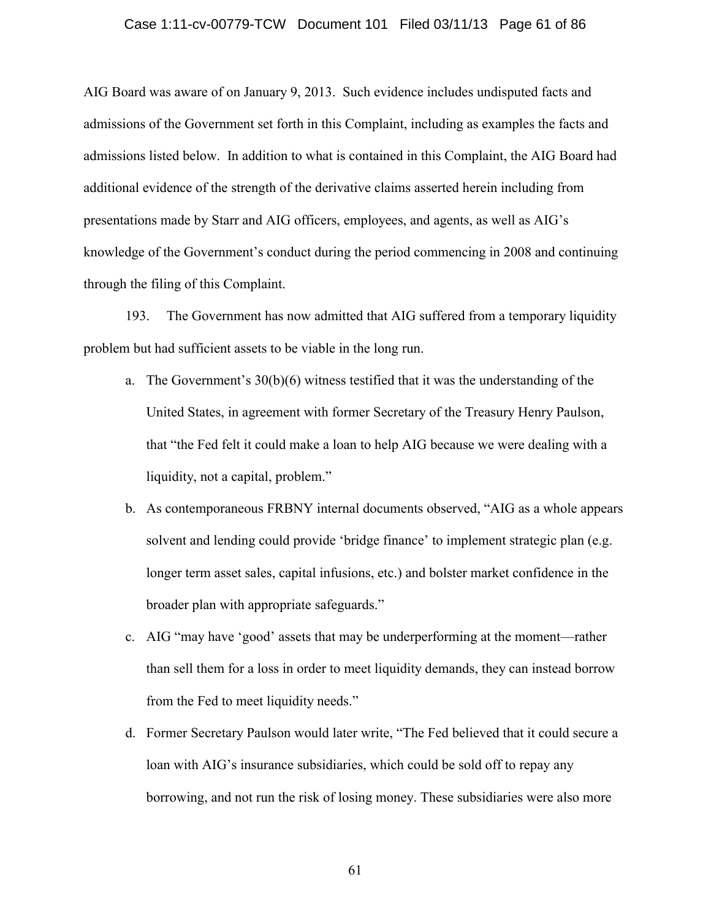# Case 1:11-cv-00779-TCW Document 101 Filed 03/11/13 Page 61 of 86

AIG Board was aware of on January 9, 2013. Such evidence includes undisputed facts and admissions of the Government set forth in this Complaint, including as examples the facts and admissions listed below. In addition to what is contained in this Complaint, the AIG Board had additional evidence of the strength of the derivative claims asserted herein including from presentations made by Starr and AIG officers, employees, and agents, as well as AIG's knowledge of the Government's conduct during the period commencing in 2008 and continuing through the filing of this Complaint.

193. The Government has now admitted that AIG suffered from a temporary liquidity problem but had sufficient assets to be viable in the long run.

- a. The Government's  $30(b)(6)$  witness testified that it was the understanding of the United States, in agreement with former Secretary of the Treasury Henry Paulson, that "the Fed felt it could make a loan to help AIG because we were dealing with a liquidity, not a capital, problem."
- b. As contemporaneous FRBNY internal documents observed, "AIG as a whole appears solvent and lending could provide 'bridge finance' to implement strategic plan (e.g. longer term asset sales, capital infusions, etc.) and bolster market confidence in the broader plan with appropriate safeguards."
- c. AIG "may have 'good' assets that may be underperforming at the moment—rather than sell them for a loss in order to meet liquidity demands, they can instead borrow from the Fed to meet liquidity needs."
- d. Former Secretary Paulson would later write, "The Fed believed that it could secure a loan with AIG's insurance subsidiaries, which could be sold off to repay any borrowing, and not run the risk of losing money. These subsidiaries were also more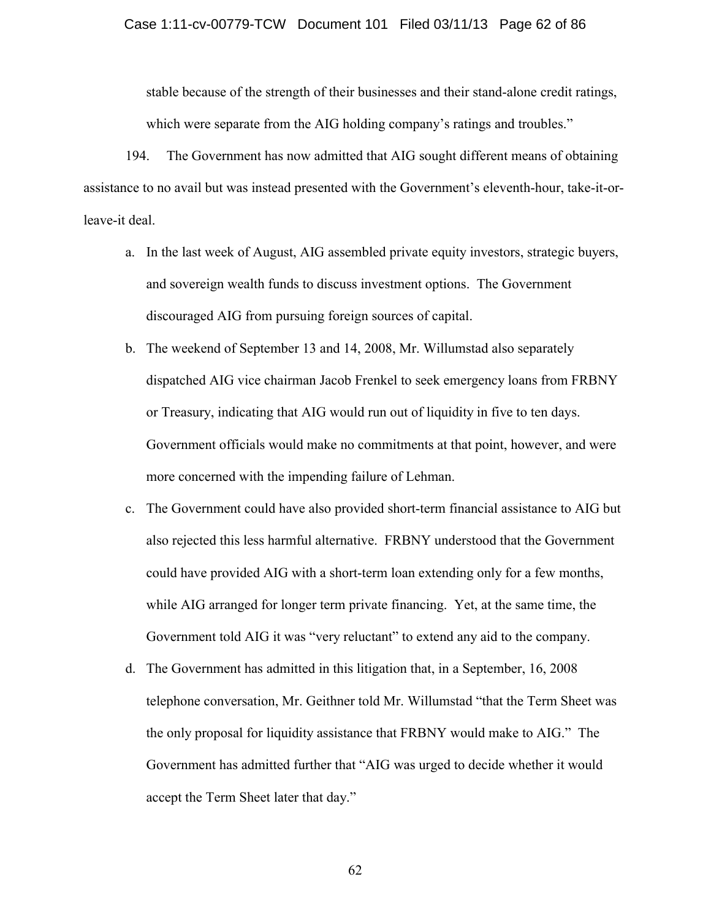stable because of the strength of their businesses and their stand-alone credit ratings, which were separate from the AIG holding company's ratings and troubles."

194. The Government has now admitted that AIG sought different means of obtaining assistance to no avail but was instead presented with the Government's eleventh-hour, take-it-orleave-it deal.

- a. In the last week of August, AIG assembled private equity investors, strategic buyers, and sovereign wealth funds to discuss investment options. The Government discouraged AIG from pursuing foreign sources of capital.
- b. The weekend of September 13 and 14, 2008, Mr. Willumstad also separately dispatched AIG vice chairman Jacob Frenkel to seek emergency loans from FRBNY or Treasury, indicating that AIG would run out of liquidity in five to ten days. Government officials would make no commitments at that point, however, and were more concerned with the impending failure of Lehman.
- c. The Government could have also provided short-term financial assistance to AIG but also rejected this less harmful alternative. FRBNY understood that the Government could have provided AIG with a short-term loan extending only for a few months, while AIG arranged for longer term private financing. Yet, at the same time, the Government told AIG it was "very reluctant" to extend any aid to the company.
- d. The Government has admitted in this litigation that, in a September, 16, 2008 telephone conversation, Mr. Geithner told Mr. Willumstad "that the Term Sheet was the only proposal for liquidity assistance that FRBNY would make to AIG." The Government has admitted further that "AIG was urged to decide whether it would accept the Term Sheet later that day."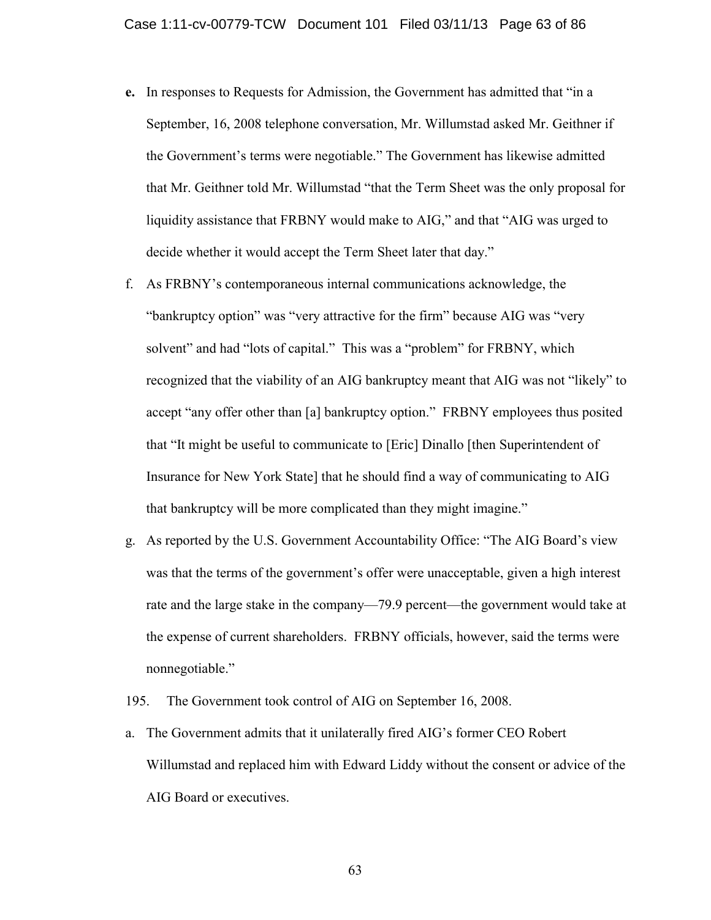- **e.** In responses to Requests for Admission, the Government has admitted that "in a September, 16, 2008 telephone conversation, Mr. Willumstad asked Mr. Geithner if the Government's terms were negotiable." The Government has likewise admitted that Mr. Geithner told Mr. Willumstad "that the Term Sheet was the only proposal for liquidity assistance that FRBNY would make to AIG," and that "AIG was urged to decide whether it would accept the Term Sheet later that day."
- f. As FRBNY's contemporaneous internal communications acknowledge, the "bankruptcy option" was "very attractive for the firm" because AIG was "very solvent" and had "lots of capital." This was a "problem" for FRBNY, which recognized that the viability of an AIG bankruptcy meant that AIG was not "likely" to accept "any offer other than [a] bankruptcy option." FRBNY employees thus posited that "It might be useful to communicate to [Eric] Dinallo [then Superintendent of Insurance for New York State] that he should find a way of communicating to AIG that bankruptcy will be more complicated than they might imagine."
- g. As reported by the U.S. Government Accountability Office: "The AIG Board's view was that the terms of the government's offer were unacceptable, given a high interest rate and the large stake in the company—79.9 percent—the government would take at the expense of current shareholders. FRBNY officials, however, said the terms were nonnegotiable."

195. The Government took control of AIG on September 16, 2008.

a. The Government admits that it unilaterally fired AIG's former CEO Robert Willumstad and replaced him with Edward Liddy without the consent or advice of the AIG Board or executives.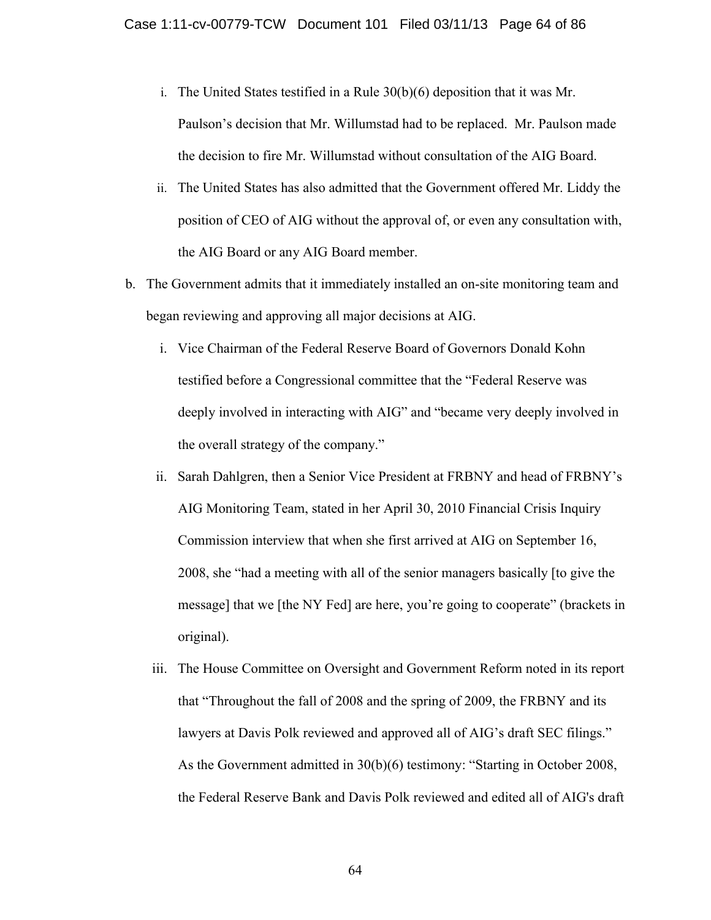- i. The United States testified in a Rule 30(b)(6) deposition that it was Mr. Paulson's decision that Mr. Willumstad had to be replaced. Mr. Paulson made the decision to fire Mr. Willumstad without consultation of the AIG Board.
- ii. The United States has also admitted that the Government offered Mr. Liddy the position of CEO of AIG without the approval of, or even any consultation with, the AIG Board or any AIG Board member.
- b. The Government admits that it immediately installed an on-site monitoring team and began reviewing and approving all major decisions at AIG.
	- i. Vice Chairman of the Federal Reserve Board of Governors Donald Kohn testified before a Congressional committee that the "Federal Reserve was deeply involved in interacting with AIG" and "became very deeply involved in the overall strategy of the company."
	- ii. Sarah Dahlgren, then a Senior Vice President at FRBNY and head of FRBNY's AIG Monitoring Team, stated in her April 30, 2010 Financial Crisis Inquiry Commission interview that when she first arrived at AIG on September 16, 2008, she "had a meeting with all of the senior managers basically [to give the message] that we [the NY Fed] are here, you're going to cooperate" (brackets in original).
	- iii. The House Committee on Oversight and Government Reform noted in its report that "Throughout the fall of 2008 and the spring of 2009, the FRBNY and its lawyers at Davis Polk reviewed and approved all of AIG's draft SEC filings." As the Government admitted in 30(b)(6) testimony: "Starting in October 2008, the Federal Reserve Bank and Davis Polk reviewed and edited all of AIG's draft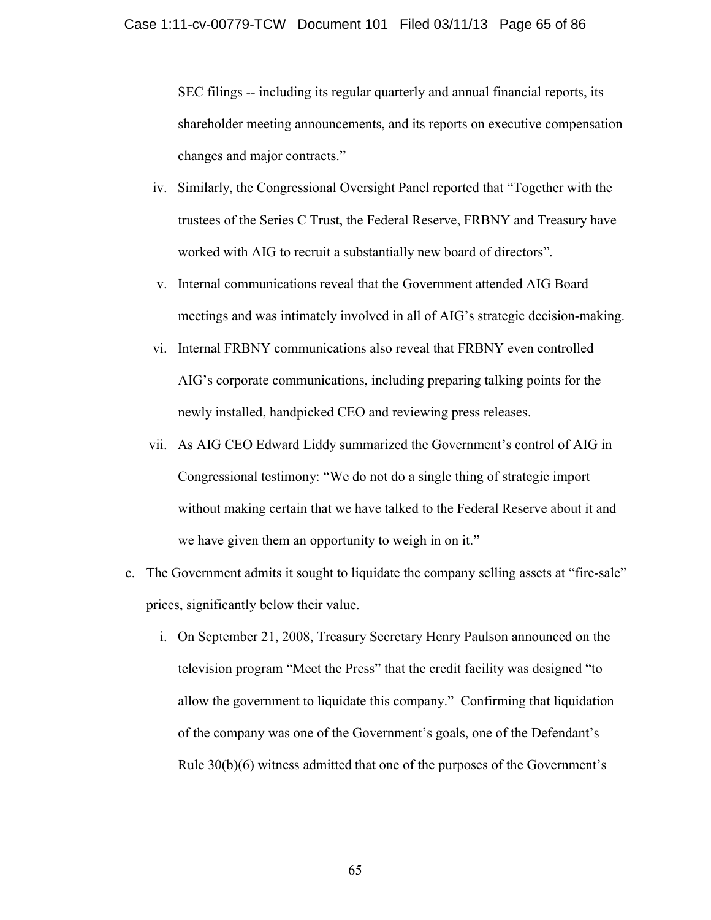SEC filings -- including its regular quarterly and annual financial reports, its shareholder meeting announcements, and its reports on executive compensation changes and major contracts."

- iv. Similarly, the Congressional Oversight Panel reported that "Together with the trustees of the Series C Trust, the Federal Reserve, FRBNY and Treasury have worked with AIG to recruit a substantially new board of directors".
- v. Internal communications reveal that the Government attended AIG Board meetings and was intimately involved in all of AIG's strategic decision-making.
- vi. Internal FRBNY communications also reveal that FRBNY even controlled AIG's corporate communications, including preparing talking points for the newly installed, handpicked CEO and reviewing press releases.
- vii. As AIG CEO Edward Liddy summarized the Government's control of AIG in Congressional testimony: "We do not do a single thing of strategic import without making certain that we have talked to the Federal Reserve about it and we have given them an opportunity to weigh in on it."
- c. The Government admits it sought to liquidate the company selling assets at "fire-sale" prices, significantly below their value.
	- i. On September 21, 2008, Treasury Secretary Henry Paulson announced on the television program "Meet the Press" that the credit facility was designed "to allow the government to liquidate this company." Confirming that liquidation of the company was one of the Government's goals, one of the Defendant's Rule 30(b)(6) witness admitted that one of the purposes of the Government's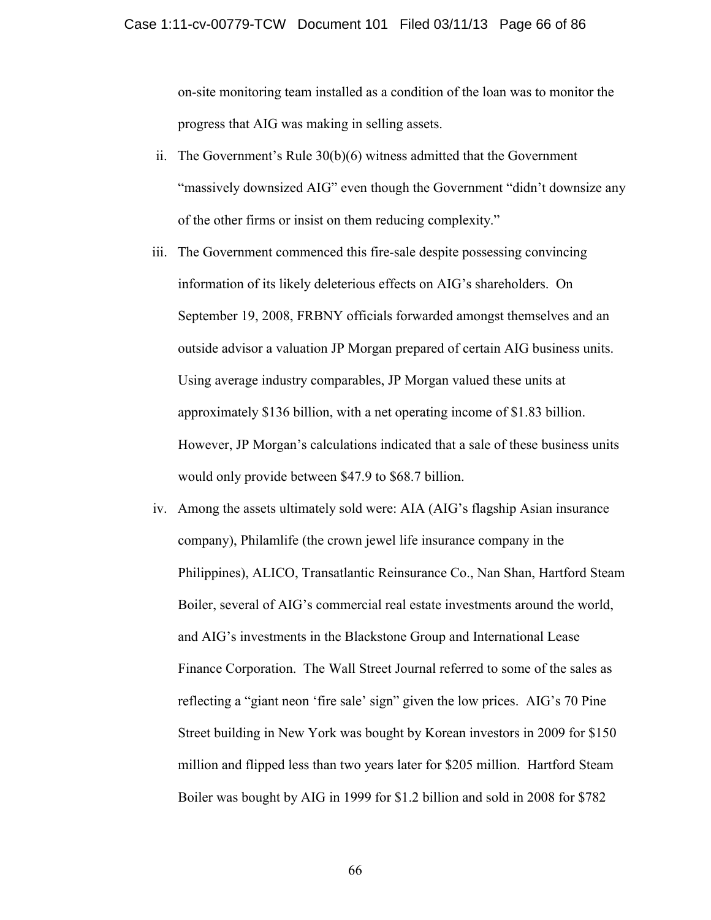on-site monitoring team installed as a condition of the loan was to monitor the progress that AIG was making in selling assets.

- ii. The Government's Rule 30(b)(6) witness admitted that the Government "massively downsized AIG" even though the Government "didn't downsize any of the other firms or insist on them reducing complexity."
- iii. The Government commenced this fire-sale despite possessing convincing information of its likely deleterious effects on AIG's shareholders. On September 19, 2008, FRBNY officials forwarded amongst themselves and an outside advisor a valuation JP Morgan prepared of certain AIG business units. Using average industry comparables, JP Morgan valued these units at approximately \$136 billion, with a net operating income of \$1.83 billion. However, JP Morgan's calculations indicated that a sale of these business units would only provide between \$47.9 to \$68.7 billion.
- iv. Among the assets ultimately sold were: AIA (AIG's flagship Asian insurance company), Philamlife (the crown jewel life insurance company in the Philippines), ALICO, Transatlantic Reinsurance Co., Nan Shan, Hartford Steam Boiler, several of AIG's commercial real estate investments around the world, and AIG's investments in the Blackstone Group and International Lease Finance Corporation. The Wall Street Journal referred to some of the sales as reflecting a "giant neon 'fire sale' sign" given the low prices. AIG's 70 Pine Street building in New York was bought by Korean investors in 2009 for \$150 million and flipped less than two years later for \$205 million. Hartford Steam Boiler was bought by AIG in 1999 for \$1.2 billion and sold in 2008 for \$782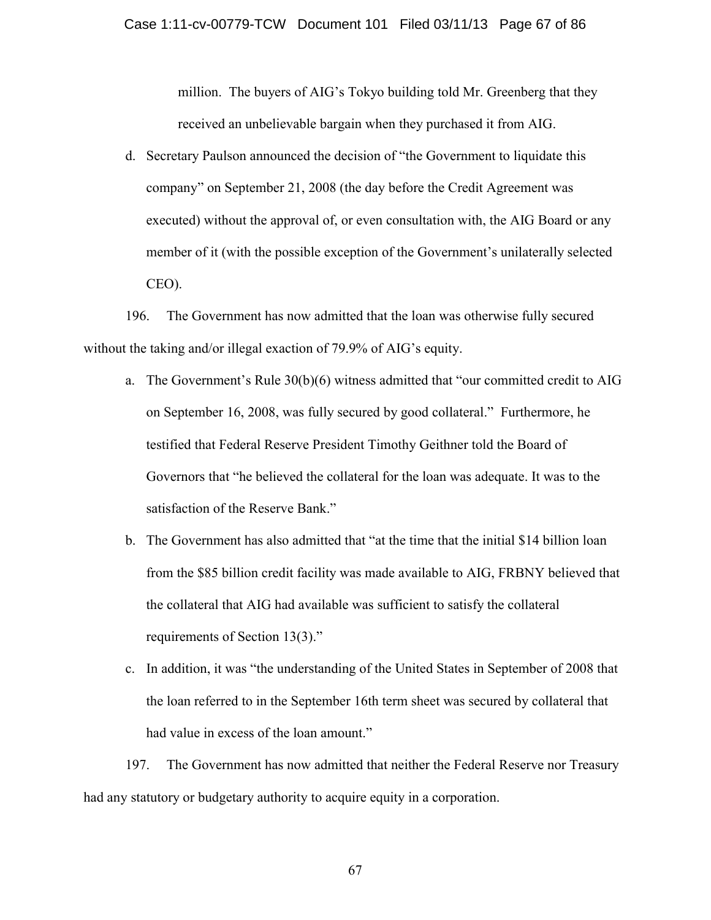million. The buyers of AIG's Tokyo building told Mr. Greenberg that they received an unbelievable bargain when they purchased it from AIG.

d. Secretary Paulson announced the decision of "the Government to liquidate this company" on September 21, 2008 (the day before the Credit Agreement was executed) without the approval of, or even consultation with, the AIG Board or any member of it (with the possible exception of the Government's unilaterally selected CEO).

196. The Government has now admitted that the loan was otherwise fully secured without the taking and/or illegal exaction of 79.9% of AIG's equity.

- a. The Government's Rule 30(b)(6) witness admitted that "our committed credit to AIG on September 16, 2008, was fully secured by good collateral." Furthermore, he testified that Federal Reserve President Timothy Geithner told the Board of Governors that "he believed the collateral for the loan was adequate. It was to the satisfaction of the Reserve Bank."
- b. The Government has also admitted that "at the time that the initial \$14 billion loan from the \$85 billion credit facility was made available to AIG, FRBNY believed that the collateral that AIG had available was sufficient to satisfy the collateral requirements of Section 13(3)."
- c. In addition, it was "the understanding of the United States in September of 2008 that the loan referred to in the September 16th term sheet was secured by collateral that had value in excess of the loan amount."

197. The Government has now admitted that neither the Federal Reserve nor Treasury had any statutory or budgetary authority to acquire equity in a corporation.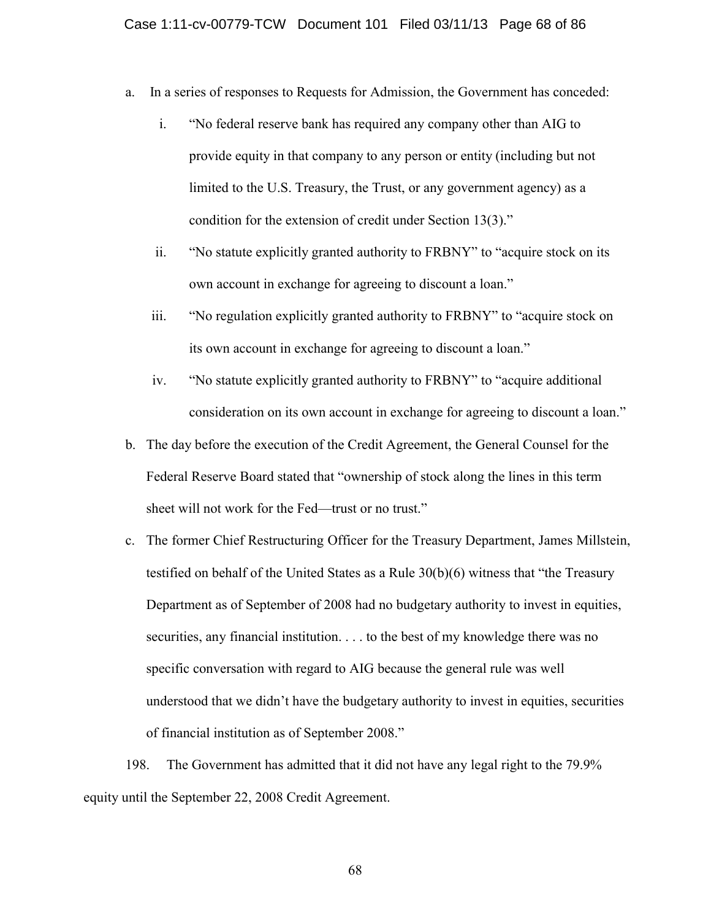- a. In a series of responses to Requests for Admission, the Government has conceded:
	- i. "No federal reserve bank has required any company other than AIG to provide equity in that company to any person or entity (including but not limited to the U.S. Treasury, the Trust, or any government agency) as a condition for the extension of credit under Section 13(3)."
	- ii. "No statute explicitly granted authority to FRBNY" to "acquire stock on its own account in exchange for agreeing to discount a loan."
	- iii. "No regulation explicitly granted authority to FRBNY" to "acquire stock on its own account in exchange for agreeing to discount a loan."
	- iv. "No statute explicitly granted authority to FRBNY" to "acquire additional consideration on its own account in exchange for agreeing to discount a loan."
- b. The day before the execution of the Credit Agreement, the General Counsel for the Federal Reserve Board stated that "ownership of stock along the lines in this term sheet will not work for the Fed—trust or no trust."
- c. The former Chief Restructuring Officer for the Treasury Department, James Millstein, testified on behalf of the United States as a Rule 30(b)(6) witness that "the Treasury Department as of September of 2008 had no budgetary authority to invest in equities, securities, any financial institution. . . . to the best of my knowledge there was no specific conversation with regard to AIG because the general rule was well understood that we didn't have the budgetary authority to invest in equities, securities of financial institution as of September 2008."

198. The Government has admitted that it did not have any legal right to the 79.9% equity until the September 22, 2008 Credit Agreement.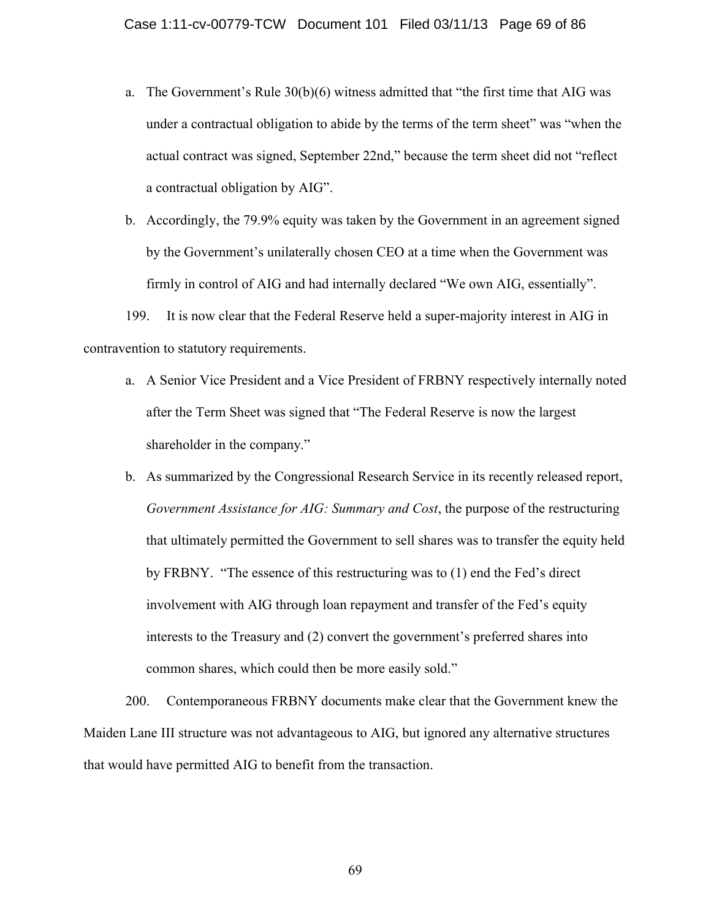- a. The Government's Rule 30(b)(6) witness admitted that "the first time that AIG was under a contractual obligation to abide by the terms of the term sheet" was "when the actual contract was signed, September 22nd," because the term sheet did not "reflect a contractual obligation by AIG".
- b. Accordingly, the 79.9% equity was taken by the Government in an agreement signed by the Government's unilaterally chosen CEO at a time when the Government was firmly in control of AIG and had internally declared "We own AIG, essentially".

199. It is now clear that the Federal Reserve held a super-majority interest in AIG in contravention to statutory requirements.

- a. A Senior Vice President and a Vice President of FRBNY respectively internally noted after the Term Sheet was signed that "The Federal Reserve is now the largest shareholder in the company."
- b. As summarized by the Congressional Research Service in its recently released report, *Government Assistance for AIG: Summary and Cost*, the purpose of the restructuring that ultimately permitted the Government to sell shares was to transfer the equity held by FRBNY. "The essence of this restructuring was to (1) end the Fed's direct involvement with AIG through loan repayment and transfer of the Fed's equity interests to the Treasury and (2) convert the government's preferred shares into common shares, which could then be more easily sold."

200. Contemporaneous FRBNY documents make clear that the Government knew the Maiden Lane III structure was not advantageous to AIG, but ignored any alternative structures that would have permitted AIG to benefit from the transaction.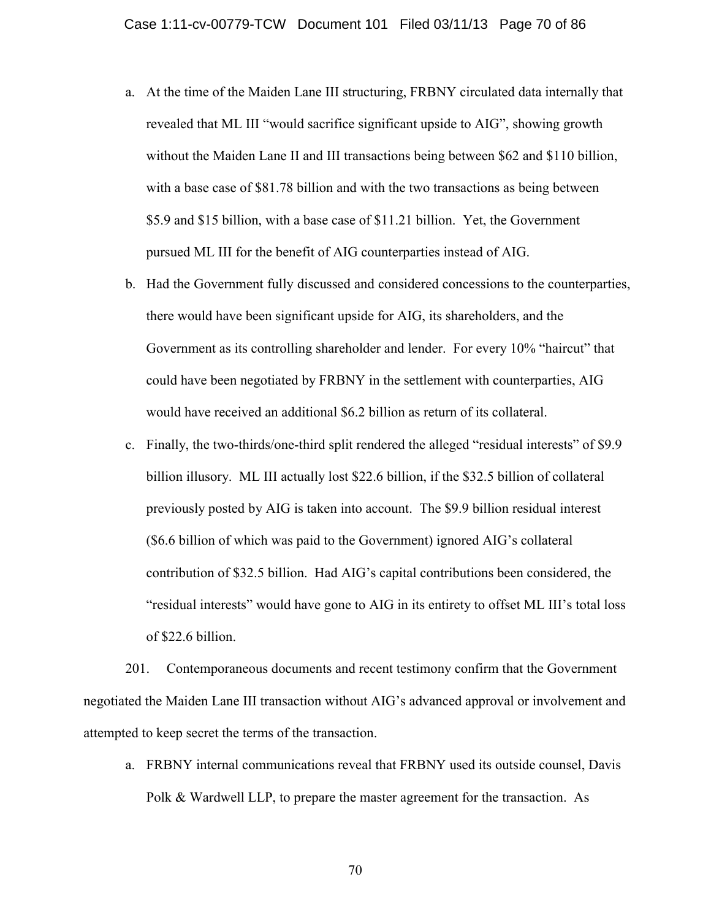- a. At the time of the Maiden Lane III structuring, FRBNY circulated data internally that revealed that ML III "would sacrifice significant upside to AIG", showing growth without the Maiden Lane II and III transactions being between \$62 and \$110 billion, with a base case of \$81.78 billion and with the two transactions as being between \$5.9 and \$15 billion, with a base case of \$11.21 billion. Yet, the Government pursued ML III for the benefit of AIG counterparties instead of AIG.
- b. Had the Government fully discussed and considered concessions to the counterparties, there would have been significant upside for AIG, its shareholders, and the Government as its controlling shareholder and lender. For every 10% "haircut" that could have been negotiated by FRBNY in the settlement with counterparties, AIG would have received an additional \$6.2 billion as return of its collateral.
- c. Finally, the two-thirds/one-third split rendered the alleged "residual interests" of \$9.9 billion illusory. ML III actually lost \$22.6 billion, if the \$32.5 billion of collateral previously posted by AIG is taken into account. The \$9.9 billion residual interest (\$6.6 billion of which was paid to the Government) ignored AIG's collateral contribution of \$32.5 billion. Had AIG's capital contributions been considered, the "residual interests" would have gone to AIG in its entirety to offset ML III's total loss of \$22.6 billion.

201. Contemporaneous documents and recent testimony confirm that the Government negotiated the Maiden Lane III transaction without AIG's advanced approval or involvement and attempted to keep secret the terms of the transaction.

a. FRBNY internal communications reveal that FRBNY used its outside counsel, Davis Polk & Wardwell LLP, to prepare the master agreement for the transaction. As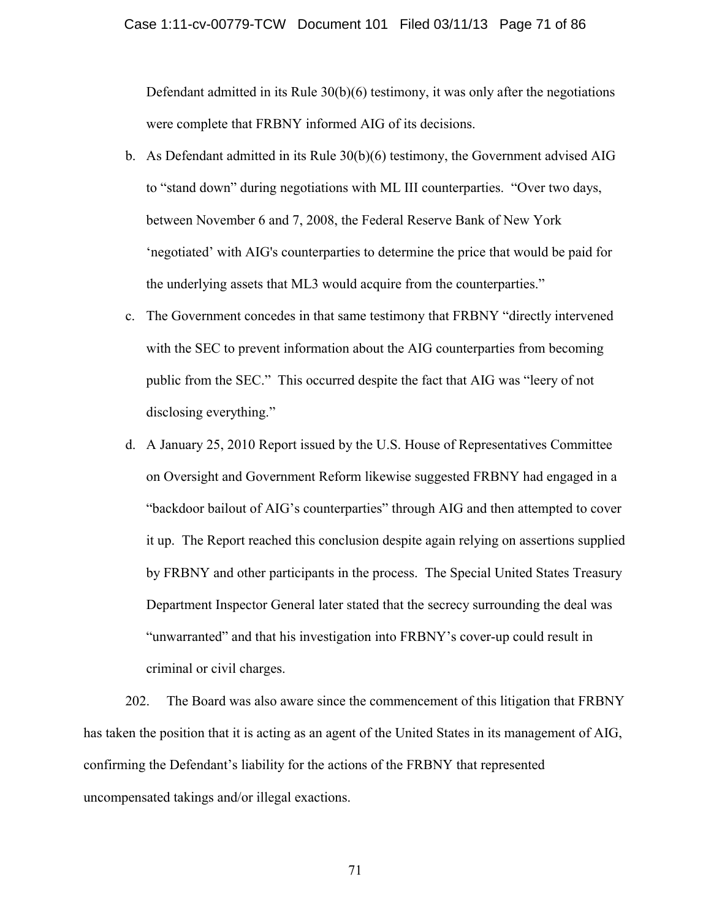Defendant admitted in its Rule  $30(b)(6)$  testimony, it was only after the negotiations were complete that FRBNY informed AIG of its decisions.

- b. As Defendant admitted in its Rule 30(b)(6) testimony, the Government advised AIG to "stand down" during negotiations with ML III counterparties. "Over two days, between November 6 and 7, 2008, the Federal Reserve Bank of New York 'negotiated' with AIG's counterparties to determine the price that would be paid for the underlying assets that ML3 would acquire from the counterparties."
- c. The Government concedes in that same testimony that FRBNY "directly intervened with the SEC to prevent information about the AIG counterparties from becoming public from the SEC." This occurred despite the fact that AIG was "leery of not disclosing everything."
- d. A January 25, 2010 Report issued by the U.S. House of Representatives Committee on Oversight and Government Reform likewise suggested FRBNY had engaged in a "backdoor bailout of AIG's counterparties" through AIG and then attempted to cover it up. The Report reached this conclusion despite again relying on assertions supplied by FRBNY and other participants in the process. The Special United States Treasury Department Inspector General later stated that the secrecy surrounding the deal was "unwarranted" and that his investigation into FRBNY's cover-up could result in criminal or civil charges.

202. The Board was also aware since the commencement of this litigation that FRBNY has taken the position that it is acting as an agent of the United States in its management of AIG, confirming the Defendant's liability for the actions of the FRBNY that represented uncompensated takings and/or illegal exactions.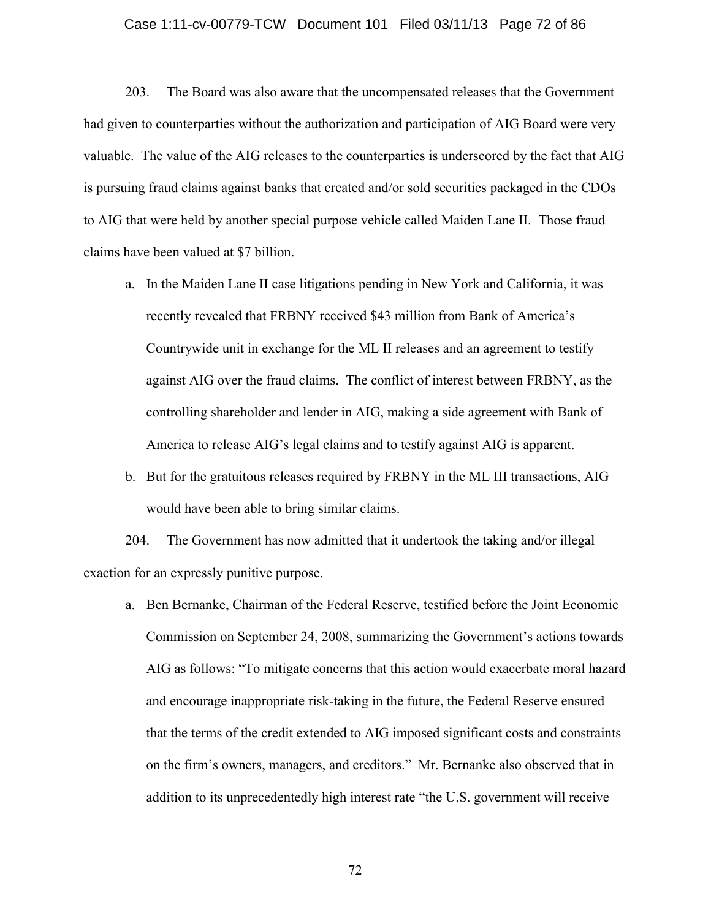# Case 1:11-cv-00779-TCW Document 101 Filed 03/11/13 Page 72 of 86

203. The Board was also aware that the uncompensated releases that the Government had given to counterparties without the authorization and participation of AIG Board were very valuable. The value of the AIG releases to the counterparties is underscored by the fact that AIG is pursuing fraud claims against banks that created and/or sold securities packaged in the CDOs to AIG that were held by another special purpose vehicle called Maiden Lane II. Those fraud claims have been valued at \$7 billion.

- a. In the Maiden Lane II case litigations pending in New York and California, it was recently revealed that FRBNY received \$43 million from Bank of America's Countrywide unit in exchange for the ML II releases and an agreement to testify against AIG over the fraud claims. The conflict of interest between FRBNY, as the controlling shareholder and lender in AIG, making a side agreement with Bank of America to release AIG's legal claims and to testify against AIG is apparent.
- b. But for the gratuitous releases required by FRBNY in the ML III transactions, AIG would have been able to bring similar claims.

204. The Government has now admitted that it undertook the taking and/or illegal exaction for an expressly punitive purpose.

a. Ben Bernanke, Chairman of the Federal Reserve, testified before the Joint Economic Commission on September 24, 2008, summarizing the Government's actions towards AIG as follows: "To mitigate concerns that this action would exacerbate moral hazard and encourage inappropriate risk-taking in the future, the Federal Reserve ensured that the terms of the credit extended to AIG imposed significant costs and constraints on the firm's owners, managers, and creditors." Mr. Bernanke also observed that in addition to its unprecedentedly high interest rate "the U.S. government will receive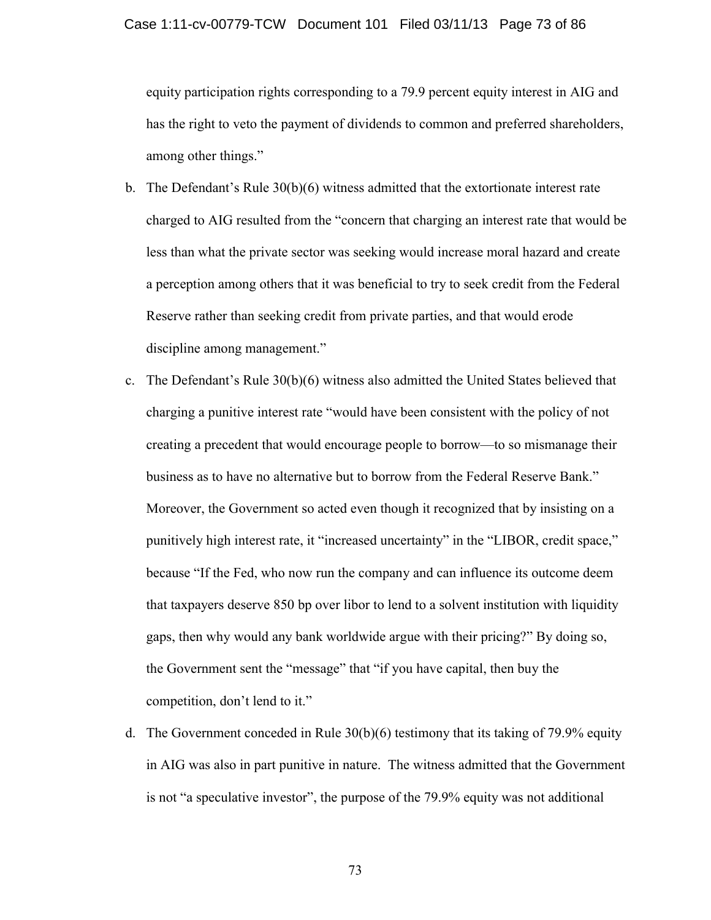equity participation rights corresponding to a 79.9 percent equity interest in AIG and has the right to veto the payment of dividends to common and preferred shareholders, among other things."

- b. The Defendant's Rule 30(b)(6) witness admitted that the extortionate interest rate charged to AIG resulted from the "concern that charging an interest rate that would be less than what the private sector was seeking would increase moral hazard and create a perception among others that it was beneficial to try to seek credit from the Federal Reserve rather than seeking credit from private parties, and that would erode discipline among management."
- c. The Defendant's Rule 30(b)(6) witness also admitted the United States believed that charging a punitive interest rate "would have been consistent with the policy of not creating a precedent that would encourage people to borrow—to so mismanage their business as to have no alternative but to borrow from the Federal Reserve Bank." Moreover, the Government so acted even though it recognized that by insisting on a punitively high interest rate, it "increased uncertainty" in the "LIBOR, credit space," because "If the Fed, who now run the company and can influence its outcome deem that taxpayers deserve 850 bp over libor to lend to a solvent institution with liquidity gaps, then why would any bank worldwide argue with their pricing?" By doing so, the Government sent the "message" that "if you have capital, then buy the competition, don't lend to it."
- d. The Government conceded in Rule  $30(b)(6)$  testimony that its taking of 79.9% equity in AIG was also in part punitive in nature. The witness admitted that the Government is not "a speculative investor", the purpose of the 79.9% equity was not additional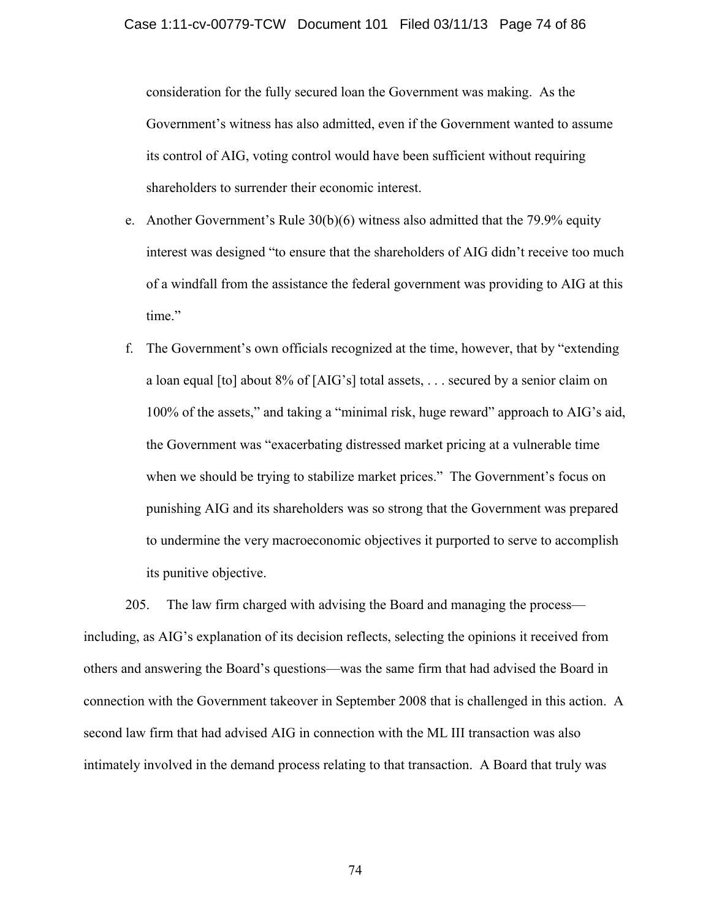consideration for the fully secured loan the Government was making. As the Government's witness has also admitted, even if the Government wanted to assume its control of AIG, voting control would have been sufficient without requiring shareholders to surrender their economic interest.

- e. Another Government's Rule  $30(b)(6)$  witness also admitted that the 79.9% equity interest was designed "to ensure that the shareholders of AIG didn't receive too much of a windfall from the assistance the federal government was providing to AIG at this time."
- f. The Government's own officials recognized at the time, however, that by "extending a loan equal [to] about 8% of [AIG's] total assets, . . . secured by a senior claim on 100% of the assets," and taking a "minimal risk, huge reward" approach to AIG's aid, the Government was "exacerbating distressed market pricing at a vulnerable time when we should be trying to stabilize market prices." The Government's focus on punishing AIG and its shareholders was so strong that the Government was prepared to undermine the very macroeconomic objectives it purported to serve to accomplish its punitive objective.

205. The law firm charged with advising the Board and managing the process including, as AIG's explanation of its decision reflects, selecting the opinions it received from others and answering the Board's questions—was the same firm that had advised the Board in connection with the Government takeover in September 2008 that is challenged in this action. A second law firm that had advised AIG in connection with the ML III transaction was also intimately involved in the demand process relating to that transaction. A Board that truly was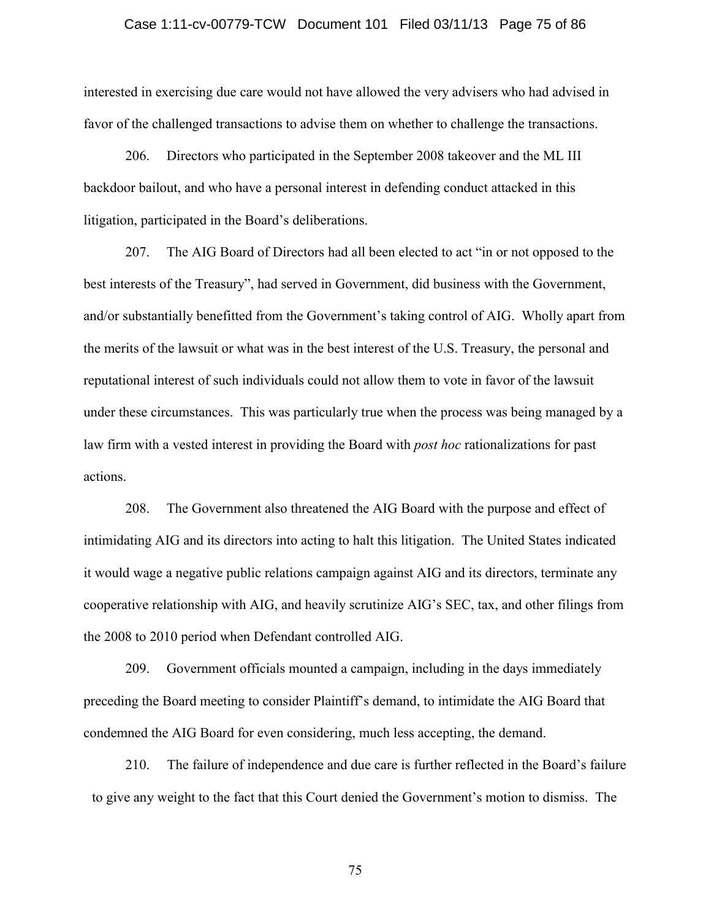## Case 1:11-cv-00779-TCW Document 101 Filed 03/11/13 Page 75 of 86

interested in exercising due care would not have allowed the very advisers who had advised in favor of the challenged transactions to advise them on whether to challenge the transactions.

206. Directors who participated in the September 2008 takeover and the ML III backdoor bailout, and who have a personal interest in defending conduct attacked in this litigation, participated in the Board's deliberations.

207. The AIG Board of Directors had all been elected to act "in or not opposed to the best interests of the Treasury", had served in Government, did business with the Government, and/or substantially benefitted from the Government's taking control of AIG. Wholly apart from the merits of the lawsuit or what was in the best interest of the U.S. Treasury, the personal and reputational interest of such individuals could not allow them to vote in favor of the lawsuit under these circumstances. This was particularly true when the process was being managed by a law firm with a vested interest in providing the Board with *post hoc* rationalizations for past actions.

208. The Government also threatened the AIG Board with the purpose and effect of intimidating AIG and its directors into acting to halt this litigation. The United States indicated it would wage a negative public relations campaign against AIG and its directors, terminate any cooperative relationship with AIG, and heavily scrutinize AIG's SEC, tax, and other filings from the 2008 to 2010 period when Defendant controlled AIG.

209. Government officials mounted a campaign, including in the days immediately preceding the Board meeting to consider Plaintiff's demand, to intimidate the AIG Board that condemned the AIG Board for even considering, much less accepting, the demand.

210. The failure of independence and due care is further reflected in the Board's failure to give any weight to the fact that this Court denied the Government's motion to dismiss. The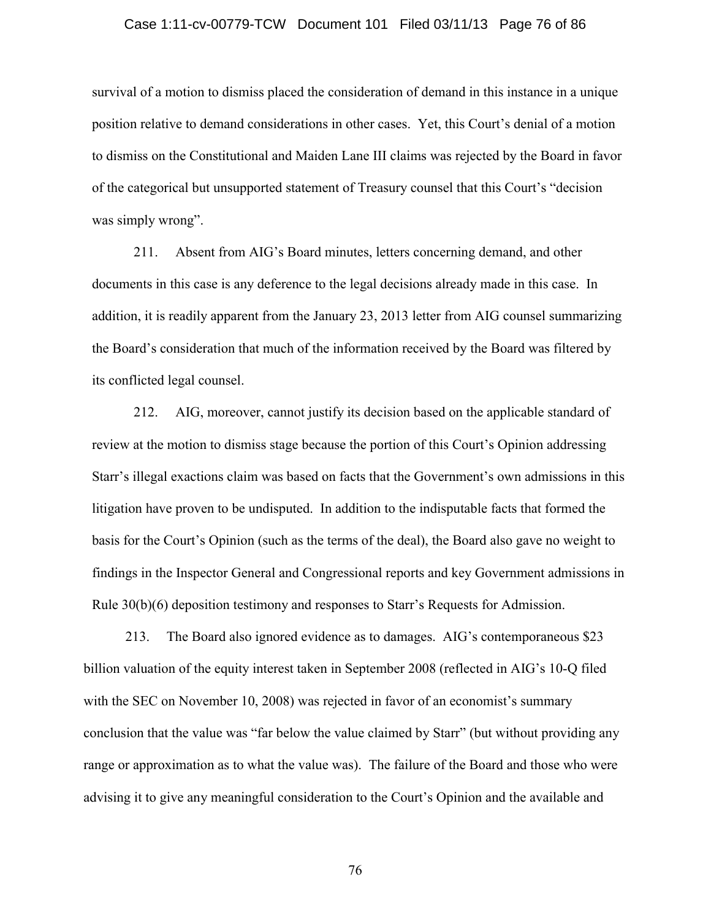### Case 1:11-cv-00779-TCW Document 101 Filed 03/11/13 Page 76 of 86

survival of a motion to dismiss placed the consideration of demand in this instance in a unique position relative to demand considerations in other cases. Yet, this Court's denial of a motion to dismiss on the Constitutional and Maiden Lane III claims was rejected by the Board in favor of the categorical but unsupported statement of Treasury counsel that this Court's "decision was simply wrong".

211. Absent from AIG's Board minutes, letters concerning demand, and other documents in this case is any deference to the legal decisions already made in this case. In addition, it is readily apparent from the January 23, 2013 letter from AIG counsel summarizing the Board's consideration that much of the information received by the Board was filtered by its conflicted legal counsel.

212. AIG, moreover, cannot justify its decision based on the applicable standard of review at the motion to dismiss stage because the portion of this Court's Opinion addressing Starr's illegal exactions claim was based on facts that the Government's own admissions in this litigation have proven to be undisputed. In addition to the indisputable facts that formed the basis for the Court's Opinion (such as the terms of the deal), the Board also gave no weight to findings in the Inspector General and Congressional reports and key Government admissions in Rule 30(b)(6) deposition testimony and responses to Starr's Requests for Admission.

213. The Board also ignored evidence as to damages. AIG's contemporaneous \$23 billion valuation of the equity interest taken in September 2008 (reflected in AIG's 10-Q filed with the SEC on November 10, 2008) was rejected in favor of an economist's summary conclusion that the value was "far below the value claimed by Starr" (but without providing any range or approximation as to what the value was). The failure of the Board and those who were advising it to give any meaningful consideration to the Court's Opinion and the available and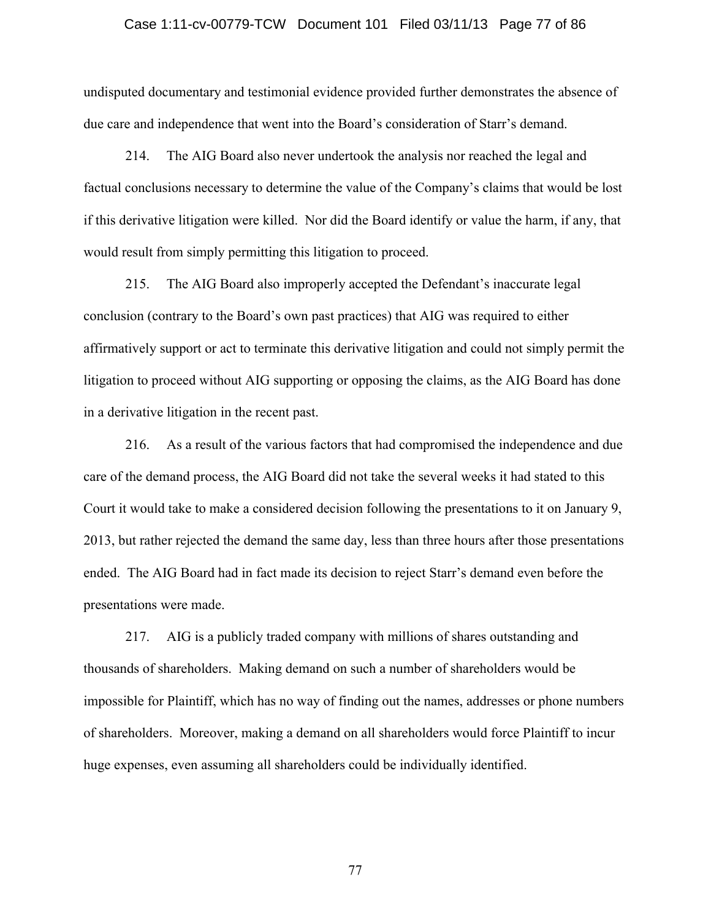### Case 1:11-cv-00779-TCW Document 101 Filed 03/11/13 Page 77 of 86

undisputed documentary and testimonial evidence provided further demonstrates the absence of due care and independence that went into the Board's consideration of Starr's demand.

214. The AIG Board also never undertook the analysis nor reached the legal and factual conclusions necessary to determine the value of the Company's claims that would be lost if this derivative litigation were killed. Nor did the Board identify or value the harm, if any, that would result from simply permitting this litigation to proceed.

215. The AIG Board also improperly accepted the Defendant's inaccurate legal conclusion (contrary to the Board's own past practices) that AIG was required to either affirmatively support or act to terminate this derivative litigation and could not simply permit the litigation to proceed without AIG supporting or opposing the claims, as the AIG Board has done in a derivative litigation in the recent past.

216. As a result of the various factors that had compromised the independence and due care of the demand process, the AIG Board did not take the several weeks it had stated to this Court it would take to make a considered decision following the presentations to it on January 9, 2013, but rather rejected the demand the same day, less than three hours after those presentations ended. The AIG Board had in fact made its decision to reject Starr's demand even before the presentations were made.

217. AIG is a publicly traded company with millions of shares outstanding and thousands of shareholders. Making demand on such a number of shareholders would be impossible for Plaintiff, which has no way of finding out the names, addresses or phone numbers of shareholders. Moreover, making a demand on all shareholders would force Plaintiff to incur huge expenses, even assuming all shareholders could be individually identified.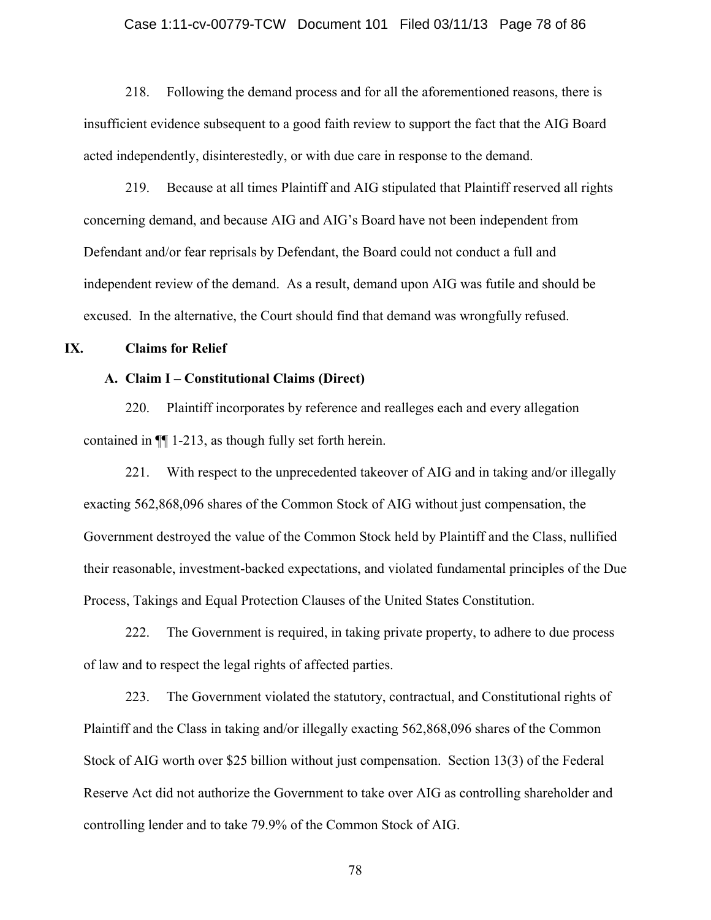## Case 1:11-cv-00779-TCW Document 101 Filed 03/11/13 Page 78 of 86

218. Following the demand process and for all the aforementioned reasons, there is insufficient evidence subsequent to a good faith review to support the fact that the AIG Board acted independently, disinterestedly, or with due care in response to the demand.

219. Because at all times Plaintiff and AIG stipulated that Plaintiff reserved all rights concerning demand, and because AIG and AIG's Board have not been independent from Defendant and/or fear reprisals by Defendant, the Board could not conduct a full and independent review of the demand. As a result, demand upon AIG was futile and should be excused. In the alternative, the Court should find that demand was wrongfully refused.

## **IX. Claims for Relief**

## **A. Claim I – Constitutional Claims (Direct)**

220. Plaintiff incorporates by reference and realleges each and every allegation contained in ¶¶ 1-213, as though fully set forth herein.

221. With respect to the unprecedented takeover of AIG and in taking and/or illegally exacting 562,868,096 shares of the Common Stock of AIG without just compensation, the Government destroyed the value of the Common Stock held by Plaintiff and the Class, nullified their reasonable, investment-backed expectations, and violated fundamental principles of the Due Process, Takings and Equal Protection Clauses of the United States Constitution.

222. The Government is required, in taking private property, to adhere to due process of law and to respect the legal rights of affected parties.

223. The Government violated the statutory, contractual, and Constitutional rights of Plaintiff and the Class in taking and/or illegally exacting 562,868,096 shares of the Common Stock of AIG worth over \$25 billion without just compensation. Section 13(3) of the Federal Reserve Act did not authorize the Government to take over AIG as controlling shareholder and controlling lender and to take 79.9% of the Common Stock of AIG.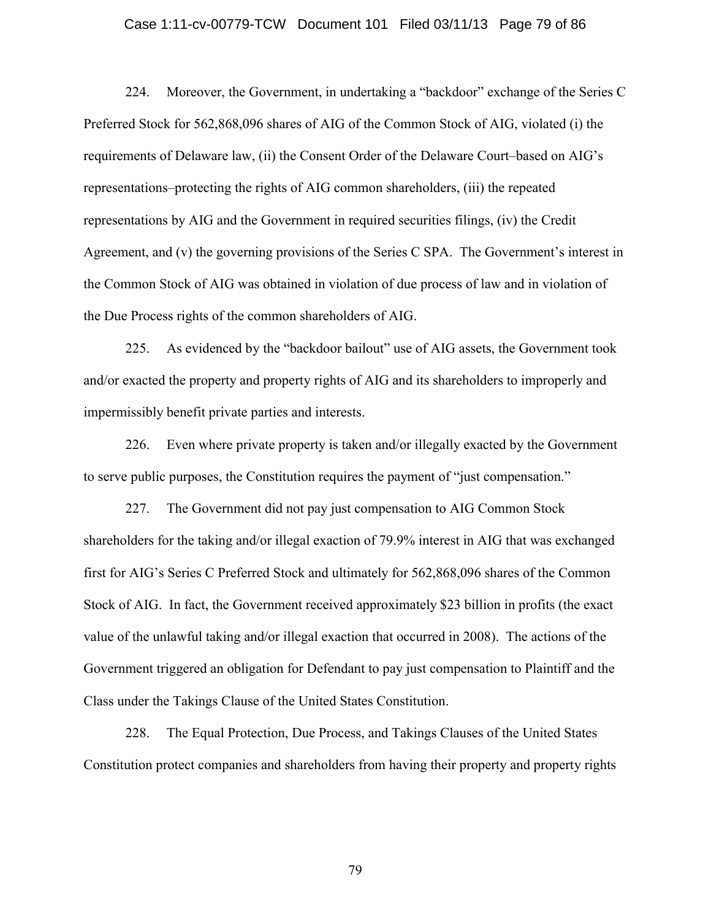### Case 1:11-cv-00779-TCW Document 101 Filed 03/11/13 Page 79 of 86

224. Moreover, the Government, in undertaking a "backdoor" exchange of the Series C Preferred Stock for 562,868,096 shares of AIG of the Common Stock of AIG, violated (i) the requirements of Delaware law, (ii) the Consent Order of the Delaware Court–based on AIG's representations–protecting the rights of AIG common shareholders, (iii) the repeated representations by AIG and the Government in required securities filings, (iv) the Credit Agreement, and (v) the governing provisions of the Series C SPA. The Government's interest in the Common Stock of AIG was obtained in violation of due process of law and in violation of the Due Process rights of the common shareholders of AIG.

225. As evidenced by the "backdoor bailout" use of AIG assets, the Government took and/or exacted the property and property rights of AIG and its shareholders to improperly and impermissibly benefit private parties and interests.

226. Even where private property is taken and/or illegally exacted by the Government to serve public purposes, the Constitution requires the payment of "just compensation."

227. The Government did not pay just compensation to AIG Common Stock shareholders for the taking and/or illegal exaction of 79.9% interest in AIG that was exchanged first for AIG's Series C Preferred Stock and ultimately for 562,868,096 shares of the Common Stock of AIG. In fact, the Government received approximately \$23 billion in profits (the exact value of the unlawful taking and/or illegal exaction that occurred in 2008). The actions of the Government triggered an obligation for Defendant to pay just compensation to Plaintiff and the Class under the Takings Clause of the United States Constitution.

228. The Equal Protection, Due Process, and Takings Clauses of the United States Constitution protect companies and shareholders from having their property and property rights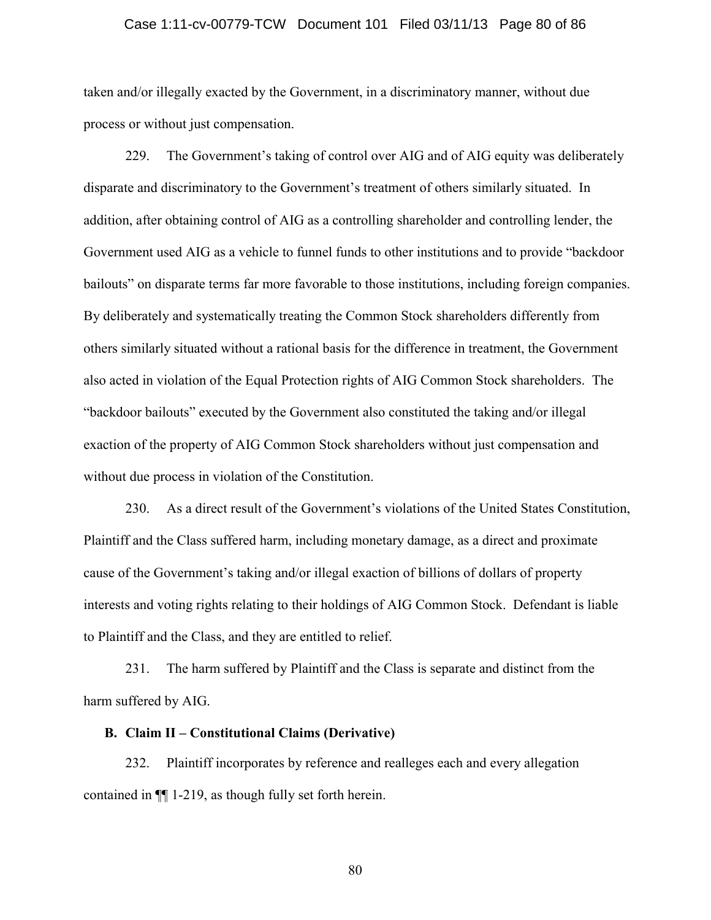## Case 1:11-cv-00779-TCW Document 101 Filed 03/11/13 Page 80 of 86

taken and/or illegally exacted by the Government, in a discriminatory manner, without due process or without just compensation.

229. The Government's taking of control over AIG and of AIG equity was deliberately disparate and discriminatory to the Government's treatment of others similarly situated. In addition, after obtaining control of AIG as a controlling shareholder and controlling lender, the Government used AIG as a vehicle to funnel funds to other institutions and to provide "backdoor bailouts" on disparate terms far more favorable to those institutions, including foreign companies. By deliberately and systematically treating the Common Stock shareholders differently from others similarly situated without a rational basis for the difference in treatment, the Government also acted in violation of the Equal Protection rights of AIG Common Stock shareholders. The "backdoor bailouts" executed by the Government also constituted the taking and/or illegal exaction of the property of AIG Common Stock shareholders without just compensation and without due process in violation of the Constitution.

230. As a direct result of the Government's violations of the United States Constitution, Plaintiff and the Class suffered harm, including monetary damage, as a direct and proximate cause of the Government's taking and/or illegal exaction of billions of dollars of property interests and voting rights relating to their holdings of AIG Common Stock. Defendant is liable to Plaintiff and the Class, and they are entitled to relief.

231. The harm suffered by Plaintiff and the Class is separate and distinct from the harm suffered by AIG.

## **B. Claim II – Constitutional Claims (Derivative)**

232. Plaintiff incorporates by reference and realleges each and every allegation contained in ¶¶ 1-219, as though fully set forth herein.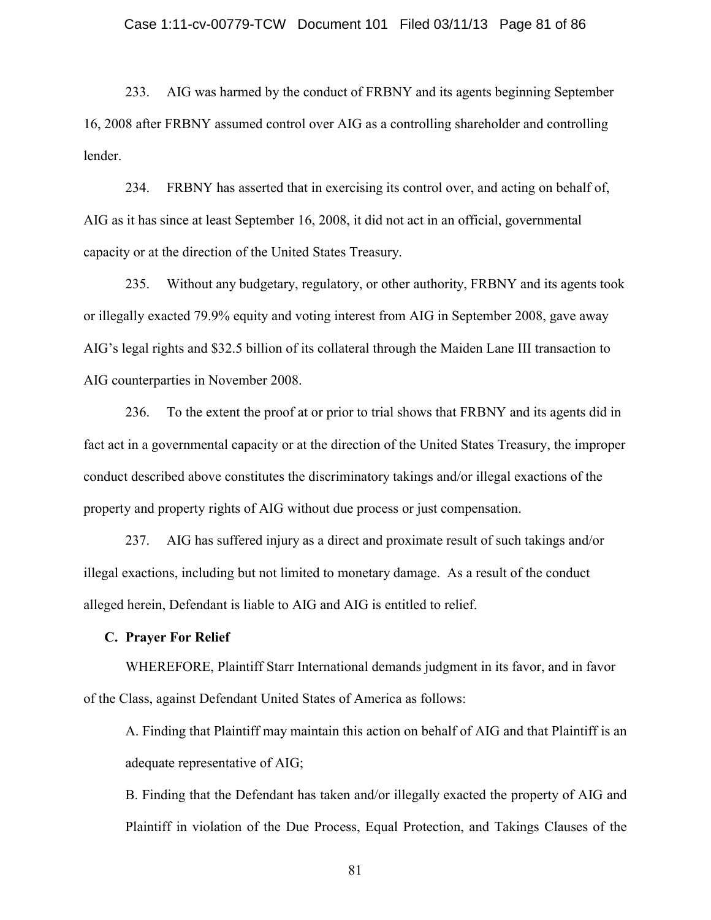## Case 1:11-cv-00779-TCW Document 101 Filed 03/11/13 Page 81 of 86

233. AIG was harmed by the conduct of FRBNY and its agents beginning September 16, 2008 after FRBNY assumed control over AIG as a controlling shareholder and controlling lender.

234. FRBNY has asserted that in exercising its control over, and acting on behalf of, AIG as it has since at least September 16, 2008, it did not act in an official, governmental capacity or at the direction of the United States Treasury.

235. Without any budgetary, regulatory, or other authority, FRBNY and its agents took or illegally exacted 79.9% equity and voting interest from AIG in September 2008, gave away AIG's legal rights and \$32.5 billion of its collateral through the Maiden Lane III transaction to AIG counterparties in November 2008.

236. To the extent the proof at or prior to trial shows that FRBNY and its agents did in fact act in a governmental capacity or at the direction of the United States Treasury, the improper conduct described above constitutes the discriminatory takings and/or illegal exactions of the property and property rights of AIG without due process or just compensation.

237. AIG has suffered injury as a direct and proximate result of such takings and/or illegal exactions, including but not limited to monetary damage. As a result of the conduct alleged herein, Defendant is liable to AIG and AIG is entitled to relief.

## **C. Prayer For Relief**

WHEREFORE, Plaintiff Starr International demands judgment in its favor, and in favor of the Class, against Defendant United States of America as follows:

A. Finding that Plaintiff may maintain this action on behalf of AIG and that Plaintiff is an adequate representative of AIG;

B. Finding that the Defendant has taken and/or illegally exacted the property of AIG and Plaintiff in violation of the Due Process, Equal Protection, and Takings Clauses of the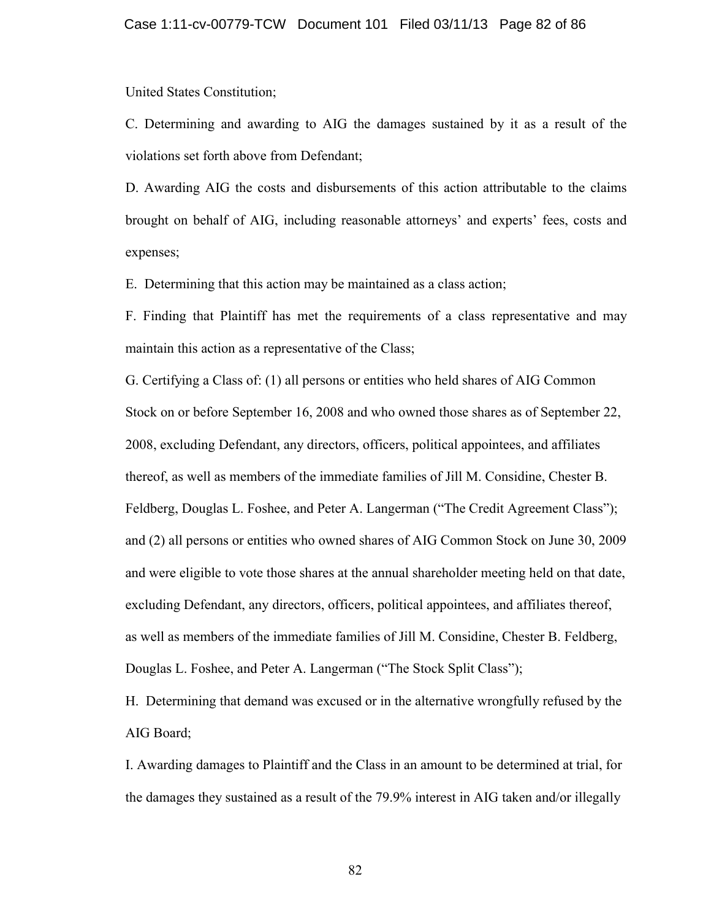United States Constitution;

C. Determining and awarding to AIG the damages sustained by it as a result of the violations set forth above from Defendant;

D. Awarding AIG the costs and disbursements of this action attributable to the claims brought on behalf of AIG, including reasonable attorneys' and experts' fees, costs and expenses;

E. Determining that this action may be maintained as a class action;

F. Finding that Plaintiff has met the requirements of a class representative and may maintain this action as a representative of the Class;

G. Certifying a Class of: (1) all persons or entities who held shares of AIG Common Stock on or before September 16, 2008 and who owned those shares as of September 22, 2008, excluding Defendant, any directors, officers, political appointees, and affiliates thereof, as well as members of the immediate families of Jill M. Considine, Chester B. Feldberg, Douglas L. Foshee, and Peter A. Langerman ("The Credit Agreement Class"); and (2) all persons or entities who owned shares of AIG Common Stock on June 30, 2009 and were eligible to vote those shares at the annual shareholder meeting held on that date, excluding Defendant, any directors, officers, political appointees, and affiliates thereof, as well as members of the immediate families of Jill M. Considine, Chester B. Feldberg, Douglas L. Foshee, and Peter A. Langerman ("The Stock Split Class");

H. Determining that demand was excused or in the alternative wrongfully refused by the AIG Board;

I. Awarding damages to Plaintiff and the Class in an amount to be determined at trial, for the damages they sustained as a result of the 79.9% interest in AIG taken and/or illegally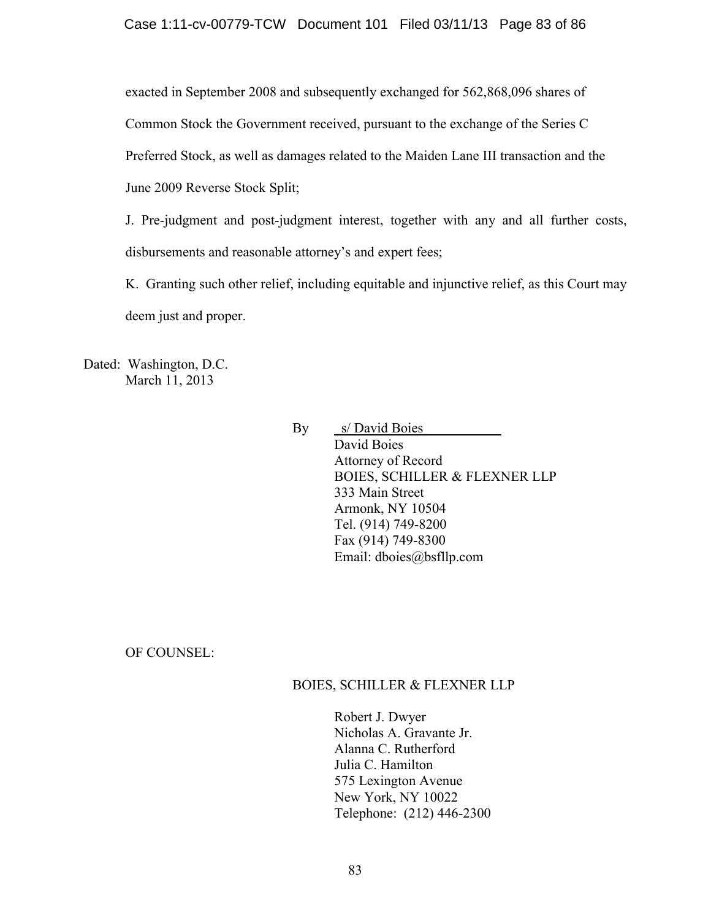exacted in September 2008 and subsequently exchanged for 562,868,096 shares of

Common Stock the Government received, pursuant to the exchange of the Series C

Preferred Stock, as well as damages related to the Maiden Lane III transaction and the

June 2009 Reverse Stock Split;

J. Pre-judgment and post-judgment interest, together with any and all further costs, disbursements and reasonable attorney's and expert fees;

K. Granting such other relief, including equitable and injunctive relief, as this Court may deem just and proper.

Dated: Washington, D.C. March 11, 2013

> By s/ David Boies David Boies Attorney of Record BOIES, SCHILLER & FLEXNER LLP 333 Main Street Armonk, NY 10504 Tel. (914) 749-8200 Fax (914) 749-8300 Email: dboies@bsfllp.com

OF COUNSEL:

## BOIES, SCHILLER & FLEXNER LLP

Robert J. Dwyer Nicholas A. Gravante Jr. Alanna C. Rutherford Julia C. Hamilton 575 Lexington Avenue New York, NY 10022 Telephone: (212) 446-2300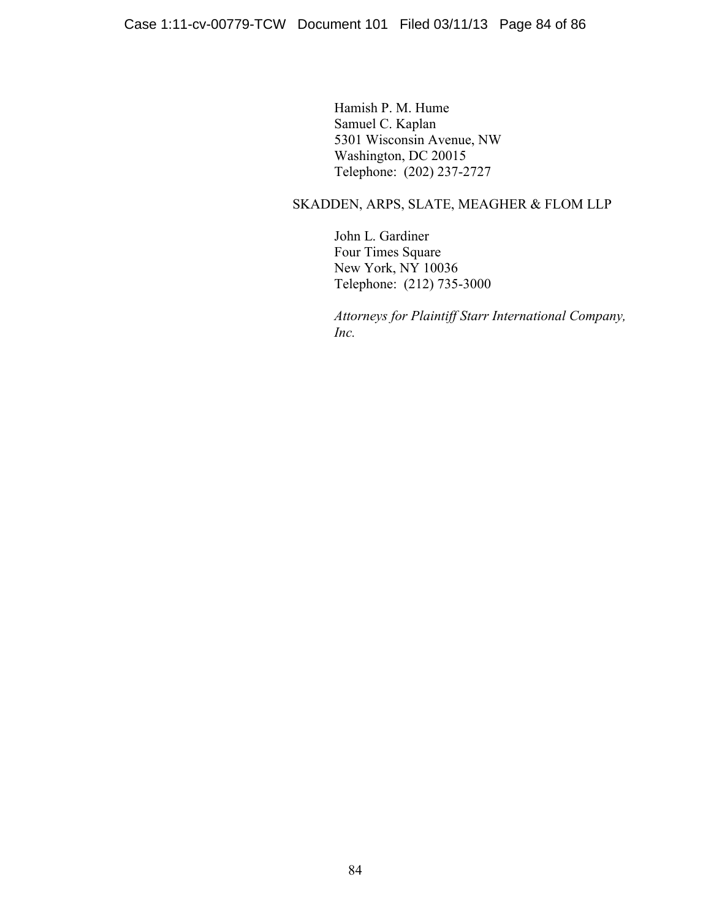Hamish P. M. Hume Samuel C. Kaplan 5301 Wisconsin Avenue, NW Washington, DC 20015 Telephone: (202) 237-2727

# SKADDEN, ARPS, SLATE, MEAGHER & FLOM LLP

John L. Gardiner Four Times Square New York, NY 10036 Telephone: (212) 735-3000

*Attorneys for Plaintiff Starr International Company, Inc.*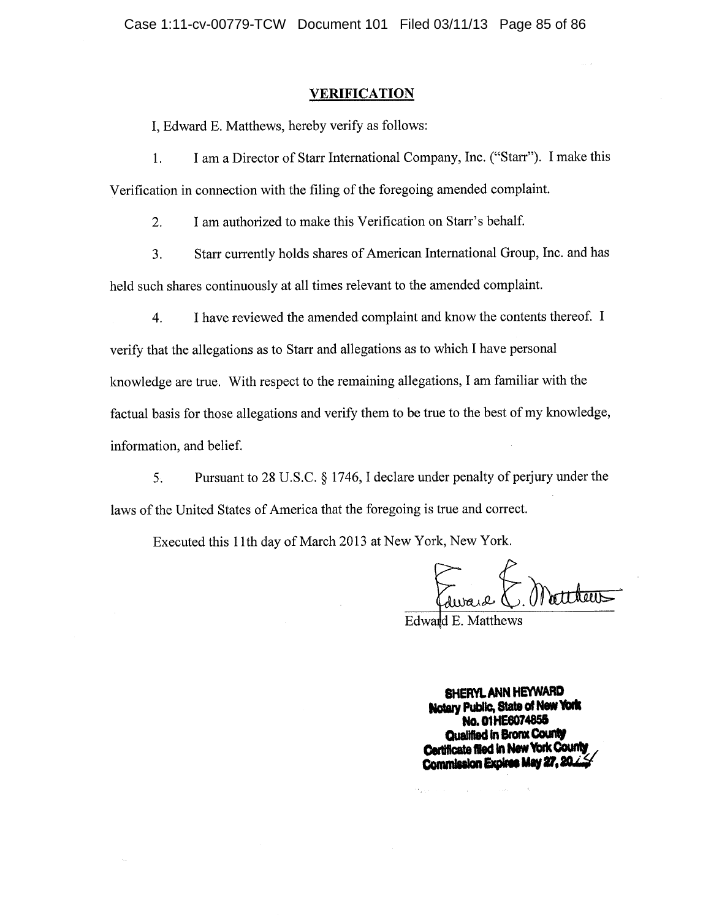#### **VERIFICATION**

I. Edward E. Matthews, hereby verify as follows:

 $1.$ I am a Director of Starr International Company, Inc. ("Starr"). I make this Verification in connection with the filing of the foregoing amended complaint.

I am authorized to make this Verification on Starr's behalf.  $2.$ 

3. Starr currently holds shares of American International Group, Inc. and has held such shares continuously at all times relevant to the amended complaint.

I have reviewed the amended complaint and know the contents thereof. I 4. verify that the allegations as to Starr and allegations as to which I have personal knowledge are true. With respect to the remaining allegations, I am familiar with the factual basis for those allegations and verify them to be true to the best of my knowledge, information, and belief.

Pursuant to 28 U.S.C. § 1746, I declare under penalty of perjury under the  $5<sub>1</sub>$ laws of the United States of America that the foregoing is true and correct.

Executed this 11th day of March 2013 at New York, New York.

Edward E. Matthew

 $\sim 10^{11}$  km  $^{-1}$ 

**Contract** 

SHERYL ANN HEYWARD Notary Public, State of New York No. 01HE6074855 Qualified in Bronx County Certificate filed in New York County Commission Expires May 27, 20.